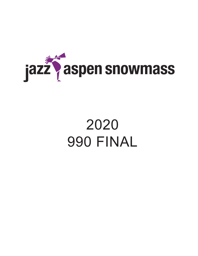

# 2020 990 FINAL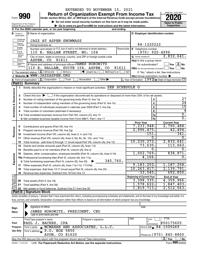#### EXTENDED TO NOVEMBER 15, 2021

**990** Return of Organization Exempt From Income Tax <br>
Under section 501(c), 527, or 4947(a)(1) of the Internal Revenue Code (except private foundations)<br> **PO20** 

**▶ Do not enter social security numbers on this form as it may be made public. Open to Public**<br>
inspection instructions and the latest information. Inspection **| Go to www.irs.gov/Form990 for instructions and the latest information. Inspection**



|                                    |                                  | Department of the Treasury<br>► Go to www.irs.gov/Form990 for instructions and the latest information.<br>Internal Revenue Service                                               |                                                                                                                  | וועוט ו טויוט<br>Inspection |
|------------------------------------|----------------------------------|----------------------------------------------------------------------------------------------------------------------------------------------------------------------------------|------------------------------------------------------------------------------------------------------------------|-----------------------------|
|                                    |                                  | A For the 2020 calendar year, or tax year beginning<br>and ending                                                                                                                |                                                                                                                  |                             |
|                                    | <b>B</b> Check if<br>applicable: | <b>C</b> Name of organization                                                                                                                                                    | D Employer identification number                                                                                 |                             |
|                                    | Address<br>change                | <b>JAZZ AT ASPEN-SNOWMASS</b>                                                                                                                                                    |                                                                                                                  |                             |
|                                    | Name<br>change                   | Doing business as                                                                                                                                                                | 84-1220222                                                                                                       |                             |
|                                    | Initial<br>return                | Number and street (or P.O. box if mail is not delivered to street address)                                                                                                       | Room/suite<br>E Telephone number                                                                                 |                             |
|                                    | Final<br>return/                 | 110 E. HALLAM STREET, NO. 104                                                                                                                                                    | $(970)$ 920-4996                                                                                                 |                             |
|                                    | termin-<br>ated                  | City or town, state or province, country, and ZIP or foreign postal code                                                                                                         | G Gross receipts \$                                                                                              | 2,832,641.                  |
|                                    | Amended<br>Ireturn<br>Applica-   | ASPEN, CO<br>81611                                                                                                                                                               | H(a) Is this a group return                                                                                      |                             |
|                                    | tion<br>pending                  | F Name and address of principal officer: JAMES HOROWITZ                                                                                                                          | for subordinates?                                                                                                | $\sqrt{}$ Yes $\sqrt{X}$ No |
|                                    |                                  | 110 E. HALLAM, SUITE 104, ASPEN, CO<br>81611                                                                                                                                     | H(b) Are all subordinates included? Ves                                                                          | ⊿ No                        |
|                                    |                                  | <b>I</b> Tax-exempt status: $\boxed{\mathbf{X}}$ 501(c)(3) $\boxed{\phantom{0}}$ 501(c)(<br>$\sqrt{\frac{1}{1}}$ (insert no.)<br>$4947(a)(1)$ or<br>J Website: WWW.JAZZASPEN.ORG | 527<br>If "No," attach a list. See instructions                                                                  |                             |
|                                    |                                  | K Form of organization: $X$ Corporation<br>Trust<br>Other $\blacktriangleright$<br>Association                                                                                   | $H(c)$ Group exemption number $\blacktriangleright$<br>L Year of formation: $1992$ M State of legal domicile: CO |                             |
|                                    | Part I                           | <b>Summary</b>                                                                                                                                                                   |                                                                                                                  |                             |
|                                    | 1                                | Briefly describe the organization's mission or most significant activities: SEE SCHEDULE O                                                                                       |                                                                                                                  |                             |
| <b>Activities &amp; Governance</b> |                                  |                                                                                                                                                                                  |                                                                                                                  |                             |
|                                    | 2                                | Check this box $\blacktriangleright \Box$ if the organization discontinued its operations or disposed of more than 25% of its net assets.                                        |                                                                                                                  |                             |
|                                    | 3                                |                                                                                                                                                                                  | 3                                                                                                                | 27                          |
|                                    | 4                                |                                                                                                                                                                                  | $\overline{4}$                                                                                                   | $\overline{24}$             |
|                                    | 5                                |                                                                                                                                                                                  | 5                                                                                                                | 10                          |
|                                    | 6                                |                                                                                                                                                                                  | 6                                                                                                                | 4                           |
|                                    |                                  |                                                                                                                                                                                  | 7a                                                                                                               | 0.                          |
|                                    |                                  |                                                                                                                                                                                  | 7b                                                                                                               | 0.                          |
|                                    |                                  |                                                                                                                                                                                  | <b>Prior Year</b>                                                                                                | <b>Current Year</b>         |
|                                    | 8                                |                                                                                                                                                                                  | 7,233,948.                                                                                                       | 2,790,488.                  |
| Revenue                            | 9                                | Program service revenue (Part VIII, line 2g)                                                                                                                                     | 2,996,475.                                                                                                       | 42,494.                     |
|                                    | 10                               |                                                                                                                                                                                  | $-151.$                                                                                                          | $-341.$                     |
|                                    | 11                               | Other revenue (Part VIII, column (A), lines 5, 6d, 8c, 9c, 10c, and 11e)                                                                                                         | $\overline{0}$ .                                                                                                 | $\overline{0}$ .            |
|                                    | 12                               | Total revenue - add lines 8 through 11 (must equal Part VIII, column (A), line 12)                                                                                               | 10, 230, 272.                                                                                                    | 2,832,641.                  |
|                                    | 13                               | Grants and similar amounts paid (Part IX, column (A), lines 1-3)                                                                                                                 | 73,630.                                                                                                          | 113,662.                    |
|                                    | 14                               |                                                                                                                                                                                  | 0.                                                                                                               | 0.                          |
|                                    | 15                               | Salaries, other compensation, employee benefits (Part IX, column (A), lines 5-10)                                                                                                | 1,002,769.                                                                                                       | 838,871.                    |
| Expenses                           |                                  | 16a Professional fundraising fees (Part IX, column (A), line 11e)                                                                                                                | 4,166.                                                                                                           | $\overline{0}$ .            |
|                                    |                                  |                                                                                                                                                                                  |                                                                                                                  |                             |
|                                    |                                  |                                                                                                                                                                                  | 9, 183, 252.                                                                                                     | 1, 187, 258.                |
|                                    |                                  | Total expenses. Add lines 13-17 (must equal Part IX, column (A), line 25) [                                                                                                      | 10, 263, 817.                                                                                                    | 2,139,791.                  |
|                                    | 19                               |                                                                                                                                                                                  | $-33,545$ .                                                                                                      | 692,850.                    |
|                                    |                                  |                                                                                                                                                                                  | <b>Beginning of Current Year</b>                                                                                 | <b>End of Year</b>          |
| Net Assets or                      | 20                               | Total assets (Part X, line 16)                                                                                                                                                   | 3,398,335.                                                                                                       | 4,359,966.                  |
|                                    | 21                               | Total liabilities (Part X, line 26)                                                                                                                                              | 1,578,622.                                                                                                       | 1,847,403.                  |
|                                    | 22                               |                                                                                                                                                                                  | 1,819,713.                                                                                                       | 2,512,563.                  |
|                                    | Part II                          | <b>Signature Block</b>                                                                                                                                                           |                                                                                                                  |                             |
|                                    |                                  | Under penalties of perjury, I declare that I have examined this return, including accompanying schedules and statements, and to the best of my knowledge and belief, it is       |                                                                                                                  |                             |
|                                    |                                  | true, correct, and complete. Declaration of preparer (other than officer) is based on all information of which preparer has any knowledge.                                       |                                                                                                                  |                             |

| Sign<br>Here    | Signature of officer<br>JAMES HOROWITZ, PRESIDENT, CEO<br>Type or print name and title                    |                      |      | Date                         |  |  |  |  |  |  |
|-----------------|-----------------------------------------------------------------------------------------------------------|----------------------|------|------------------------------|--|--|--|--|--|--|
|                 | Print/Type preparer's name                                                                                | Preparer's signature | Date | <b>PTIN</b><br>Check         |  |  |  |  |  |  |
| Paid            | PAUL J. BACKES, CPA                                                                                       |                      |      | P00175605<br>self-employed   |  |  |  |  |  |  |
| Preparer        | Firm's name MCMAHAN AND ASSOCIATES, L.L.C.                                                                |                      |      | Firm's EIN $\, 84 - 1509269$ |  |  |  |  |  |  |
| Use Only        | Firm's address P.O. BOX 5850                                                                              |                      |      |                              |  |  |  |  |  |  |
|                 | Phone no. $(970)$ 845-8800<br>AVON, CO 81620                                                              |                      |      |                              |  |  |  |  |  |  |
|                 | X.<br>Yes<br><b>No</b><br>May the IRS discuss this return with the preparer shown above? See instructions |                      |      |                              |  |  |  |  |  |  |
| 032001 12-23-20 | LHA For Paperwork Reduction Act Notice, see the separate instructions.                                    |                      |      | Form 990 (2020)              |  |  |  |  |  |  |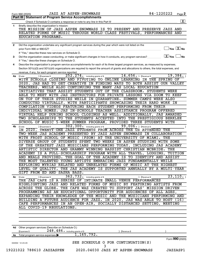| Briefly describe the organization's mission:<br>1<br>THE MISSION OF JAZZ ASPEN SNOWMASS IS TO PRESENT AND PRESERVE JAZZ AND<br>RELATED FORMS OF MUSIC THROUGH WORLD-CLASS FESTIVALS, PERFORMANCES AND<br>EDUCATION PROGRAMS.<br>Did the organization undertake any significant program services during the year which were not listed on the<br>$\mathbf{2}$<br>prior Form 990 or 990-EZ?<br>If "Yes." describe these new services on Schedule O.<br>$\lfloor x \rfloor$ Yes $\lfloor$<br>Did the organization cease conducting, or make significant changes in how it conducts, any program services?<br>3<br>If "Yes," describe these changes on Schedule O.<br>Describe the organization's program service accomplishments for each of its three largest program services, as measured by expenses.<br>4<br>Section 501(c)(3) and 501(c)(4) organizations are required to report the amount of grants and allocations to others, the total expenses, and<br>revenue, if any, for each program service reported.<br>252, 274.<br>$14, 656.$ (Revenue \$)<br>including grants of \$<br>4a<br>(Code:<br>(Expenses \$<br>WITH SCHOOLS CLOSING AND PIVOTING TO ONLINE LEARNING IN THE SPRING OF<br>TEACHERS, WHILE ALSO CONTINUING THE MANY JAS LOCAL EDUCATION<br>INITIATIVES THAT ASSIST STUDENTS OUT OF THE CLASSROOM.<br>ABLE TO MEET WITH JAS INSTRUCTORS FOR PRIVATE LESSONS<br>ON TOP OF THEIR STUDIES WHILE IN QUARANTINE. SUMMER CAMPS WERE ALSO<br>COMPILATION VIDEOS FEATURING EACH STUDENT PERFORMING FROM THEIR<br>INDIVIDUAL HOMES. JAS IN-SCHOOLS TEACHER ASSISTANCE PROGRAM OFFERED<br>VIRTUAL HELP DURING SCHOOL CLOSINGS AS WELL. ADDITIONALLY,<br>TWO SCHOLARSHIPS TO THE STUDENTS ACCEPTED INTO THE PRESTIGIOUS BERKLEE<br>SCHOOL OF MUSIC 5-WEEK SUMMER PROGRAM, PROVIDED THREE STUDENTS WITH<br>302, 300 . including grants of \$<br>99,006. ) (Revenue \$<br>4b<br>(Expenses \$<br>(Code:<br>TWENTY-ONE JAZZ STUDENTS FROM ACROSS THE US ATTENDED<br>IN 2020,<br>THE<br>TWO-WEEK JAS ACADEMY PRESENTED BY JAZZ ASPEN SNOWMASS IN COLLABORATION<br>WITH FROST SCHOOL OF MUSIC (FSOM)<br>AT THE UNIVERSITY OF MIAMI.<br>THE<br>STUDENTS SPENT TWO WEEKS IN ASPEN STUDYING WITH SOME<br>DIVERSE GROUP OF<br>THE GREATEST JAZZ MUSICIANS PERFORMING TODAY, INCLUDING JAS ACADEMY<br>OF<br>ARTISTIC DIRECTOR AND GRAMMY WINNING BASSIST CHRISTIAN MCBRIDE.<br>THE<br>ACADEMY IS A FULL-SCHOLARSHIP PROGRAM WITH ALL TRAVEL, LODGING,<br>TUITION<br>AND MEALS PROVIDED. THE GOAL OF THE ACADEMY IS TO IDENTIFY AND ASSIST<br>THE MOST TALENTED YOUNG ARTISTS EMBRACING JAZZ FUNDAMENTALLY WHILE<br>EXPLORING MYRIAD RELATED AND UNRELATED FORMS OF MUSIC AT THE HIGHEST<br>LEVEL OF QUALITY. THE JAS ACADEMY IS SUPPORTED ANNUALLY BY A MULTI-YEAR<br>GIFT FROM ED AND SASHA BASS.<br>362, 732. including grants of \$<br>) (Expenses \$<br>4c (Code:<br>) (Revenue \$<br>THE JAS CAFE IS A SERIES OF INTIMATE SMALL VENUE PERFORMANCES<br>BUILDING A FUTURE AUDIENCE FOR JAZZ. IN 2020, JAS WAS ABLE TO HOST (16)<br>CAFE PERFORMANCES IN AN OPEN-AIR, SOCIALLY DISTANCED SETTING,<br>ALL COVID-19 REGULATIONS.<br>4d Other program services (Describe on Schedule O.)<br>$248,486$ $\cdot$ including grants of \$<br>(Expenses \$<br>(Revenue \$<br>1, 165, 792.<br>Total program service expenses<br>4е<br>SEE SCHEDULE O FOR CONTINUATION(S)<br>032002 12-23-20<br>3 |  | X                                                                          |
|-----------------------------------------------------------------------------------------------------------------------------------------------------------------------------------------------------------------------------------------------------------------------------------------------------------------------------------------------------------------------------------------------------------------------------------------------------------------------------------------------------------------------------------------------------------------------------------------------------------------------------------------------------------------------------------------------------------------------------------------------------------------------------------------------------------------------------------------------------------------------------------------------------------------------------------------------------------------------------------------------------------------------------------------------------------------------------------------------------------------------------------------------------------------------------------------------------------------------------------------------------------------------------------------------------------------------------------------------------------------------------------------------------------------------------------------------------------------------------------------------------------------------------------------------------------------------------------------------------------------------------------------------------------------------------------------------------------------------------------------------------------------------------------------------------------------------------------------------------------------------------------------------------------------------------------------------------------------------------------------------------------------------------------------------------------------------------------------------------------------------------------------------------------------------------------------------------------------------------------------------------------------------------------------------------------------------------------------------------------------------------------------------------------------------------------------------------------------------------------------------------------------------------------------------------------------------------------------------------------------------------------------------------------------------------------------------------------------------------------------------------------------------------------------------------------------------------------------------------------------------------------------------------------------------------------------------------------------------------------------------------------------------------------------------------------------------------------------------------------------------------------------------------------------------------------------------------------------------------------------------------------------------------------------------------------------------------------------------------------------------------------------|--|----------------------------------------------------------------------------|
|                                                                                                                                                                                                                                                                                                                                                                                                                                                                                                                                                                                                                                                                                                                                                                                                                                                                                                                                                                                                                                                                                                                                                                                                                                                                                                                                                                                                                                                                                                                                                                                                                                                                                                                                                                                                                                                                                                                                                                                                                                                                                                                                                                                                                                                                                                                                                                                                                                                                                                                                                                                                                                                                                                                                                                                                                                                                                                                                                                                                                                                                                                                                                                                                                                                                                                                                                                                         |  |                                                                            |
|                                                                                                                                                                                                                                                                                                                                                                                                                                                                                                                                                                                                                                                                                                                                                                                                                                                                                                                                                                                                                                                                                                                                                                                                                                                                                                                                                                                                                                                                                                                                                                                                                                                                                                                                                                                                                                                                                                                                                                                                                                                                                                                                                                                                                                                                                                                                                                                                                                                                                                                                                                                                                                                                                                                                                                                                                                                                                                                                                                                                                                                                                                                                                                                                                                                                                                                                                                                         |  |                                                                            |
|                                                                                                                                                                                                                                                                                                                                                                                                                                                                                                                                                                                                                                                                                                                                                                                                                                                                                                                                                                                                                                                                                                                                                                                                                                                                                                                                                                                                                                                                                                                                                                                                                                                                                                                                                                                                                                                                                                                                                                                                                                                                                                                                                                                                                                                                                                                                                                                                                                                                                                                                                                                                                                                                                                                                                                                                                                                                                                                                                                                                                                                                                                                                                                                                                                                                                                                                                                                         |  |                                                                            |
|                                                                                                                                                                                                                                                                                                                                                                                                                                                                                                                                                                                                                                                                                                                                                                                                                                                                                                                                                                                                                                                                                                                                                                                                                                                                                                                                                                                                                                                                                                                                                                                                                                                                                                                                                                                                                                                                                                                                                                                                                                                                                                                                                                                                                                                                                                                                                                                                                                                                                                                                                                                                                                                                                                                                                                                                                                                                                                                                                                                                                                                                                                                                                                                                                                                                                                                                                                                         |  |                                                                            |
|                                                                                                                                                                                                                                                                                                                                                                                                                                                                                                                                                                                                                                                                                                                                                                                                                                                                                                                                                                                                                                                                                                                                                                                                                                                                                                                                                                                                                                                                                                                                                                                                                                                                                                                                                                                                                                                                                                                                                                                                                                                                                                                                                                                                                                                                                                                                                                                                                                                                                                                                                                                                                                                                                                                                                                                                                                                                                                                                                                                                                                                                                                                                                                                                                                                                                                                                                                                         |  |                                                                            |
|                                                                                                                                                                                                                                                                                                                                                                                                                                                                                                                                                                                                                                                                                                                                                                                                                                                                                                                                                                                                                                                                                                                                                                                                                                                                                                                                                                                                                                                                                                                                                                                                                                                                                                                                                                                                                                                                                                                                                                                                                                                                                                                                                                                                                                                                                                                                                                                                                                                                                                                                                                                                                                                                                                                                                                                                                                                                                                                                                                                                                                                                                                                                                                                                                                                                                                                                                                                         |  | $\mathbb{I}$ Yes $\boxed{\mathrm{X}}$ No                                   |
|                                                                                                                                                                                                                                                                                                                                                                                                                                                                                                                                                                                                                                                                                                                                                                                                                                                                                                                                                                                                                                                                                                                                                                                                                                                                                                                                                                                                                                                                                                                                                                                                                                                                                                                                                                                                                                                                                                                                                                                                                                                                                                                                                                                                                                                                                                                                                                                                                                                                                                                                                                                                                                                                                                                                                                                                                                                                                                                                                                                                                                                                                                                                                                                                                                                                                                                                                                                         |  |                                                                            |
|                                                                                                                                                                                                                                                                                                                                                                                                                                                                                                                                                                                                                                                                                                                                                                                                                                                                                                                                                                                                                                                                                                                                                                                                                                                                                                                                                                                                                                                                                                                                                                                                                                                                                                                                                                                                                                                                                                                                                                                                                                                                                                                                                                                                                                                                                                                                                                                                                                                                                                                                                                                                                                                                                                                                                                                                                                                                                                                                                                                                                                                                                                                                                                                                                                                                                                                                                                                         |  | $\Box$ No                                                                  |
|                                                                                                                                                                                                                                                                                                                                                                                                                                                                                                                                                                                                                                                                                                                                                                                                                                                                                                                                                                                                                                                                                                                                                                                                                                                                                                                                                                                                                                                                                                                                                                                                                                                                                                                                                                                                                                                                                                                                                                                                                                                                                                                                                                                                                                                                                                                                                                                                                                                                                                                                                                                                                                                                                                                                                                                                                                                                                                                                                                                                                                                                                                                                                                                                                                                                                                                                                                                         |  |                                                                            |
|                                                                                                                                                                                                                                                                                                                                                                                                                                                                                                                                                                                                                                                                                                                                                                                                                                                                                                                                                                                                                                                                                                                                                                                                                                                                                                                                                                                                                                                                                                                                                                                                                                                                                                                                                                                                                                                                                                                                                                                                                                                                                                                                                                                                                                                                                                                                                                                                                                                                                                                                                                                                                                                                                                                                                                                                                                                                                                                                                                                                                                                                                                                                                                                                                                                                                                                                                                                         |  |                                                                            |
|                                                                                                                                                                                                                                                                                                                                                                                                                                                                                                                                                                                                                                                                                                                                                                                                                                                                                                                                                                                                                                                                                                                                                                                                                                                                                                                                                                                                                                                                                                                                                                                                                                                                                                                                                                                                                                                                                                                                                                                                                                                                                                                                                                                                                                                                                                                                                                                                                                                                                                                                                                                                                                                                                                                                                                                                                                                                                                                                                                                                                                                                                                                                                                                                                                                                                                                                                                                         |  |                                                                            |
|                                                                                                                                                                                                                                                                                                                                                                                                                                                                                                                                                                                                                                                                                                                                                                                                                                                                                                                                                                                                                                                                                                                                                                                                                                                                                                                                                                                                                                                                                                                                                                                                                                                                                                                                                                                                                                                                                                                                                                                                                                                                                                                                                                                                                                                                                                                                                                                                                                                                                                                                                                                                                                                                                                                                                                                                                                                                                                                                                                                                                                                                                                                                                                                                                                                                                                                                                                                         |  |                                                                            |
|                                                                                                                                                                                                                                                                                                                                                                                                                                                                                                                                                                                                                                                                                                                                                                                                                                                                                                                                                                                                                                                                                                                                                                                                                                                                                                                                                                                                                                                                                                                                                                                                                                                                                                                                                                                                                                                                                                                                                                                                                                                                                                                                                                                                                                                                                                                                                                                                                                                                                                                                                                                                                                                                                                                                                                                                                                                                                                                                                                                                                                                                                                                                                                                                                                                                                                                                                                                         |  | 19,384.                                                                    |
|                                                                                                                                                                                                                                                                                                                                                                                                                                                                                                                                                                                                                                                                                                                                                                                                                                                                                                                                                                                                                                                                                                                                                                                                                                                                                                                                                                                                                                                                                                                                                                                                                                                                                                                                                                                                                                                                                                                                                                                                                                                                                                                                                                                                                                                                                                                                                                                                                                                                                                                                                                                                                                                                                                                                                                                                                                                                                                                                                                                                                                                                                                                                                                                                                                                                                                                                                                                         |  |                                                                            |
|                                                                                                                                                                                                                                                                                                                                                                                                                                                                                                                                                                                                                                                                                                                                                                                                                                                                                                                                                                                                                                                                                                                                                                                                                                                                                                                                                                                                                                                                                                                                                                                                                                                                                                                                                                                                                                                                                                                                                                                                                                                                                                                                                                                                                                                                                                                                                                                                                                                                                                                                                                                                                                                                                                                                                                                                                                                                                                                                                                                                                                                                                                                                                                                                                                                                                                                                                                                         |  | 2020, JAS HAD TO GET CREATIVE IN FINDING WAYS TO BOTH ASSIST OUR VALLEY    |
|                                                                                                                                                                                                                                                                                                                                                                                                                                                                                                                                                                                                                                                                                                                                                                                                                                                                                                                                                                                                                                                                                                                                                                                                                                                                                                                                                                                                                                                                                                                                                                                                                                                                                                                                                                                                                                                                                                                                                                                                                                                                                                                                                                                                                                                                                                                                                                                                                                                                                                                                                                                                                                                                                                                                                                                                                                                                                                                                                                                                                                                                                                                                                                                                                                                                                                                                                                                         |  |                                                                            |
|                                                                                                                                                                                                                                                                                                                                                                                                                                                                                                                                                                                                                                                                                                                                                                                                                                                                                                                                                                                                                                                                                                                                                                                                                                                                                                                                                                                                                                                                                                                                                                                                                                                                                                                                                                                                                                                                                                                                                                                                                                                                                                                                                                                                                                                                                                                                                                                                                                                                                                                                                                                                                                                                                                                                                                                                                                                                                                                                                                                                                                                                                                                                                                                                                                                                                                                                                                                         |  | <b>STUDENTS WERE</b>                                                       |
|                                                                                                                                                                                                                                                                                                                                                                                                                                                                                                                                                                                                                                                                                                                                                                                                                                                                                                                                                                                                                                                                                                                                                                                                                                                                                                                                                                                                                                                                                                                                                                                                                                                                                                                                                                                                                                                                                                                                                                                                                                                                                                                                                                                                                                                                                                                                                                                                                                                                                                                                                                                                                                                                                                                                                                                                                                                                                                                                                                                                                                                                                                                                                                                                                                                                                                                                                                                         |  | VIA ZOOM TO KEEP                                                           |
|                                                                                                                                                                                                                                                                                                                                                                                                                                                                                                                                                                                                                                                                                                                                                                                                                                                                                                                                                                                                                                                                                                                                                                                                                                                                                                                                                                                                                                                                                                                                                                                                                                                                                                                                                                                                                                                                                                                                                                                                                                                                                                                                                                                                                                                                                                                                                                                                                                                                                                                                                                                                                                                                                                                                                                                                                                                                                                                                                                                                                                                                                                                                                                                                                                                                                                                                                                                         |  |                                                                            |
|                                                                                                                                                                                                                                                                                                                                                                                                                                                                                                                                                                                                                                                                                                                                                                                                                                                                                                                                                                                                                                                                                                                                                                                                                                                                                                                                                                                                                                                                                                                                                                                                                                                                                                                                                                                                                                                                                                                                                                                                                                                                                                                                                                                                                                                                                                                                                                                                                                                                                                                                                                                                                                                                                                                                                                                                                                                                                                                                                                                                                                                                                                                                                                                                                                                                                                                                                                                         |  | CONDUCTED VIRTUALLY, WITH PARTICIPANTS SHOWCASING THEIR HARD WORK IN       |
|                                                                                                                                                                                                                                                                                                                                                                                                                                                                                                                                                                                                                                                                                                                                                                                                                                                                                                                                                                                                                                                                                                                                                                                                                                                                                                                                                                                                                                                                                                                                                                                                                                                                                                                                                                                                                                                                                                                                                                                                                                                                                                                                                                                                                                                                                                                                                                                                                                                                                                                                                                                                                                                                                                                                                                                                                                                                                                                                                                                                                                                                                                                                                                                                                                                                                                                                                                                         |  |                                                                            |
|                                                                                                                                                                                                                                                                                                                                                                                                                                                                                                                                                                                                                                                                                                                                                                                                                                                                                                                                                                                                                                                                                                                                                                                                                                                                                                                                                                                                                                                                                                                                                                                                                                                                                                                                                                                                                                                                                                                                                                                                                                                                                                                                                                                                                                                                                                                                                                                                                                                                                                                                                                                                                                                                                                                                                                                                                                                                                                                                                                                                                                                                                                                                                                                                                                                                                                                                                                                         |  |                                                                            |
|                                                                                                                                                                                                                                                                                                                                                                                                                                                                                                                                                                                                                                                                                                                                                                                                                                                                                                                                                                                                                                                                                                                                                                                                                                                                                                                                                                                                                                                                                                                                                                                                                                                                                                                                                                                                                                                                                                                                                                                                                                                                                                                                                                                                                                                                                                                                                                                                                                                                                                                                                                                                                                                                                                                                                                                                                                                                                                                                                                                                                                                                                                                                                                                                                                                                                                                                                                                         |  | <b>JAS AWARDED</b>                                                         |
|                                                                                                                                                                                                                                                                                                                                                                                                                                                                                                                                                                                                                                                                                                                                                                                                                                                                                                                                                                                                                                                                                                                                                                                                                                                                                                                                                                                                                                                                                                                                                                                                                                                                                                                                                                                                                                                                                                                                                                                                                                                                                                                                                                                                                                                                                                                                                                                                                                                                                                                                                                                                                                                                                                                                                                                                                                                                                                                                                                                                                                                                                                                                                                                                                                                                                                                                                                                         |  |                                                                            |
|                                                                                                                                                                                                                                                                                                                                                                                                                                                                                                                                                                                                                                                                                                                                                                                                                                                                                                                                                                                                                                                                                                                                                                                                                                                                                                                                                                                                                                                                                                                                                                                                                                                                                                                                                                                                                                                                                                                                                                                                                                                                                                                                                                                                                                                                                                                                                                                                                                                                                                                                                                                                                                                                                                                                                                                                                                                                                                                                                                                                                                                                                                                                                                                                                                                                                                                                                                                         |  |                                                                            |
|                                                                                                                                                                                                                                                                                                                                                                                                                                                                                                                                                                                                                                                                                                                                                                                                                                                                                                                                                                                                                                                                                                                                                                                                                                                                                                                                                                                                                                                                                                                                                                                                                                                                                                                                                                                                                                                                                                                                                                                                                                                                                                                                                                                                                                                                                                                                                                                                                                                                                                                                                                                                                                                                                                                                                                                                                                                                                                                                                                                                                                                                                                                                                                                                                                                                                                                                                                                         |  |                                                                            |
|                                                                                                                                                                                                                                                                                                                                                                                                                                                                                                                                                                                                                                                                                                                                                                                                                                                                                                                                                                                                                                                                                                                                                                                                                                                                                                                                                                                                                                                                                                                                                                                                                                                                                                                                                                                                                                                                                                                                                                                                                                                                                                                                                                                                                                                                                                                                                                                                                                                                                                                                                                                                                                                                                                                                                                                                                                                                                                                                                                                                                                                                                                                                                                                                                                                                                                                                                                                         |  |                                                                            |
|                                                                                                                                                                                                                                                                                                                                                                                                                                                                                                                                                                                                                                                                                                                                                                                                                                                                                                                                                                                                                                                                                                                                                                                                                                                                                                                                                                                                                                                                                                                                                                                                                                                                                                                                                                                                                                                                                                                                                                                                                                                                                                                                                                                                                                                                                                                                                                                                                                                                                                                                                                                                                                                                                                                                                                                                                                                                                                                                                                                                                                                                                                                                                                                                                                                                                                                                                                                         |  |                                                                            |
|                                                                                                                                                                                                                                                                                                                                                                                                                                                                                                                                                                                                                                                                                                                                                                                                                                                                                                                                                                                                                                                                                                                                                                                                                                                                                                                                                                                                                                                                                                                                                                                                                                                                                                                                                                                                                                                                                                                                                                                                                                                                                                                                                                                                                                                                                                                                                                                                                                                                                                                                                                                                                                                                                                                                                                                                                                                                                                                                                                                                                                                                                                                                                                                                                                                                                                                                                                                         |  |                                                                            |
|                                                                                                                                                                                                                                                                                                                                                                                                                                                                                                                                                                                                                                                                                                                                                                                                                                                                                                                                                                                                                                                                                                                                                                                                                                                                                                                                                                                                                                                                                                                                                                                                                                                                                                                                                                                                                                                                                                                                                                                                                                                                                                                                                                                                                                                                                                                                                                                                                                                                                                                                                                                                                                                                                                                                                                                                                                                                                                                                                                                                                                                                                                                                                                                                                                                                                                                                                                                         |  |                                                                            |
|                                                                                                                                                                                                                                                                                                                                                                                                                                                                                                                                                                                                                                                                                                                                                                                                                                                                                                                                                                                                                                                                                                                                                                                                                                                                                                                                                                                                                                                                                                                                                                                                                                                                                                                                                                                                                                                                                                                                                                                                                                                                                                                                                                                                                                                                                                                                                                                                                                                                                                                                                                                                                                                                                                                                                                                                                                                                                                                                                                                                                                                                                                                                                                                                                                                                                                                                                                                         |  |                                                                            |
|                                                                                                                                                                                                                                                                                                                                                                                                                                                                                                                                                                                                                                                                                                                                                                                                                                                                                                                                                                                                                                                                                                                                                                                                                                                                                                                                                                                                                                                                                                                                                                                                                                                                                                                                                                                                                                                                                                                                                                                                                                                                                                                                                                                                                                                                                                                                                                                                                                                                                                                                                                                                                                                                                                                                                                                                                                                                                                                                                                                                                                                                                                                                                                                                                                                                                                                                                                                         |  |                                                                            |
|                                                                                                                                                                                                                                                                                                                                                                                                                                                                                                                                                                                                                                                                                                                                                                                                                                                                                                                                                                                                                                                                                                                                                                                                                                                                                                                                                                                                                                                                                                                                                                                                                                                                                                                                                                                                                                                                                                                                                                                                                                                                                                                                                                                                                                                                                                                                                                                                                                                                                                                                                                                                                                                                                                                                                                                                                                                                                                                                                                                                                                                                                                                                                                                                                                                                                                                                                                                         |  |                                                                            |
|                                                                                                                                                                                                                                                                                                                                                                                                                                                                                                                                                                                                                                                                                                                                                                                                                                                                                                                                                                                                                                                                                                                                                                                                                                                                                                                                                                                                                                                                                                                                                                                                                                                                                                                                                                                                                                                                                                                                                                                                                                                                                                                                                                                                                                                                                                                                                                                                                                                                                                                                                                                                                                                                                                                                                                                                                                                                                                                                                                                                                                                                                                                                                                                                                                                                                                                                                                                         |  |                                                                            |
|                                                                                                                                                                                                                                                                                                                                                                                                                                                                                                                                                                                                                                                                                                                                                                                                                                                                                                                                                                                                                                                                                                                                                                                                                                                                                                                                                                                                                                                                                                                                                                                                                                                                                                                                                                                                                                                                                                                                                                                                                                                                                                                                                                                                                                                                                                                                                                                                                                                                                                                                                                                                                                                                                                                                                                                                                                                                                                                                                                                                                                                                                                                                                                                                                                                                                                                                                                                         |  |                                                                            |
|                                                                                                                                                                                                                                                                                                                                                                                                                                                                                                                                                                                                                                                                                                                                                                                                                                                                                                                                                                                                                                                                                                                                                                                                                                                                                                                                                                                                                                                                                                                                                                                                                                                                                                                                                                                                                                                                                                                                                                                                                                                                                                                                                                                                                                                                                                                                                                                                                                                                                                                                                                                                                                                                                                                                                                                                                                                                                                                                                                                                                                                                                                                                                                                                                                                                                                                                                                                         |  |                                                                            |
|                                                                                                                                                                                                                                                                                                                                                                                                                                                                                                                                                                                                                                                                                                                                                                                                                                                                                                                                                                                                                                                                                                                                                                                                                                                                                                                                                                                                                                                                                                                                                                                                                                                                                                                                                                                                                                                                                                                                                                                                                                                                                                                                                                                                                                                                                                                                                                                                                                                                                                                                                                                                                                                                                                                                                                                                                                                                                                                                                                                                                                                                                                                                                                                                                                                                                                                                                                                         |  |                                                                            |
|                                                                                                                                                                                                                                                                                                                                                                                                                                                                                                                                                                                                                                                                                                                                                                                                                                                                                                                                                                                                                                                                                                                                                                                                                                                                                                                                                                                                                                                                                                                                                                                                                                                                                                                                                                                                                                                                                                                                                                                                                                                                                                                                                                                                                                                                                                                                                                                                                                                                                                                                                                                                                                                                                                                                                                                                                                                                                                                                                                                                                                                                                                                                                                                                                                                                                                                                                                                         |  | 23, 110.                                                                   |
|                                                                                                                                                                                                                                                                                                                                                                                                                                                                                                                                                                                                                                                                                                                                                                                                                                                                                                                                                                                                                                                                                                                                                                                                                                                                                                                                                                                                                                                                                                                                                                                                                                                                                                                                                                                                                                                                                                                                                                                                                                                                                                                                                                                                                                                                                                                                                                                                                                                                                                                                                                                                                                                                                                                                                                                                                                                                                                                                                                                                                                                                                                                                                                                                                                                                                                                                                                                         |  |                                                                            |
|                                                                                                                                                                                                                                                                                                                                                                                                                                                                                                                                                                                                                                                                                                                                                                                                                                                                                                                                                                                                                                                                                                                                                                                                                                                                                                                                                                                                                                                                                                                                                                                                                                                                                                                                                                                                                                                                                                                                                                                                                                                                                                                                                                                                                                                                                                                                                                                                                                                                                                                                                                                                                                                                                                                                                                                                                                                                                                                                                                                                                                                                                                                                                                                                                                                                                                                                                                                         |  | HIGHLIGHTING JAZZ AND RELATED FORMS OF MUSIC BY FEATURING ARTISTS FROM     |
|                                                                                                                                                                                                                                                                                                                                                                                                                                                                                                                                                                                                                                                                                                                                                                                                                                                                                                                                                                                                                                                                                                                                                                                                                                                                                                                                                                                                                                                                                                                                                                                                                                                                                                                                                                                                                                                                                                                                                                                                                                                                                                                                                                                                                                                                                                                                                                                                                                                                                                                                                                                                                                                                                                                                                                                                                                                                                                                                                                                                                                                                                                                                                                                                                                                                                                                                                                                         |  | ACROSS THE GLOBE. THE CAFE WAS CREATED TO SUPPORT JAS' MISSION DRIVEN      |
|                                                                                                                                                                                                                                                                                                                                                                                                                                                                                                                                                                                                                                                                                                                                                                                                                                                                                                                                                                                                                                                                                                                                                                                                                                                                                                                                                                                                                                                                                                                                                                                                                                                                                                                                                                                                                                                                                                                                                                                                                                                                                                                                                                                                                                                                                                                                                                                                                                                                                                                                                                                                                                                                                                                                                                                                                                                                                                                                                                                                                                                                                                                                                                                                                                                                                                                                                                                         |  | PROGRAMMING AS AN EDUCATIONAL OPPORTUNITY FOR AUDIENCES OF ALL AGES,       |
|                                                                                                                                                                                                                                                                                                                                                                                                                                                                                                                                                                                                                                                                                                                                                                                                                                                                                                                                                                                                                                                                                                                                                                                                                                                                                                                                                                                                                                                                                                                                                                                                                                                                                                                                                                                                                                                                                                                                                                                                                                                                                                                                                                                                                                                                                                                                                                                                                                                                                                                                                                                                                                                                                                                                                                                                                                                                                                                                                                                                                                                                                                                                                                                                                                                                                                                                                                                         |  | EXPANDING THEIR KNOWLEDGE OF THE MUSIC AND THE MUSICIANS PERFORMING AND    |
|                                                                                                                                                                                                                                                                                                                                                                                                                                                                                                                                                                                                                                                                                                                                                                                                                                                                                                                                                                                                                                                                                                                                                                                                                                                                                                                                                                                                                                                                                                                                                                                                                                                                                                                                                                                                                                                                                                                                                                                                                                                                                                                                                                                                                                                                                                                                                                                                                                                                                                                                                                                                                                                                                                                                                                                                                                                                                                                                                                                                                                                                                                                                                                                                                                                                                                                                                                                         |  |                                                                            |
|                                                                                                                                                                                                                                                                                                                                                                                                                                                                                                                                                                                                                                                                                                                                                                                                                                                                                                                                                                                                                                                                                                                                                                                                                                                                                                                                                                                                                                                                                                                                                                                                                                                                                                                                                                                                                                                                                                                                                                                                                                                                                                                                                                                                                                                                                                                                                                                                                                                                                                                                                                                                                                                                                                                                                                                                                                                                                                                                                                                                                                                                                                                                                                                                                                                                                                                                                                                         |  | <b>MEETING</b>                                                             |
|                                                                                                                                                                                                                                                                                                                                                                                                                                                                                                                                                                                                                                                                                                                                                                                                                                                                                                                                                                                                                                                                                                                                                                                                                                                                                                                                                                                                                                                                                                                                                                                                                                                                                                                                                                                                                                                                                                                                                                                                                                                                                                                                                                                                                                                                                                                                                                                                                                                                                                                                                                                                                                                                                                                                                                                                                                                                                                                                                                                                                                                                                                                                                                                                                                                                                                                                                                                         |  |                                                                            |
|                                                                                                                                                                                                                                                                                                                                                                                                                                                                                                                                                                                                                                                                                                                                                                                                                                                                                                                                                                                                                                                                                                                                                                                                                                                                                                                                                                                                                                                                                                                                                                                                                                                                                                                                                                                                                                                                                                                                                                                                                                                                                                                                                                                                                                                                                                                                                                                                                                                                                                                                                                                                                                                                                                                                                                                                                                                                                                                                                                                                                                                                                                                                                                                                                                                                                                                                                                                         |  |                                                                            |
|                                                                                                                                                                                                                                                                                                                                                                                                                                                                                                                                                                                                                                                                                                                                                                                                                                                                                                                                                                                                                                                                                                                                                                                                                                                                                                                                                                                                                                                                                                                                                                                                                                                                                                                                                                                                                                                                                                                                                                                                                                                                                                                                                                                                                                                                                                                                                                                                                                                                                                                                                                                                                                                                                                                                                                                                                                                                                                                                                                                                                                                                                                                                                                                                                                                                                                                                                                                         |  |                                                                            |
|                                                                                                                                                                                                                                                                                                                                                                                                                                                                                                                                                                                                                                                                                                                                                                                                                                                                                                                                                                                                                                                                                                                                                                                                                                                                                                                                                                                                                                                                                                                                                                                                                                                                                                                                                                                                                                                                                                                                                                                                                                                                                                                                                                                                                                                                                                                                                                                                                                                                                                                                                                                                                                                                                                                                                                                                                                                                                                                                                                                                                                                                                                                                                                                                                                                                                                                                                                                         |  |                                                                            |
|                                                                                                                                                                                                                                                                                                                                                                                                                                                                                                                                                                                                                                                                                                                                                                                                                                                                                                                                                                                                                                                                                                                                                                                                                                                                                                                                                                                                                                                                                                                                                                                                                                                                                                                                                                                                                                                                                                                                                                                                                                                                                                                                                                                                                                                                                                                                                                                                                                                                                                                                                                                                                                                                                                                                                                                                                                                                                                                                                                                                                                                                                                                                                                                                                                                                                                                                                                                         |  |                                                                            |
|                                                                                                                                                                                                                                                                                                                                                                                                                                                                                                                                                                                                                                                                                                                                                                                                                                                                                                                                                                                                                                                                                                                                                                                                                                                                                                                                                                                                                                                                                                                                                                                                                                                                                                                                                                                                                                                                                                                                                                                                                                                                                                                                                                                                                                                                                                                                                                                                                                                                                                                                                                                                                                                                                                                                                                                                                                                                                                                                                                                                                                                                                                                                                                                                                                                                                                                                                                                         |  |                                                                            |
|                                                                                                                                                                                                                                                                                                                                                                                                                                                                                                                                                                                                                                                                                                                                                                                                                                                                                                                                                                                                                                                                                                                                                                                                                                                                                                                                                                                                                                                                                                                                                                                                                                                                                                                                                                                                                                                                                                                                                                                                                                                                                                                                                                                                                                                                                                                                                                                                                                                                                                                                                                                                                                                                                                                                                                                                                                                                                                                                                                                                                                                                                                                                                                                                                                                                                                                                                                                         |  |                                                                            |
|                                                                                                                                                                                                                                                                                                                                                                                                                                                                                                                                                                                                                                                                                                                                                                                                                                                                                                                                                                                                                                                                                                                                                                                                                                                                                                                                                                                                                                                                                                                                                                                                                                                                                                                                                                                                                                                                                                                                                                                                                                                                                                                                                                                                                                                                                                                                                                                                                                                                                                                                                                                                                                                                                                                                                                                                                                                                                                                                                                                                                                                                                                                                                                                                                                                                                                                                                                                         |  | Form 990 (2020)                                                            |
|                                                                                                                                                                                                                                                                                                                                                                                                                                                                                                                                                                                                                                                                                                                                                                                                                                                                                                                                                                                                                                                                                                                                                                                                                                                                                                                                                                                                                                                                                                                                                                                                                                                                                                                                                                                                                                                                                                                                                                                                                                                                                                                                                                                                                                                                                                                                                                                                                                                                                                                                                                                                                                                                                                                                                                                                                                                                                                                                                                                                                                                                                                                                                                                                                                                                                                                                                                                         |  |                                                                            |
|                                                                                                                                                                                                                                                                                                                                                                                                                                                                                                                                                                                                                                                                                                                                                                                                                                                                                                                                                                                                                                                                                                                                                                                                                                                                                                                                                                                                                                                                                                                                                                                                                                                                                                                                                                                                                                                                                                                                                                                                                                                                                                                                                                                                                                                                                                                                                                                                                                                                                                                                                                                                                                                                                                                                                                                                                                                                                                                                                                                                                                                                                                                                                                                                                                                                                                                                                                                         |  | 19221022 788610 JAZZASPEN<br>2020.04030 JAZZ AT ASPEN-SNOWMASS<br>JAZZASP1 |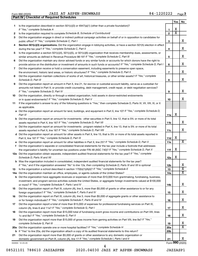**Part IV Checklist of Required Schedules**

|     |                                                                                                                                       |                 | Yes | No                    |
|-----|---------------------------------------------------------------------------------------------------------------------------------------|-----------------|-----|-----------------------|
| 1   | Is the organization described in section 501(c)(3) or 4947(a)(1) (other than a private foundation)?                                   |                 |     |                       |
|     |                                                                                                                                       | $\mathbf{1}$    | х   |                       |
| 2   |                                                                                                                                       | $\mathbf{2}$    | x   |                       |
| 3   | Did the organization engage in direct or indirect political campaign activities on behalf of or in opposition to candidates for       |                 |     |                       |
|     |                                                                                                                                       | 3               |     | x                     |
| 4   | Section 501(c)(3) organizations. Did the organization engage in lobbying activities, or have a section 501(h) election in effect      |                 |     |                       |
|     |                                                                                                                                       | 4               |     | x                     |
| 5   | Is the organization a section 501(c)(4), 501(c)(5), or 501(c)(6) organization that receives membership dues, assessments, or          |                 |     |                       |
|     |                                                                                                                                       | 5               |     | x                     |
| 6   | Did the organization maintain any donor advised funds or any similar funds or accounts for which donors have the right to             |                 |     |                       |
|     | provide advice on the distribution or investment of amounts in such funds or accounts? If "Yes," complete Schedule D, Part I          | 6               |     | x                     |
| 7   | Did the organization receive or hold a conservation easement, including easements to preserve open space,                             |                 |     |                       |
|     |                                                                                                                                       | $\overline{7}$  |     | x                     |
| 8   | Did the organization maintain collections of works of art, historical treasures, or other similar assets? If "Yes," complete          |                 |     |                       |
|     | Schedule D, Part III <b>William Commission Commission Commission</b> Commission Commission Commission                                 | 8               |     | x                     |
| 9   | Did the organization report an amount in Part X, line 21, for escrow or custodial account liability, serve as a custodian for         |                 |     |                       |
|     | amounts not listed in Part X; or provide credit counseling, debt management, credit repair, or debt negotiation services?             |                 |     |                       |
|     |                                                                                                                                       | 9               |     | x                     |
| 10  | Did the organization, directly or through a related organization, hold assets in donor-restricted endowments                          |                 |     |                       |
|     |                                                                                                                                       | 10              |     | x                     |
|     | If the organization's answer to any of the following questions is "Yes," then complete Schedule D, Parts VI, VII, VIII, IX, or X      |                 |     |                       |
| 11  | as applicable.                                                                                                                        |                 |     |                       |
|     | a Did the organization report an amount for land, buildings, and equipment in Part X, line 10? If "Yes," complete Schedule D,         |                 |     |                       |
|     |                                                                                                                                       |                 | X   |                       |
|     |                                                                                                                                       | 11a             |     |                       |
|     | <b>b</b> Did the organization report an amount for investments - other securities in Part X, line 12, that is 5% or more of its total |                 |     | х                     |
|     |                                                                                                                                       | 11b             |     |                       |
|     | c Did the organization report an amount for investments - program related in Part X, line 13, that is 5% or more of its total         |                 |     | х                     |
|     |                                                                                                                                       | 11c             |     |                       |
|     | d Did the organization report an amount for other assets in Part X, line 15, that is 5% or more of its total assets reported in       |                 | х   |                       |
|     |                                                                                                                                       | 11d             |     | х                     |
|     |                                                                                                                                       | 11e             |     |                       |
|     | f Did the organization's separate or consolidated financial statements for the tax year include a footnote that addresses             |                 | X   |                       |
|     | the organization's liability for uncertain tax positions under FIN 48 (ASC 740)? If "Yes," complete Schedule D, Part X                | 11f             |     |                       |
|     | 12a Did the organization obtain separate, independent audited financial statements for the tax year? If "Yes," complete               |                 |     |                       |
|     |                                                                                                                                       | 12a             | х   |                       |
|     | <b>b</b> Was the organization included in consolidated, independent audited financial statements for the tax year?                    |                 |     |                       |
|     | If "Yes," and if the organization answered "No" to line 12a, then completing Schedule D, Parts XI and XII is optional                 | 12 <sub>b</sub> |     | х                     |
| 13  |                                                                                                                                       | 13              |     | $\overline{\text{x}}$ |
| 14a |                                                                                                                                       | 14a             |     | x                     |
| b   | Did the organization have aggregate revenues or expenses of more than \$10,000 from grantmaking, fundraising, business,               |                 |     |                       |
|     | investment, and program service activities outside the United States, or aggregate foreign investments valued at \$100,000            |                 |     |                       |
|     |                                                                                                                                       | 14b             |     | х                     |
| 15  | Did the organization report on Part IX, column (A), line 3, more than \$5,000 of grants or other assistance to or for any             |                 |     |                       |
|     |                                                                                                                                       | 15              |     | х                     |
| 16  | Did the organization report on Part IX, column (A), line 3, more than \$5,000 of aggregate grants or other assistance to              |                 |     |                       |
|     |                                                                                                                                       | 16              |     | х                     |
| 17  | Did the organization report a total of more than \$15,000 of expenses for professional fundraising services on Part IX,               |                 |     |                       |
|     |                                                                                                                                       | 17              |     | х                     |
| 18  | Did the organization report more than \$15,000 total of fundraising event gross income and contributions on Part VIII, lines          |                 |     |                       |
|     |                                                                                                                                       | 18              |     | х                     |
| 19  | Did the organization report more than \$15,000 of gross income from gaming activities on Part VIII, line 9a? If "Yes,"                |                 |     |                       |
|     |                                                                                                                                       | 19              |     | x                     |
| 20a |                                                                                                                                       | 20a             |     | х                     |
| b   |                                                                                                                                       | 20 <sub>b</sub> |     |                       |
| 21  | Did the organization report more than \$5,000 of grants or other assistance to any domestic organization or                           |                 |     |                       |
|     |                                                                                                                                       | 21              |     | х                     |
|     | 032003 12-23-20                                                                                                                       |                 |     | Form 990 (2020)       |

08521101 788610 JAZZASPEN 2020.04030 JAZZ AT ASPEN-SNOWMASS JAZZASP1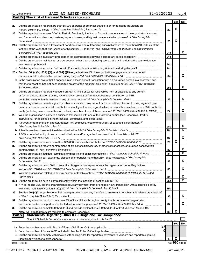*(continued)* **Part IV Checklist of Required Schedules**

|               |                                                                                                                                                                                                   |                 | Yes             | No                      |
|---------------|---------------------------------------------------------------------------------------------------------------------------------------------------------------------------------------------------|-----------------|-----------------|-------------------------|
| 22            | Did the organization report more than \$5,000 of grants or other assistance to or for domestic individuals on                                                                                     |                 | X               |                         |
| 23            | Did the organization answer "Yes" to Part VII, Section A, line 3, 4, or 5 about compensation of the organization's current                                                                        | 22              |                 |                         |
|               | and former officers, directors, trustees, key employees, and highest compensated employees? If "Yes," complete                                                                                    |                 |                 |                         |
|               | Schedule J                                                                                                                                                                                        | 23              | X               |                         |
|               | 24a Did the organization have a tax-exempt bond issue with an outstanding principal amount of more than \$100,000 as of the                                                                       |                 |                 |                         |
|               | last day of the year, that was issued after December 31, 2002? If "Yes," answer lines 24b through 24d and complete                                                                                |                 |                 |                         |
|               | Schedule K. If "No," go to line 25a                                                                                                                                                               | 24a             |                 | x                       |
|               | <b>b</b> Did the organization invest any proceeds of tax-exempt bonds beyond a temporary period exception?                                                                                        | 24 <sub>b</sub> |                 |                         |
|               | c Did the organization maintain an escrow account other than a refunding escrow at any time during the year to defease                                                                            |                 |                 |                         |
|               | any tax-exempt bonds?                                                                                                                                                                             | 24c             |                 |                         |
|               | d Did the organization act as an "on behalf of" issuer for bonds outstanding at any time during the year?                                                                                         | 24d             |                 |                         |
|               | 25a Section 501(c)(3), 501(c)(4), and 501(c)(29) organizations. Did the organization engage in an excess benefit                                                                                  |                 |                 |                         |
|               |                                                                                                                                                                                                   | 25a             |                 | x                       |
|               | <b>b</b> Is the organization aware that it engaged in an excess benefit transaction with a disqualified person in a prior year, and                                                               |                 |                 |                         |
|               | that the transaction has not been reported on any of the organization's prior Forms 990 or 990-EZ? If "Yes," complete                                                                             |                 |                 |                         |
|               | Schedule L, Part I                                                                                                                                                                                | 25b             |                 | x                       |
| 26            | Did the organization report any amount on Part X, line 5 or 22, for receivables from or payables to any current                                                                                   |                 |                 |                         |
|               | or former officer, director, trustee, key employee, creator or founder, substantial contributor, or 35%                                                                                           |                 |                 |                         |
|               | controlled entity or family member of any of these persons? If "Yes," complete Schedule L, Part II                                                                                                | 26              |                 | х                       |
| 27            | Did the organization provide a grant or other assistance to any current or former officer, director, trustee, key employee,                                                                       |                 |                 |                         |
|               | creator or founder, substantial contributor or employee thereof, a grant selection committee member, or to a 35% controlled                                                                       |                 |                 | x                       |
|               | entity (including an employee thereof) or family member of any of these persons? If "Yes," complete Schedule L, Part III                                                                          | 27              |                 |                         |
| 28            | Was the organization a party to a business transaction with one of the following parties (see Schedule L, Part IV<br>instructions, for applicable filing thresholds, conditions, and exceptions): |                 |                 |                         |
|               | a A current or former officer, director, trustee, key employee, creator or founder, or substantial contributor? If                                                                                |                 |                 |                         |
|               |                                                                                                                                                                                                   | 28a             |                 | х                       |
|               |                                                                                                                                                                                                   | 28 <sub>b</sub> |                 | $\mathbf x$             |
|               | c A 35% controlled entity of one or more individuals and/or organizations described in lines 28a or 28b?If                                                                                        |                 |                 |                         |
|               |                                                                                                                                                                                                   | 28c             |                 | х                       |
| 29            |                                                                                                                                                                                                   | 29              | х               |                         |
| 30            | Did the organization receive contributions of art, historical treasures, or other similar assets, or qualified conservation                                                                       |                 |                 |                         |
|               |                                                                                                                                                                                                   | 30              |                 | x                       |
| 31            | Did the organization liquidate, terminate, or dissolve and cease operations? If "Yes," complete Schedule N, Part I                                                                                | 31              |                 | $\overline{\mathbf{X}}$ |
| 32            | Did the organization sell, exchange, dispose of, or transfer more than 25% of its net assets? If "Yes," complete                                                                                  |                 |                 |                         |
|               | Schedule N, Part II                                                                                                                                                                               | 32              |                 | х                       |
| 33            | Did the organization own 100% of an entity disregarded as separate from the organization under Regulations                                                                                        |                 |                 |                         |
|               |                                                                                                                                                                                                   | 33              |                 | х                       |
| 34            | Was the organization related to any tax-exempt or taxable entity? If "Yes," complete Schedule R, Part II, III, or IV, and                                                                         |                 |                 |                         |
|               | Part V, line 1                                                                                                                                                                                    | 34              |                 | х                       |
|               |                                                                                                                                                                                                   | <b>35a</b>      |                 | X                       |
|               | b If "Yes" to line 35a, did the organization receive any payment from or engage in any transaction with a controlled entity                                                                       |                 |                 |                         |
| 36            | Section 501(c)(3) organizations. Did the organization make any transfers to an exempt non-charitable related organization?                                                                        | 35 <sub>b</sub> |                 |                         |
|               |                                                                                                                                                                                                   | 36              |                 | x                       |
| 37            | Did the organization conduct more than 5% of its activities through an entity that is not a related organization                                                                                  |                 |                 |                         |
|               | and that is treated as a partnership for federal income tax purposes? If "Yes," complete Schedule R, Part VI                                                                                      | 37              |                 | x                       |
| 38            | Did the organization complete Schedule O and provide explanations in Schedule O for Part VI, lines 11b and 19?                                                                                    |                 |                 |                         |
|               |                                                                                                                                                                                                   | 38              | X               |                         |
| <b>Part V</b> | <b>Statements Regarding Other IRS Filings and Tax Compliance</b>                                                                                                                                  |                 |                 |                         |
|               |                                                                                                                                                                                                   |                 |                 |                         |
|               |                                                                                                                                                                                                   |                 | Yes             | No                      |
|               | 33<br>1a                                                                                                                                                                                          |                 |                 |                         |
|               | <sup>0</sup><br>b Enter the number of Forms W-2G included in line 1a. Enter -0- if not applicable<br>1b                                                                                           |                 |                 |                         |
|               | c Did the organization comply with backup withholding rules for reportable payments to vendors and reportable gaming                                                                              |                 |                 |                         |
|               |                                                                                                                                                                                                   | 1c              | х               |                         |
|               | 032004 12-23-20                                                                                                                                                                                   |                 | Form 990 (2020) |                         |
|               | 5                                                                                                                                                                                                 |                 |                 |                         |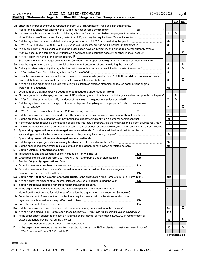| Form 990 (2020) |  | JAZZ AT ASPEN-SNOWMASS | 84-1220222 | Page |
|-----------------|--|------------------------|------------|------|
|-----------------|--|------------------------|------------|------|

**Part V Statements Regarding Other IRS Filings and Tax Compliance**

*(continued)*

|         | 2a Enter the number of employees reported on Form W-3, Transmittal of Wage and Tax Statements,                                                                                                        |    |                |                         |                            |  |  |  |
|---------|-------------------------------------------------------------------------------------------------------------------------------------------------------------------------------------------------------|----|----------------|-------------------------|----------------------------|--|--|--|
|         | 2a<br>filed for the calendar year ending with or within the year covered by this return                                                                                                               | 10 |                |                         |                            |  |  |  |
| b       | If at least one is reported on line 2a, did the organization file all required federal employment tax returns?                                                                                        |    | 2 <sub>b</sub> | X                       |                            |  |  |  |
|         | <b>Note:</b> If the sum of lines 1a and 2a is greater than 250, you may be required to e-file (see instructions) <i>marrouum</i> manu-                                                                |    |                |                         |                            |  |  |  |
|         | 3a Did the organization have unrelated business gross income of \$1,000 or more during the year?                                                                                                      |    | За             |                         | X.                         |  |  |  |
| b       |                                                                                                                                                                                                       |    | 3b             |                         |                            |  |  |  |
|         | 4a At any time during the calendar year, did the organization have an interest in, or a signature or other authority over, a                                                                          |    |                |                         |                            |  |  |  |
|         | financial account in a foreign country (such as a bank account, securities account, or other financial account)?                                                                                      |    | 4a             |                         | x                          |  |  |  |
|         | <b>b</b> If "Yes," enter the name of the foreign country                                                                                                                                              |    |                |                         |                            |  |  |  |
|         | See instructions for filing requirements for FinCEN Form 114, Report of Foreign Bank and Financial Accounts (FBAR).                                                                                   |    |                |                         |                            |  |  |  |
|         |                                                                                                                                                                                                       |    | 5а             |                         | х<br>$\overline{\text{x}}$ |  |  |  |
| b       |                                                                                                                                                                                                       |    | 5 <sub>b</sub> |                         |                            |  |  |  |
| c       | 6a Does the organization have annual gross receipts that are normally greater than \$100,000, and did the organization solicit                                                                        |    | 5 <sub>c</sub> |                         |                            |  |  |  |
|         | any contributions that were not tax deductible as charitable contributions?                                                                                                                           |    | 6а             |                         | x                          |  |  |  |
| b       | If "Yes," did the organization include with every solicitation an express statement that such contributions or gifts                                                                                  |    |                |                         |                            |  |  |  |
|         | were not tax deductible?                                                                                                                                                                              |    | 6b             |                         |                            |  |  |  |
| 7       | Organizations that may receive deductible contributions under section 170(c).                                                                                                                         |    |                |                         |                            |  |  |  |
| a       | Did the organization receive a payment in excess of \$75 made partly as a contribution and partly for goods and services provided to the payor?                                                       |    | 7a             | х                       |                            |  |  |  |
| b       |                                                                                                                                                                                                       |    | 7b             | $\overline{\textbf{x}}$ |                            |  |  |  |
| c       | Did the organization sell, exchange, or otherwise dispose of tangible personal property for which it was required                                                                                     |    |                |                         |                            |  |  |  |
|         | to file Form 8282?                                                                                                                                                                                    |    | 7c             |                         | x                          |  |  |  |
| d       | 7d                                                                                                                                                                                                    |    |                |                         |                            |  |  |  |
|         | Did the organization receive any funds, directly or indirectly, to pay premiums on a personal benefit contract?                                                                                       |    |                |                         |                            |  |  |  |
| Ť.      | Did the organization, during the year, pay premiums, directly or indirectly, on a personal benefit contract?                                                                                          |    |                |                         |                            |  |  |  |
| g       | If the organization received a contribution of qualified intellectual property, did the organization file Form 8899 as required?                                                                      |    |                |                         |                            |  |  |  |
| h       | If the organization received a contribution of cars, boats, airplanes, or other vehicles, did the organization file a Form 1098-C?                                                                    |    |                |                         |                            |  |  |  |
| 8       | Sponsoring organizations maintaining donor advised funds. Did a donor advised fund maintained by the                                                                                                  |    |                |                         |                            |  |  |  |
|         | sponsoring organization have excess business holdings at any time during the year?<br>and a series of the contract of the contract of the contract of the contract of the contract of the contract of |    | 8              |                         |                            |  |  |  |
| 9       | Sponsoring organizations maintaining donor advised funds.                                                                                                                                             |    |                |                         |                            |  |  |  |
| а       | Did the sponsoring organization make any taxable distributions under section 4966?                                                                                                                    |    | 9а             |                         |                            |  |  |  |
| b       |                                                                                                                                                                                                       |    | 9b             |                         |                            |  |  |  |
| 10      | Section 501(c)(7) organizations. Enter:                                                                                                                                                               |    |                |                         |                            |  |  |  |
| а       | 10a<br>10 <sub>b</sub>                                                                                                                                                                                |    |                |                         |                            |  |  |  |
| b<br>11 | Gross receipts, included on Form 990, Part VIII, line 12, for public use of club facilities<br>Section 501(c)(12) organizations. Enter:                                                               |    |                |                         |                            |  |  |  |
|         | 11a                                                                                                                                                                                                   |    |                |                         |                            |  |  |  |
| b       | Gross income from other sources (Do not net amounts due or paid to other sources against                                                                                                              |    |                |                         |                            |  |  |  |
|         | amounts due or received from them.)<br>11b                                                                                                                                                            |    |                |                         |                            |  |  |  |
|         | 12a Section 4947(a)(1) non-exempt charitable trusts. Is the organization filing Form 990 in lieu of Form 1041?                                                                                        |    | 12a            |                         |                            |  |  |  |
|         | 12 <sub>b</sub><br><b>b</b> If "Yes," enter the amount of tax-exempt interest received or accrued during the year                                                                                     |    |                |                         |                            |  |  |  |
| 13      | Section 501(c)(29) qualified nonprofit health insurance issuers.                                                                                                                                      |    |                |                         |                            |  |  |  |
|         | a Is the organization licensed to issue qualified health plans in more than one state?                                                                                                                |    | 13a            |                         |                            |  |  |  |
|         | <b>Note:</b> See the instructions for additional information the organization must report on Schedule O.                                                                                              |    |                |                         |                            |  |  |  |
|         | <b>b</b> Enter the amount of reserves the organization is required to maintain by the states in which the                                                                                             |    |                |                         |                            |  |  |  |
|         | 13 <sub>b</sub>                                                                                                                                                                                       |    |                |                         |                            |  |  |  |
| с       | 13 <sub>c</sub><br>Enter the amount of reserves on hand                                                                                                                                               |    |                |                         |                            |  |  |  |
|         | 14a Did the organization receive any payments for indoor tanning services during the tax year?                                                                                                        |    | 14a            |                         | х                          |  |  |  |
|         | <b>b</b> If "Yes," has it filed a Form 720 to report these payments? If "No," provide an explanation on Schedule O                                                                                    |    |                |                         |                            |  |  |  |
| 15      | Is the organization subject to the section 4960 tax on payment(s) of more than \$1,000,000 in remuneration or                                                                                         |    |                |                         |                            |  |  |  |
|         |                                                                                                                                                                                                       |    | 15             |                         | x.                         |  |  |  |
|         | If "Yes," see instructions and file Form 4720, Schedule N.                                                                                                                                            |    |                |                         |                            |  |  |  |
| 16      | Is the organization an educational institution subject to the section 4968 excise tax on net investment income?                                                                                       |    | 16             |                         | х                          |  |  |  |
|         | If "Yes," complete Form 4720, Schedule O.                                                                                                                                                             |    |                |                         |                            |  |  |  |

Form (2020) **990**

032005 12-23-20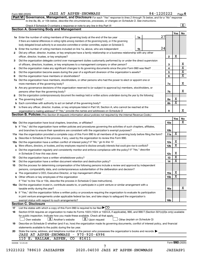| Form 990 (2020) |  |
|-----------------|--|
|-----------------|--|

#### Form 990 (2020)  $JAZZ$   $AT$   $ASPEN-SNOWMASS$   $84-1220222$   $Page$

**Part VI** Governance, Management, and Disclosure For each "Yes" response to lines 2 through 7b below, and for a "No" response *to line 8a, 8b, or 10b below, describe the circumstances, processes, or changes on Schedule O. See instructions.*

|     | Check if Schedule O contains a response or note to any line in this Part VI [1] [1] [1] [1] [1] [1] [1] [1] [1                                                                                                                |  |    |    |                 |                         | $\mathbf{X}$                 |
|-----|-------------------------------------------------------------------------------------------------------------------------------------------------------------------------------------------------------------------------------|--|----|----|-----------------|-------------------------|------------------------------|
|     | <b>Section A. Governing Body and Management</b>                                                                                                                                                                               |  |    |    |                 |                         |                              |
|     |                                                                                                                                                                                                                               |  |    | 27 |                 | Yes                     | No                           |
|     | 1a Enter the number of voting members of the governing body at the end of the tax year                                                                                                                                        |  | 1a |    |                 |                         |                              |
|     | If there are material differences in voting rights among members of the governing body, or if the governing                                                                                                                   |  |    |    |                 |                         |                              |
|     | body delegated broad authority to an executive committee or similar committee, explain on Schedule O.                                                                                                                         |  |    |    |                 |                         |                              |
| b   | Enter the number of voting members included on line 1a, above, who are independent                                                                                                                                            |  | 1b | 24 |                 |                         |                              |
| 2   | Did any officer, director, trustee, or key employee have a family relationship or a business relationship with any other                                                                                                      |  |    |    |                 |                         |                              |
|     | officer, director, trustee, or key employee?                                                                                                                                                                                  |  |    |    | $\mathbf{2}$    | X                       |                              |
| 3   | Did the organization delegate control over management duties customarily performed by or under the direct supervision                                                                                                         |  |    |    |                 |                         |                              |
|     |                                                                                                                                                                                                                               |  |    |    | 3               |                         | х<br>$\overline{\mathtt{x}}$ |
| 4   | Did the organization make any significant changes to its governing documents since the prior Form 990 was filed?                                                                                                              |  |    |    | 4               |                         | $\overline{\mathbf{X}}$      |
| 5   |                                                                                                                                                                                                                               |  |    |    | 5               |                         |                              |
| 6   |                                                                                                                                                                                                                               |  |    |    | 6               |                         |                              |
| 7a  | Did the organization have members, stockholders, or other persons who had the power to elect or appoint one or                                                                                                                |  |    |    |                 |                         |                              |
|     |                                                                                                                                                                                                                               |  |    |    | 7a              |                         | х                            |
| b   | Are any governance decisions of the organization reserved to (or subject to approval by) members, stockholders, or                                                                                                            |  |    |    |                 |                         |                              |
|     |                                                                                                                                                                                                                               |  |    |    | 7b              |                         | x                            |
| 8   | Did the organization contemporaneously document the meetings held or written actions undertaken during the year by the following:                                                                                             |  |    |    |                 |                         |                              |
| а   |                                                                                                                                                                                                                               |  |    |    | 8а              | х                       |                              |
| b   |                                                                                                                                                                                                                               |  |    |    | 8b              | $\overline{\mathbf{x}}$ |                              |
| 9   | Is there any officer, director, trustee, or key employee listed in Part VII, Section A, who cannot be reached at the                                                                                                          |  |    |    |                 |                         |                              |
|     |                                                                                                                                                                                                                               |  |    |    | 9               |                         |                              |
|     | <b>Section B. Policies</b> (This Section B requests information about policies not required by the Internal Revenue Code.)                                                                                                    |  |    |    |                 |                         |                              |
|     |                                                                                                                                                                                                                               |  |    |    |                 | Yes                     | No                           |
|     |                                                                                                                                                                                                                               |  |    |    | 10a             |                         |                              |
|     | <b>b</b> If "Yes," did the organization have written policies and procedures governing the activities of such chapters, affiliates,                                                                                           |  |    |    |                 |                         |                              |
|     |                                                                                                                                                                                                                               |  |    |    | 10b             |                         |                              |
|     | 11a Has the organization provided a complete copy of this Form 990 to all members of its governing body before filing the form?                                                                                               |  |    |    | 11a             | X                       |                              |
|     | <b>b</b> Describe in Schedule O the process, if any, used by the organization to review this Form 990.                                                                                                                        |  |    |    |                 |                         |                              |
| 12a |                                                                                                                                                                                                                               |  |    |    | 12a             | х                       |                              |
| b   | Were officers, directors, or trustees, and key employees required to disclose annually interests that could give rise to conflicts?                                                                                           |  |    |    | 12 <sub>b</sub> | $\overline{\mathbf{X}}$ |                              |
| с   | Did the organization regularly and consistently monitor and enforce compliance with the policy? If "Yes," describe                                                                                                            |  |    |    |                 |                         |                              |
|     |                                                                                                                                                                                                                               |  |    |    | 12c             | Х                       |                              |
| 13  |                                                                                                                                                                                                                               |  |    |    | 13              | $\overline{\mathbf{X}}$ |                              |
| 14  | Did the organization have a written document retention and destruction policy? [11] manufaction manufaction in                                                                                                                |  |    |    | 14              | $\overline{\mathbf{X}}$ |                              |
| 15  | Did the process for determining compensation of the following persons include a review and approval by independent                                                                                                            |  |    |    |                 |                         |                              |
|     | persons, comparability data, and contemporaneous substantiation of the deliberation and decision?                                                                                                                             |  |    |    |                 |                         |                              |
| а   | The organization's CEO, Executive Director, or top management official [111] [11] manument content of the organization's CEO, Executive Director, or top management official [11] manument content of the organization of the |  |    |    | 15a             | х                       |                              |
|     |                                                                                                                                                                                                                               |  |    |    | 15 <sub>b</sub> | $\overline{\textbf{x}}$ |                              |
|     | If "Yes" to line 15a or 15b, describe the process in Schedule O (see instructions).                                                                                                                                           |  |    |    |                 |                         |                              |
|     | 16a Did the organization invest in, contribute assets to, or participate in a joint venture or similar arrangement with a                                                                                                     |  |    |    |                 |                         |                              |
|     |                                                                                                                                                                                                                               |  |    |    |                 |                         |                              |
|     | taxable entity during the year?<br>b If "Yes," did the organization follow a written policy or procedure requiring the organization to evaluate its participation                                                             |  |    |    | 16a             |                         |                              |
|     |                                                                                                                                                                                                                               |  |    |    |                 |                         |                              |
|     | in joint venture arrangements under applicable federal tax law, and take steps to safeguard the organization's                                                                                                                |  |    |    |                 |                         |                              |
|     | exempt status with respect to such arrangements?<br><b>Section C. Disclosure</b>                                                                                                                                              |  |    |    | 16b             |                         |                              |
| 17  | List the states with which a copy of this Form 990 is required to be filed $\blacktriangleright$ CO                                                                                                                           |  |    |    |                 |                         |                              |
| 18  | Section 6104 requires an organization to make its Forms 1023 (1024 or 1024-A, if applicable), 990, and 990-T (Section 501(c)(3)s only) available                                                                              |  |    |    |                 |                         |                              |
|     | for public inspection. Indicate how you made these available. Check all that apply.                                                                                                                                           |  |    |    |                 |                         |                              |
|     | $\lfloor x \rfloor$ Upon request<br>$\lfloor X \rfloor$ Another's website<br>Own website<br>Other (explain on Schedule O)                                                                                                     |  |    |    |                 |                         |                              |
|     | Describe on Schedule O whether (and if so, how) the organization made its governing documents, conflict of interest policy, and financial                                                                                     |  |    |    |                 |                         |                              |
| 19  | statements available to the public during the tax year.                                                                                                                                                                       |  |    |    |                 |                         |                              |
|     | State the name, address, and telephone number of the person who possesses the organization's books and records                                                                                                                |  |    |    |                 |                         |                              |
| 20  | JASS AT ASPEN-SNOWMASS - 970-920-4996                                                                                                                                                                                         |  |    |    |                 |                         |                              |
|     | 81611<br>110 E. HALLAM, ASPEN,<br>CO                                                                                                                                                                                          |  |    |    |                 |                         |                              |
|     | 032006 12-23-20                                                                                                                                                                                                               |  |    |    |                 | Form 990 (2020)         |                              |
|     | 7                                                                                                                                                                                                                             |  |    |    |                 |                         |                              |
|     | 19221022 788610 JAZZASPEN<br>2020.04030 JAZZ AT ASPEN-SNOWMASS                                                                                                                                                                |  |    |    |                 | JAZZASP1                |                              |
|     |                                                                                                                                                                                                                               |  |    |    |                 |                         |                              |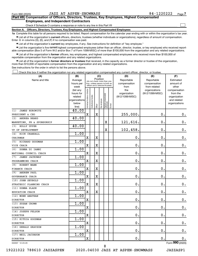$\Box$ 

| Part VII Compensation of Officers, Directors, Trustees, Key Employees, Highest Compensated |  |  |
|--------------------------------------------------------------------------------------------|--|--|
| <b>Employees, and Independent Contractors</b>                                              |  |  |

Check if Schedule O contains a response or note to any line in this Part VII

**Section A. Officers, Directors, Trustees, Key Employees, and Highest Compensated Employees**

**1a**  Complete this table for all persons required to be listed. Report compensation for the calendar year ending with or within the organization's tax year.  $\bullet$  List all of the organization's current officers, directors, trustees (whether individuals or organizations), regardless of amount of compensation.

Enter -0- in columns (D), (E), and (F) if no compensation was paid.

**•** List all of the organization's current key employees, if any. See instructions for definition of "key employee."

• List the organization's five *current* highest compensated employees (other than an officer, director, trustee, or key employee) who received reportable compensation (Box 5 of Form W-2 and/or Box 7 of Form 1099-MISC) of more than \$100,000 from the organization and any related organizations.

 $\bullet$  List all of the organization's former officers, key employees, and highest compensated employees who received more than \$100,000 of reportable compensation from the organization and any related organizations.

**•** List all of the organization's former directors or trustees that received, in the capacity as a former director or trustee of the organization, more than \$10,000 of reportable compensation from the organization and any related organizations.

See instructions for the order in which to list the persons above.

Check this box if neither the organization nor any related organization compensated any current officer, director, or trustee.  $\Box$ 

| (A)                          | (B)                      |                                |                                 | (C)         |              |                                   |        | (D)             | (E)                                                                                                                                                                                                                                                        | (F)                         |
|------------------------------|--------------------------|--------------------------------|---------------------------------|-------------|--------------|-----------------------------------|--------|-----------------|------------------------------------------------------------------------------------------------------------------------------------------------------------------------------------------------------------------------------------------------------------|-----------------------------|
| Name and title               | Average                  |                                | (do not check more than one     |             | Position     |                                   |        | Reportable      | Reportable                                                                                                                                                                                                                                                 | Estimated                   |
|                              | hours per                |                                | box, unless person is both an   |             |              |                                   |        | compensation    | compensation                                                                                                                                                                                                                                               | amount of                   |
|                              | week                     |                                | officer and a director/trustee) |             |              |                                   |        | from            | from related<br>organizations<br>(W-2/1099-MISC)<br>$\mathbf 0$ .<br>$\mathbf 0$ .<br>$\mathbf 0$ .<br>$\mathbf 0$ .<br>$\mathbf 0$ .<br>$\mathbf 0$ .<br>$\mathbf 0$ .<br>$\mathbf 0$ .<br>$\mathbf 0$ .<br>$\mathbf 0$ .<br>$\mathbf 0$<br>$\mathbf 0$ . | other                       |
|                              | (list any                |                                |                                 |             |              |                                   |        | the             |                                                                                                                                                                                                                                                            | compensation                |
|                              | hours for                |                                |                                 |             |              |                                   |        | organization    |                                                                                                                                                                                                                                                            | from the                    |
|                              | related<br>organizations |                                |                                 |             |              |                                   |        | (W-2/1099-MISC) |                                                                                                                                                                                                                                                            | organization<br>and related |
|                              | below                    |                                |                                 |             |              |                                   |        |                 |                                                                                                                                                                                                                                                            | organizations               |
|                              | line)                    | Individual trustee or director | nstitutional trustee            | Officer     | Key employee | Highest compensated<br>  employee | Former |                 |                                                                                                                                                                                                                                                            |                             |
| <b>JAMES HOROWITZ</b><br>(1) | 40.00                    |                                |                                 |             |              |                                   |        |                 |                                                                                                                                                                                                                                                            |                             |
| PRESIDENT & CEO              |                          | $\mathbf x$                    |                                 | $\mathbf X$ |              |                                   |        | 255,000.        |                                                                                                                                                                                                                                                            | 0.                          |
| (2)<br>ANDREA BEARD          | 40.00                    |                                |                                 |             |              |                                   |        |                 |                                                                                                                                                                                                                                                            |                             |
| MARKETING, PR & SPONSORHIP   |                          |                                |                                 |             |              | $\mathbf X$                       |        | 121,616.        |                                                                                                                                                                                                                                                            | 0.                          |
| HOLLY UPPER<br>(3)           | 40.00                    |                                |                                 |             |              |                                   |        |                 |                                                                                                                                                                                                                                                            |                             |
| VP OF DEVELOPMENT            |                          |                                |                                 |             |              | $\mathbf X$                       |        | 102,458.        |                                                                                                                                                                                                                                                            | $\mathbf 0$ .               |
| RICK CRANDALL<br>(4)         | 1.00                     |                                |                                 |             |              |                                   |        |                 |                                                                                                                                                                                                                                                            |                             |
| CHAIRMAN                     |                          | $\mathbf X$                    |                                 | $\mathbf X$ |              |                                   |        | $\mathbf 0$ .   |                                                                                                                                                                                                                                                            | $\mathbf 0$ .               |
| (5)<br>RICHARD GOODMAN       | 1.00                     |                                |                                 |             |              |                                   |        |                 |                                                                                                                                                                                                                                                            |                             |
| VICE CHAIR                   |                          | $\mathbf X$                    |                                 | X           |              |                                   |        | $\mathbf 0$ .   |                                                                                                                                                                                                                                                            | $\mathbf 0$ .               |
| DONNA DI IANNI<br>(6)        | 1.00                     |                                |                                 |             |              |                                   |        |                 |                                                                                                                                                                                                                                                            |                             |
| NATIONAL COUNCIL CHAIR       |                          | $\mathbf X$                    |                                 | $\mathbf X$ |              |                                   |        | $\mathbf 0$ .   |                                                                                                                                                                                                                                                            | $\mathbf 0$ .               |
| <b>JAMES JACKOWAY</b><br>(7) | 1.00                     |                                |                                 |             |              |                                   |        |                 |                                                                                                                                                                                                                                                            |                             |
| PROGRAMMING CHAIR            |                          | $\mathbf X$                    |                                 | $\mathbf X$ |              |                                   |        | $\mathbf 0$ .   |                                                                                                                                                                                                                                                            | $\mathbf 0$ .               |
| ROBERT MANN<br>(8)           | 1.00                     |                                |                                 |             |              |                                   |        |                 |                                                                                                                                                                                                                                                            |                             |
| FINANCE CHAIR                |                          | $\mathbf X$                    |                                 | $\mathbf X$ |              |                                   |        | $\mathbf 0$ .   |                                                                                                                                                                                                                                                            | 0.                          |
| ANDREW PAUL<br>(9)           | 1.00                     |                                |                                 |             |              |                                   |        |                 |                                                                                                                                                                                                                                                            |                             |
| <b>GOVERNANCE CHAIR</b>      |                          | X                              |                                 | $\mathbf X$ |              |                                   |        | 0.              |                                                                                                                                                                                                                                                            | $\mathbf 0$ .               |
| (10) JOHN SEYBOLD            | 1.00                     |                                |                                 |             |              |                                   |        |                 |                                                                                                                                                                                                                                                            |                             |
| STRATEGIC PLANNING CHAIR     |                          | X                              |                                 | $\mathbf X$ |              |                                   |        | 0.              |                                                                                                                                                                                                                                                            | $\mathbf 0$ .               |
| (11) DONNA SLADE             | 1.00                     |                                |                                 |             |              |                                   |        |                 |                                                                                                                                                                                                                                                            |                             |
| EDUCATION CHAIR              |                          | X                              |                                 | $\mathbf X$ |              |                                   |        | $\mathbf 0$ .   |                                                                                                                                                                                                                                                            | $\mathbf 0$ .               |
| (12) MONE ANATHAN            | 1.00                     |                                |                                 |             |              |                                   |        |                 |                                                                                                                                                                                                                                                            |                             |
| <b>DIRECTOR</b>              |                          | $\mathbf X$                    |                                 |             |              |                                   |        | $\mathbf 0$ .   |                                                                                                                                                                                                                                                            | $\mathbf 0$ .               |
| (13) SUSAN CROWN             | 1.00                     |                                |                                 |             |              |                                   |        |                 |                                                                                                                                                                                                                                                            |                             |
| <b>DIRECTOR</b>              |                          | $\mathbf X$                    |                                 |             |              |                                   |        | $\mathbf 0$ .   | $\mathbf 0$ .                                                                                                                                                                                                                                              | $\mathbf 0$ .               |
| (14) JOSEPH FELSON           | 1.00                     |                                |                                 |             |              |                                   |        |                 |                                                                                                                                                                                                                                                            |                             |
| <b>DIRECTOR</b>              |                          | $\mathbf X$                    |                                 |             |              |                                   |        | 0.              | $\mathbf 0$ .                                                                                                                                                                                                                                              | $\mathbf 0$ .               |
| (15) KITZIA GOODMAN          | 1.00                     |                                |                                 |             |              |                                   |        |                 |                                                                                                                                                                                                                                                            |                             |
| <b>DIRECTOR</b>              |                          | $\mathbf X$                    |                                 |             |              |                                   |        | $\mathbf 0$ .   | $\mathbf 0$ .                                                                                                                                                                                                                                              | 0.                          |
| (16) GERALD GRAYSON          | 1.00                     |                                |                                 |             |              |                                   |        |                 |                                                                                                                                                                                                                                                            |                             |
| <b>DIRECTOR</b>              |                          | $\mathbf X$                    |                                 |             |              |                                   |        | 0.              | $\mathbf 0$ .                                                                                                                                                                                                                                              | $\mathbf 0$ .               |
| (17) NEIL JACOBSON           | 1.00                     |                                |                                 |             |              |                                   |        |                 |                                                                                                                                                                                                                                                            |                             |
| <b>DIRECTOR</b>              |                          | $\mathbf X$                    |                                 |             |              |                                   |        | 0.              | $\mathbf 0$ .                                                                                                                                                                                                                                              | $0$ .                       |
| 032007 12-23-20              |                          |                                |                                 |             |              |                                   |        |                 |                                                                                                                                                                                                                                                            | Form 990 (2020)             |

19221022 788610 JAZZASPEN 2020.04030 JAZZ AT ASPEN-SNOWMASS JAZZASP1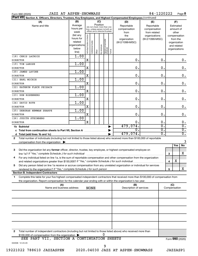| JAZZ AT ASPEN-SNOWMASS<br>Form 990 (2020)                                                                                                                                                                                              |                                                |                    |                       |                                                                  |                 |                                  |        |                                 | 84-1220222                                    |                  |                                                          | Page 8           |
|----------------------------------------------------------------------------------------------------------------------------------------------------------------------------------------------------------------------------------------|------------------------------------------------|--------------------|-----------------------|------------------------------------------------------------------|-----------------|----------------------------------|--------|---------------------------------|-----------------------------------------------|------------------|----------------------------------------------------------|------------------|
| <b>Part VII</b><br>Section A. Officers, Directors, Trustees, Key Employees, and Highest Compensated Employees (continued)                                                                                                              |                                                |                    |                       |                                                                  |                 |                                  |        |                                 |                                               |                  |                                                          |                  |
| (B)<br>(A)<br>Average<br>Name and title                                                                                                                                                                                                |                                                |                    |                       |                                                                  | (C)<br>Position | (do not check more than one      |        | (D)<br>Reportable               | (E)<br>Reportable                             |                  | (F)<br>Estimated                                         |                  |
|                                                                                                                                                                                                                                        | hours per<br>week<br>(list any                 | or director        |                       | box, unless person is both an<br>officer and a director/trustee) |                 |                                  |        | compensation<br>from<br>the     | compensation<br>from related<br>organizations |                  | amount of<br>other<br>compensation                       |                  |
|                                                                                                                                                                                                                                        | hours for<br>related<br>organizations<br>below | Individual trustee | Institutional trustee |                                                                  | Key employee    | Highest compensated<br> employee |        | organization<br>(W-2/1099-MISC) | (W-2/1099-MISC)                               |                  | from the<br>organization<br>and related<br>organizations |                  |
|                                                                                                                                                                                                                                        | line)                                          |                    |                       | Officer                                                          |                 |                                  | Former |                                 |                                               |                  |                                                          |                  |
| (18) CHRIS LACROIX<br><b>DIRECTOR</b>                                                                                                                                                                                                  | 1.00                                           | X                  |                       |                                                                  |                 |                                  |        | 0.                              |                                               | 0.               |                                                          | 0.               |
| (19) TIM LAROSE                                                                                                                                                                                                                        | 1.00                                           |                    |                       |                                                                  |                 |                                  |        |                                 |                                               |                  |                                                          |                  |
| <b>DIRECTOR</b>                                                                                                                                                                                                                        |                                                | X                  |                       |                                                                  |                 |                                  |        | $\mathbf 0$ .                   |                                               | 0.               |                                                          | 0.               |
| (20) JAMES LAVINE                                                                                                                                                                                                                      | 1.00                                           |                    |                       |                                                                  |                 |                                  |        |                                 |                                               |                  |                                                          |                  |
| <b>DIRECTOR</b>                                                                                                                                                                                                                        |                                                | X                  |                       |                                                                  |                 |                                  |        | $\mathbf 0$ .                   |                                               | $\mathbf 0$ .    |                                                          | 0.               |
| (21) EARL MICHIE                                                                                                                                                                                                                       | 1.00                                           |                    |                       |                                                                  |                 |                                  |        |                                 |                                               |                  |                                                          |                  |
| <b>DIRECTOR</b>                                                                                                                                                                                                                        |                                                | X                  |                       |                                                                  |                 |                                  |        | $\mathbf 0$ .                   |                                               | $\mathbf 0$ .    |                                                          | 0.               |
| (22) KATHRYN FLECK PEISACH                                                                                                                                                                                                             | 1.00                                           |                    |                       |                                                                  |                 |                                  |        |                                 |                                               |                  |                                                          |                  |
| <b>DIRECTOR</b>                                                                                                                                                                                                                        |                                                | X                  |                       |                                                                  |                 |                                  |        | $\mathbf 0$ .                   |                                               | $\mathbf 0$ .    |                                                          | 0.               |
| (23) DON ROSENBERG                                                                                                                                                                                                                     | 1.00                                           |                    |                       |                                                                  |                 |                                  |        |                                 |                                               |                  |                                                          |                  |
| <b>DIRECTOR</b>                                                                                                                                                                                                                        |                                                | X                  |                       |                                                                  |                 |                                  |        | $\mathbf 0$ .                   |                                               | $\mathbf 0$ .    |                                                          | 0.               |
| (24) DAVID ROTH                                                                                                                                                                                                                        | 1.00                                           |                    |                       |                                                                  |                 |                                  |        |                                 |                                               |                  |                                                          |                  |
| <b>DIRECTOR</b>                                                                                                                                                                                                                        |                                                | X                  |                       |                                                                  |                 |                                  |        | $\mathbf 0$ .                   |                                               | $\mathbf 0$ .    |                                                          | 0.               |
| (25) DEBORAH NEWMAN SHARPE<br><b>DIRECTOR</b>                                                                                                                                                                                          | 1.00                                           | X                  |                       |                                                                  |                 |                                  |        | $\mathbf 0$ .                   |                                               | $\mathbf 0$ .    |                                                          | $\mathbf 0$ .    |
| (26) JUDITH STEINBERG                                                                                                                                                                                                                  | 1.00                                           |                    |                       |                                                                  |                 |                                  |        |                                 |                                               |                  |                                                          |                  |
| <b>DIRECTOR</b>                                                                                                                                                                                                                        |                                                | X                  |                       |                                                                  |                 |                                  |        | 0.                              |                                               | 0.               |                                                          | 0.               |
| 1b Subtotal                                                                                                                                                                                                                            |                                                |                    |                       | 479,074.                                                         |                 | σ.                               |        | σ.                              |                                               |                  |                                                          |                  |
|                                                                                                                                                                                                                                        |                                                |                    |                       |                                                                  |                 |                                  |        | 0.                              |                                               | σ.               |                                                          | $\overline{0}$ . |
|                                                                                                                                                                                                                                        |                                                |                    |                       |                                                                  |                 |                                  |        | 479,074.                        |                                               | $\overline{0}$ . |                                                          | $\overline{0}$ . |
| Total number of individuals (including but not limited to those listed above) who received more than \$100,000 of reportable<br>2                                                                                                      |                                                |                    |                       |                                                                  |                 |                                  |        |                                 |                                               |                  |                                                          |                  |
| compensation from the organization $\blacktriangleright$                                                                                                                                                                               |                                                |                    |                       |                                                                  |                 |                                  |        |                                 |                                               |                  |                                                          | 3                |
|                                                                                                                                                                                                                                        |                                                |                    |                       |                                                                  |                 |                                  |        |                                 |                                               |                  | Yes                                                      | <b>No</b>        |
| 3<br>Did the organization list any former officer, director, trustee, key employee, or highest compensated employee on                                                                                                                 |                                                |                    |                       |                                                                  |                 |                                  |        |                                 |                                               |                  | 3                                                        | X                |
| For any individual listed on line 1a, is the sum of reportable compensation and other compensation from the organization                                                                                                               |                                                |                    |                       |                                                                  |                 |                                  |        |                                 |                                               |                  | х                                                        |                  |
| and related organizations greater than \$150,000? If "Yes," complete Schedule J for such individual<br>Did any person listed on line 1a receive or accrue compensation from any unrelated organization or individual for services<br>5 |                                                |                    |                       |                                                                  |                 |                                  |        |                                 |                                               |                  | 4                                                        |                  |
|                                                                                                                                                                                                                                        |                                                |                    |                       |                                                                  |                 |                                  |        |                                 |                                               |                  | 5                                                        | x                |
| <b>Section B. Independent Contractors</b>                                                                                                                                                                                              |                                                |                    |                       |                                                                  |                 |                                  |        |                                 |                                               |                  |                                                          |                  |
| Complete this table for your five highest compensated independent contractors that received more than \$100,000 of compensation from<br>1.                                                                                             |                                                |                    |                       |                                                                  |                 |                                  |        |                                 |                                               |                  |                                                          |                  |
| the organization. Report compensation for the calendar year ending with or within the organization's tax year.                                                                                                                         |                                                |                    |                       |                                                                  |                 |                                  |        |                                 |                                               |                  |                                                          |                  |
| (A)<br>Name and business address                                                                                                                                                                                                       |                                                |                    | <b>NONE</b>           |                                                                  |                 |                                  |        | (B)<br>Description of services  |                                               |                  | (C)<br>Compensation                                      |                  |
|                                                                                                                                                                                                                                        |                                                |                    |                       |                                                                  |                 |                                  |        |                                 |                                               |                  |                                                          |                  |
|                                                                                                                                                                                                                                        |                                                |                    |                       |                                                                  |                 |                                  |        |                                 |                                               |                  |                                                          |                  |
|                                                                                                                                                                                                                                        |                                                |                    |                       |                                                                  |                 |                                  |        |                                 |                                               |                  |                                                          |                  |
|                                                                                                                                                                                                                                        |                                                |                    |                       |                                                                  |                 |                                  |        |                                 |                                               |                  |                                                          |                  |
|                                                                                                                                                                                                                                        |                                                |                    |                       |                                                                  |                 |                                  |        |                                 |                                               |                  |                                                          |                  |
|                                                                                                                                                                                                                                        |                                                |                    |                       |                                                                  |                 |                                  |        |                                 |                                               |                  |                                                          |                  |
| Total number of independent contractors (including but not limited to those listed above) who received more than<br>2                                                                                                                  |                                                |                    |                       |                                                                  |                 |                                  |        |                                 |                                               |                  |                                                          |                  |
| \$100,000 of compensation from the organization                                                                                                                                                                                        |                                                |                    |                       |                                                                  |                 | O                                |        |                                 |                                               |                  |                                                          |                  |
| SEE PART VII, SECTION A CONTINUATION SHEETS                                                                                                                                                                                            |                                                |                    |                       |                                                                  |                 |                                  |        |                                 |                                               |                  |                                                          | Form 990 (2020)  |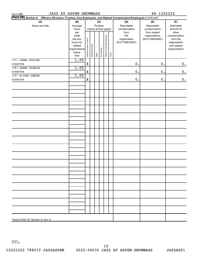| JAZZ AT ASPEN-SNOWMASS<br>Form 990                                                                              |                        | 84-1220222                     |                        |         |              |                              |              |                                 |                 |                          |
|-----------------------------------------------------------------------------------------------------------------|------------------------|--------------------------------|------------------------|---------|--------------|------------------------------|--------------|---------------------------------|-----------------|--------------------------|
| Part VII Section A. Officers, Directors, Trustees, Key Employees, and Highest Compensated Employees (continued) |                        |                                |                        |         |              |                              |              |                                 |                 |                          |
| (A)                                                                                                             | (B)                    | (C)                            |                        |         |              |                              |              | (D)                             | (E)             | (F)                      |
| Name and title                                                                                                  | Average                | Position                       |                        |         |              | Reportable                   | Reportable   | Estimated                       |                 |                          |
|                                                                                                                 | hours                  |                                | (check all that apply) |         |              |                              | compensation | compensation                    | amount of       |                          |
|                                                                                                                 | per                    |                                |                        |         |              |                              |              | from                            | from related    | other                    |
|                                                                                                                 | week                   |                                |                        |         |              |                              |              | the                             | organizations   | compensation             |
|                                                                                                                 | (list any<br>hours for |                                |                        |         |              |                              |              | organization<br>(W-2/1099-MISC) | (W-2/1099-MISC) | from the<br>organization |
|                                                                                                                 | related                |                                |                        |         |              |                              |              |                                 |                 | and related              |
|                                                                                                                 | organizations          |                                |                        |         |              |                              |              |                                 |                 | organizations            |
|                                                                                                                 | below                  | Individual trustee or director | Institutional trustee  |         | Key employee | Highest compensated employee |              |                                 |                 |                          |
|                                                                                                                 | line)                  |                                |                        | Officer |              |                              | Former       |                                 |                 |                          |
| (27) LONNA STOLPER                                                                                              | 1.00                   |                                |                        |         |              |                              |              |                                 |                 |                          |
| <b>DIRECTOR</b>                                                                                                 |                        | $\mathbf X$                    |                        |         |              |                              |              | 0.                              | $0$ .           | $\mathbf 0$ .            |
| (28) SHAWN THOMSON                                                                                              | 1.00                   |                                |                        |         |              |                              |              |                                 |                 |                          |
| <b>DIRECTOR</b>                                                                                                 |                        | X                              |                        |         |              |                              |              | $\mathbf 0$ .                   | $0$ .           | $\mathbf 0$ .            |
| (29) ELISHA ZANDER                                                                                              | 1.00                   |                                |                        |         |              |                              |              |                                 |                 |                          |
| <b>DIRECTOR</b>                                                                                                 |                        | $\mathbf X$                    |                        |         |              |                              |              | $\mathbf 0$ .                   | $0$ .           | $\mathbf 0$ .            |
|                                                                                                                 |                        |                                |                        |         |              |                              |              |                                 |                 |                          |
|                                                                                                                 |                        |                                |                        |         |              |                              |              |                                 |                 |                          |
|                                                                                                                 |                        |                                |                        |         |              |                              |              |                                 |                 |                          |
|                                                                                                                 |                        |                                |                        |         |              |                              |              |                                 |                 |                          |
|                                                                                                                 |                        |                                |                        |         |              |                              |              |                                 |                 |                          |
|                                                                                                                 |                        |                                |                        |         |              |                              |              |                                 |                 |                          |
|                                                                                                                 |                        |                                |                        |         |              |                              |              |                                 |                 |                          |
|                                                                                                                 |                        |                                |                        |         |              |                              |              |                                 |                 |                          |
|                                                                                                                 |                        |                                |                        |         |              |                              |              |                                 |                 |                          |
|                                                                                                                 |                        |                                |                        |         |              |                              |              |                                 |                 |                          |
|                                                                                                                 |                        |                                |                        |         |              |                              |              |                                 |                 |                          |
|                                                                                                                 |                        |                                |                        |         |              |                              |              |                                 |                 |                          |
|                                                                                                                 |                        |                                |                        |         |              |                              |              |                                 |                 |                          |
|                                                                                                                 |                        |                                |                        |         |              |                              |              |                                 |                 |                          |
|                                                                                                                 |                        |                                |                        |         |              |                              |              |                                 |                 |                          |
|                                                                                                                 |                        |                                |                        |         |              |                              |              |                                 |                 |                          |
|                                                                                                                 |                        |                                |                        |         |              |                              |              |                                 |                 |                          |
|                                                                                                                 |                        |                                |                        |         |              |                              |              |                                 |                 |                          |
|                                                                                                                 |                        |                                |                        |         |              |                              |              |                                 |                 |                          |
|                                                                                                                 |                        |                                |                        |         |              |                              |              |                                 |                 |                          |
|                                                                                                                 |                        |                                |                        |         |              |                              |              |                                 |                 |                          |
|                                                                                                                 |                        |                                |                        |         |              |                              |              |                                 |                 |                          |
|                                                                                                                 |                        |                                |                        |         |              |                              |              |                                 |                 |                          |
|                                                                                                                 |                        |                                |                        |         |              |                              |              |                                 |                 |                          |
|                                                                                                                 |                        |                                |                        |         |              |                              |              |                                 |                 |                          |
|                                                                                                                 |                        |                                |                        |         |              |                              |              |                                 |                 |                          |
|                                                                                                                 |                        |                                |                        |         |              |                              |              |                                 |                 |                          |
|                                                                                                                 |                        |                                |                        |         |              |                              |              |                                 |                 |                          |
|                                                                                                                 |                        |                                |                        |         |              |                              |              |                                 |                 |                          |

032201 04-01-20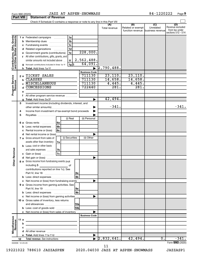| Form 990 (2020)  |                      | <b>JAZZ AT ASPEN-SNOWMASS</b> | 84-1220222 | Page |
|------------------|----------------------|-------------------------------|------------|------|
| <b>Part VIII</b> | Statement of Revenue |                               |            |      |

|                                                           |      |         | Check if Schedule O contains a response or note to any line in this Part VIII                                        |                                                |                      |                                              |                                      |                                                                 |
|-----------------------------------------------------------|------|---------|----------------------------------------------------------------------------------------------------------------------|------------------------------------------------|----------------------|----------------------------------------------|--------------------------------------|-----------------------------------------------------------------|
|                                                           |      |         |                                                                                                                      |                                                | (A)<br>Total revenue | (B)<br>Related or exempt<br>function revenue | (C)<br>Unrelated<br>business revenue | (D)<br>Revenue excluded<br>from tax under<br>sections 512 - 514 |
|                                                           |      |         | 1a<br>1 a Federated campaigns                                                                                        |                                                |                      |                                              |                                      |                                                                 |
| Contributions, Gifts, Grants<br>and Other Similar Amounts |      |         | .<br>1 <sub>b</sub><br><b>b</b> Membership dues                                                                      |                                                |                      |                                              |                                      |                                                                 |
|                                                           |      |         | 1 <sub>c</sub><br>c Fundraising events                                                                               |                                                |                      |                                              |                                      |                                                                 |
|                                                           |      |         | 1 <sub>d</sub><br>d Related organizations<br>.                                                                       |                                                |                      |                                              |                                      |                                                                 |
|                                                           |      |         | 1e<br>e Government grants (contributions)                                                                            | 228,000.                                       |                      |                                              |                                      |                                                                 |
|                                                           |      |         | f All other contributions, gifts, grants, and                                                                        |                                                |                      |                                              |                                      |                                                                 |
|                                                           |      |         | similar amounts not included above<br>1f                                                                             | 2,562,488.                                     |                      |                                              |                                      |                                                                 |
|                                                           |      |         | $1g$ \$<br>Noncash contributions included in lines 1a-1f                                                             | 64,091.                                        |                      |                                              |                                      |                                                                 |
|                                                           |      | g<br>h. |                                                                                                                      | $\blacktriangleright$                          | [2, 790, 488]        |                                              |                                      |                                                                 |
|                                                           |      |         |                                                                                                                      | <b>Business Code</b>                           |                      |                                              |                                      |                                                                 |
|                                                           | 2a   |         | TICKET SALES                                                                                                         | 711130                                         | 23,110.              | 23,110.                                      |                                      |                                                                 |
| Program Service<br>Revenue                                |      | b       | <b>CLASSES</b>                                                                                                       | 711130                                         | 14,658.              | 14,658.                                      |                                      |                                                                 |
|                                                           |      |         | <b>MISCELLANEOUS</b>                                                                                                 | 711130                                         | 4,445.               | 4,445.                                       |                                      |                                                                 |
|                                                           |      | d       | <b>CONCESSIONS</b>                                                                                                   | 722440                                         | 281.                 | 281.                                         |                                      |                                                                 |
|                                                           |      | е       |                                                                                                                      |                                                |                      |                                              |                                      |                                                                 |
|                                                           |      |         | f All other program service revenue                                                                                  |                                                |                      |                                              |                                      |                                                                 |
|                                                           |      | g       |                                                                                                                      | ▶                                              | 42,494.              |                                              |                                      |                                                                 |
|                                                           | 3    |         | Investment income (including dividends, interest, and                                                                |                                                |                      |                                              |                                      |                                                                 |
|                                                           |      |         |                                                                                                                      |                                                | $-341.$              |                                              |                                      | $-341.$                                                         |
|                                                           | 4    |         | Income from investment of tax-exempt bond proceeds                                                                   |                                                |                      |                                              |                                      |                                                                 |
|                                                           | 5    |         |                                                                                                                      |                                                |                      |                                              |                                      |                                                                 |
|                                                           |      |         | (i) Real                                                                                                             | (ii) Personal                                  |                      |                                              |                                      |                                                                 |
|                                                           |      |         | 6 a Gross rents<br>l 6a                                                                                              |                                                |                      |                                              |                                      |                                                                 |
|                                                           |      | b       | 6 <sub>b</sub><br>Less: rental expenses                                                                              |                                                |                      |                                              |                                      |                                                                 |
|                                                           |      | c       | 6c<br>Rental income or (loss)                                                                                        |                                                |                      |                                              |                                      |                                                                 |
|                                                           |      |         | d Net rental income or (loss)                                                                                        |                                                |                      |                                              |                                      |                                                                 |
|                                                           |      |         | (i) Securities<br>7 a Gross amount from sales of                                                                     | (ii) Other                                     |                      |                                              |                                      |                                                                 |
|                                                           |      |         | assets other than inventory<br>7a                                                                                    |                                                |                      |                                              |                                      |                                                                 |
|                                                           |      |         | <b>b</b> Less: cost or other basis                                                                                   |                                                |                      |                                              |                                      |                                                                 |
|                                                           |      |         | and sales expenses<br>7b                                                                                             |                                                |                      |                                              |                                      |                                                                 |
| <b>ther Revenue</b>                                       |      |         | <b>7c</b><br><b>c</b> Gain or (loss) $\ldots$                                                                        |                                                |                      |                                              |                                      |                                                                 |
|                                                           |      |         |                                                                                                                      | ▶                                              |                      |                                              |                                      |                                                                 |
|                                                           |      |         | 8 a Gross income from fundraising events (not                                                                        |                                                |                      |                                              |                                      |                                                                 |
|                                                           |      |         | including \$<br>$\overline{\phantom{a}}$ of                                                                          |                                                |                      |                                              |                                      |                                                                 |
|                                                           |      |         | contributions reported on line 1c). See                                                                              |                                                |                      |                                              |                                      |                                                                 |
|                                                           |      |         | 8a                                                                                                                   |                                                |                      |                                              |                                      |                                                                 |
|                                                           |      |         | 8b<br>b Less: direct expenses                                                                                        |                                                |                      |                                              |                                      |                                                                 |
|                                                           |      |         | c Net income or (loss) from fundraising events                                                                       | .                                              |                      |                                              |                                      |                                                                 |
|                                                           |      |         | 9 a Gross income from gaming activities. See                                                                         |                                                |                      |                                              |                                      |                                                                 |
|                                                           |      |         | 9a                                                                                                                   |                                                |                      |                                              |                                      |                                                                 |
|                                                           |      |         | 9 <sub>b</sub><br><b>b</b> Less: direct expenses <b>manually</b>                                                     |                                                |                      |                                              |                                      |                                                                 |
|                                                           |      |         | c Net income or (loss) from gaming activities                                                                        |                                                |                      |                                              |                                      |                                                                 |
|                                                           |      |         | 10 a Gross sales of inventory, less returns                                                                          |                                                |                      |                                              |                                      |                                                                 |
|                                                           |      |         | 10a                                                                                                                  |                                                |                      |                                              |                                      |                                                                 |
|                                                           |      |         | 10bl<br><b>b</b> Less: cost of goods sold                                                                            |                                                |                      |                                              |                                      |                                                                 |
|                                                           |      |         | c Net income or (loss) from sales of inventory                                                                       |                                                |                      |                                              |                                      |                                                                 |
|                                                           |      |         |                                                                                                                      | <b>Business Code</b>                           |                      |                                              |                                      |                                                                 |
| Miscellaneous<br>Revenue                                  | 11 a |         | <u> 1980 - Johann Stein, marwolaethau a bhann an t-Amhain an t-Amhain an t-Amhain an t-Amhain an t-Amhain an t-A</u> |                                                |                      |                                              |                                      |                                                                 |
|                                                           |      | b       |                                                                                                                      |                                                |                      |                                              |                                      |                                                                 |
|                                                           |      | c       | <u> 1990 - Jan Barnett, fransk politiker (d. 1980)</u>                                                               |                                                |                      |                                              |                                      |                                                                 |
|                                                           |      |         |                                                                                                                      |                                                |                      |                                              |                                      |                                                                 |
|                                                           |      |         |                                                                                                                      | $\blacktriangleright$<br>$\blacktriangleright$ | 2,832,641.           | 42,494.                                      | $\overline{0}$ .                     | $-341.$                                                         |
|                                                           | 12   |         |                                                                                                                      |                                                |                      |                                              |                                      | Form 990 (2020)                                                 |
| 032009 12-23-20                                           |      |         |                                                                                                                      |                                                |                      |                                              |                                      |                                                                 |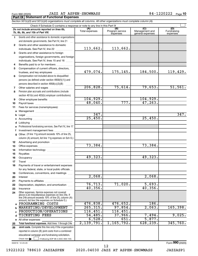#### Form 990 (2020)  $JAZZ \, AT \, ASPEN-SNOWMASS \hspace{1.5cm} 84-1220222 \, Page$

| <b>Part IX Statement of Functional Expenses</b>                                                                            |  |  |
|----------------------------------------------------------------------------------------------------------------------------|--|--|
| Section 501(c)(3) and 501(c)(4) organizations must complete all columns. All other organizations must complete column (A). |  |  |
| Check if Schedule O contains a response or note to any line in this Part IX.                                               |  |  |
|                                                                                                                            |  |  |

|              | Do not include amounts reported on lines 6b,<br>7b, 8b, 9b, and 10b of Part VIII.                                                                        | (A)<br>Total expenses | (B)<br>Program service<br>expenses | (C)<br>Management and<br>general expenses | (D)<br>Fundraising<br>expenses |  |  |  |  |  |
|--------------|----------------------------------------------------------------------------------------------------------------------------------------------------------|-----------------------|------------------------------------|-------------------------------------------|--------------------------------|--|--|--|--|--|
| 1.           | Grants and other assistance to domestic organizations                                                                                                    |                       |                                    |                                           |                                |  |  |  |  |  |
|              | and domestic governments. See Part IV, line 21                                                                                                           |                       |                                    |                                           |                                |  |  |  |  |  |
| $\mathbf{2}$ | Grants and other assistance to domestic                                                                                                                  |                       |                                    |                                           |                                |  |  |  |  |  |
|              | individuals. See Part IV, line 22                                                                                                                        | 113,662.              | 113,662.                           |                                           |                                |  |  |  |  |  |
| 3            | Grants and other assistance to foreign                                                                                                                   |                       |                                    |                                           |                                |  |  |  |  |  |
|              | organizations, foreign governments, and foreign                                                                                                          |                       |                                    |                                           |                                |  |  |  |  |  |
|              | individuals. See Part IV, lines 15 and 16                                                                                                                |                       |                                    |                                           |                                |  |  |  |  |  |
| 4            | Benefits paid to or for members                                                                                                                          |                       |                                    |                                           |                                |  |  |  |  |  |
| 5            | Compensation of current officers, directors,                                                                                                             |                       |                                    |                                           |                                |  |  |  |  |  |
|              | trustees, and key employees                                                                                                                              | 479,074.              | 175,145.                           | 184,500.                                  | 119,429.                       |  |  |  |  |  |
| 6            | Compensation not included above to disqualified                                                                                                          |                       |                                    |                                           |                                |  |  |  |  |  |
|              | persons (as defined under section $4958(f)(1)$ ) and                                                                                                     |                       |                                    |                                           |                                |  |  |  |  |  |
|              | persons described in section 4958(c)(3)(B)                                                                                                               |                       |                                    |                                           |                                |  |  |  |  |  |
| 7            | Other salaries and wages                                                                                                                                 | 206, 828.             | 75,614.                            | 79,653.                                   | 51,561.                        |  |  |  |  |  |
| 8            | Pension plan accruals and contributions (include                                                                                                         |                       |                                    |                                           |                                |  |  |  |  |  |
|              | section 401(k) and 403(b) employer contributions)                                                                                                        |                       |                                    |                                           |                                |  |  |  |  |  |
| 9            |                                                                                                                                                          | 104,929.<br>48,040.   | 777.                               | 104,929.<br>47, 263.                      |                                |  |  |  |  |  |
| 10           |                                                                                                                                                          |                       |                                    |                                           |                                |  |  |  |  |  |
| 11           | Fees for services (nonemployees):                                                                                                                        |                       |                                    |                                           |                                |  |  |  |  |  |
| а            |                                                                                                                                                          | 347.                  |                                    |                                           | 347.                           |  |  |  |  |  |
| b            |                                                                                                                                                          | 25,450.               |                                    | 25,450.                                   |                                |  |  |  |  |  |
| с            |                                                                                                                                                          |                       |                                    |                                           |                                |  |  |  |  |  |
| d            |                                                                                                                                                          |                       |                                    |                                           |                                |  |  |  |  |  |
| е            | Professional fundraising services. See Part IV, line 17                                                                                                  |                       |                                    |                                           |                                |  |  |  |  |  |
| f            | Investment management fees<br>Other. (If line 11g amount exceeds 10% of line 25,                                                                         |                       |                                    |                                           |                                |  |  |  |  |  |
| g            | column (A) amount, list line 11g expenses on Sch O.)                                                                                                     |                       |                                    |                                           |                                |  |  |  |  |  |
| 12           |                                                                                                                                                          |                       |                                    |                                           |                                |  |  |  |  |  |
| 13           |                                                                                                                                                          | 73,384.               |                                    | 73,384.                                   |                                |  |  |  |  |  |
| 14           |                                                                                                                                                          |                       |                                    |                                           |                                |  |  |  |  |  |
| 15           |                                                                                                                                                          |                       |                                    |                                           |                                |  |  |  |  |  |
| 16           |                                                                                                                                                          | 49,323.               |                                    | 49,323.                                   |                                |  |  |  |  |  |
| 17           |                                                                                                                                                          |                       |                                    |                                           |                                |  |  |  |  |  |
| 18           | Payments of travel or entertainment expenses                                                                                                             |                       |                                    |                                           |                                |  |  |  |  |  |
|              | for any federal, state, or local public officials                                                                                                        |                       |                                    |                                           |                                |  |  |  |  |  |
| 19           | Conferences, conventions, and meetings                                                                                                                   |                       |                                    |                                           |                                |  |  |  |  |  |
| 20           | Interest                                                                                                                                                 | 2,068.                |                                    | 2,068.                                    |                                |  |  |  |  |  |
| 21           |                                                                                                                                                          |                       |                                    |                                           |                                |  |  |  |  |  |
| 22           | Depreciation, depletion, and amortization                                                                                                                | 76, 713.              | 71,020.                            | 5,693.                                    |                                |  |  |  |  |  |
| 23           | Insurance                                                                                                                                                | 40, 356.              |                                    | 40,356                                    |                                |  |  |  |  |  |
| 24           | Other expenses. Itemize expenses not covered<br>above (List miscellaneous expenses on line 24e. If<br>line 24e amount exceeds 10% of line 25, column (A) |                       |                                    |                                           |                                |  |  |  |  |  |
|              | amount, list line 24e expenses on Schedule O.)                                                                                                           |                       |                                    |                                           |                                |  |  |  |  |  |
| a            | PROGRAMMING COSTS                                                                                                                                        | 476,838.              | 476,652.                           | <b>186.</b>                               |                                |  |  |  |  |  |
| b            | <b>MARKETING/DEVELOPMENT</b>                                                                                                                             | 265, 315.             | 97,854.                            | 2,063.                                    | 165,398.                       |  |  |  |  |  |
| с            | PRODUCTION/OPERATIONS                                                                                                                                    | 116,451.              | 116,451.                           |                                           |                                |  |  |  |  |  |
| d            | <b>TICKETING FEES</b>                                                                                                                                    | 54,485.               | 37,966.                            | 7,494.                                    | 9,025.                         |  |  |  |  |  |
|              | e All other expenses                                                                                                                                     | 6,528.                | 651                                | 5,877.                                    |                                |  |  |  |  |  |
| 25           | Total functional expenses. Add lines 1 through 24e                                                                                                       | 2,139,791.            | 1,165,792.                         | 628, 239.                                 | 345,760.                       |  |  |  |  |  |
| 26           | <b>Joint costs.</b> Complete this line only if the organization                                                                                          |                       |                                    |                                           |                                |  |  |  |  |  |
|              | reported in column (B) joint costs from a combined                                                                                                       |                       |                                    |                                           |                                |  |  |  |  |  |
|              | educational campaign and fundraising solicitation.                                                                                                       |                       |                                    |                                           |                                |  |  |  |  |  |
|              | Check here<br>if following SOP 98-2 (ASC 958-720)                                                                                                        |                       |                                    |                                           | Form 990 (2020)                |  |  |  |  |  |
|              | 032010 12-23-20                                                                                                                                          |                       |                                    |                                           |                                |  |  |  |  |  |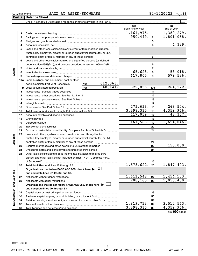| Form 990 (2020) |
|-----------------|
|-----------------|

#### Form 990 (2020)  $JAZZ \, AT \, ASPEN-SNOWMASS \hspace{1.5cm} 84-1220222 \, Page$

| Part X                      | LOLLU AAN (SASA) | UADD AI AULEN DNOWMAUD<br><b>Balance Sheet</b>                                                                                                                                                                                |                          |                 | 07 1440444<br>Page II         |
|-----------------------------|------------------|-------------------------------------------------------------------------------------------------------------------------------------------------------------------------------------------------------------------------------|--------------------------|-----------------|-------------------------------|
|                             |                  |                                                                                                                                                                                                                               |                          |                 |                               |
|                             |                  |                                                                                                                                                                                                                               | (A)<br>Beginning of year |                 | (B)<br>End of year            |
|                             | 1                |                                                                                                                                                                                                                               | 1,161,975.               | $\mathbf{1}$    | 1,389,279.                    |
|                             | 2                |                                                                                                                                                                                                                               | 950, 449.                | $\overline{2}$  | 1,801,068.                    |
|                             | З                |                                                                                                                                                                                                                               |                          | 3               |                               |
|                             | 4                |                                                                                                                                                                                                                               |                          | 4               | 4,339.                        |
|                             | 5                | Loans and other receivables from any current or former officer, director,                                                                                                                                                     |                          |                 |                               |
|                             |                  | trustee, key employee, creator or founder, substantial contributor, or 35%                                                                                                                                                    |                          |                 |                               |
|                             |                  | controlled entity or family member of any of these persons                                                                                                                                                                    |                          | 5               |                               |
|                             | 6                | Loans and other receivables from other disqualified persons (as defined                                                                                                                                                       |                          |                 |                               |
|                             |                  | under section $4958(f)(1)$ , and persons described in section $4958(c)(3)(B)$                                                                                                                                                 |                          | 6               |                               |
|                             | 7                |                                                                                                                                                                                                                               |                          | $\overline{7}$  |                               |
| Assets                      | 8                |                                                                                                                                                                                                                               | 65,628.                  | 8               | 53,018.                       |
|                             | 9                | Prepaid expenses and deferred charges [11] [11] Drepaid expenses and deferred charges [11] [11] Martin Marian Marian Marian Marian Marian Marian Marian Marian Marian Marian Marian Marian Marian Marian Marian Marian Marian | 617,805.                 | 9               | 579,536.                      |
|                             |                  | 10a Land, buildings, and equipment: cost or other                                                                                                                                                                             |                          |                 |                               |
|                             |                  | 612, 363.<br>basis. Complete Part VI of Schedule D  10a                                                                                                                                                                       |                          |                 |                               |
|                             |                  | 348, 141.<br>10 <sub>b</sub>                                                                                                                                                                                                  | 329,855.                 | 10 <sub>c</sub> | 264,222.                      |
|                             | 11               |                                                                                                                                                                                                                               |                          | 11              |                               |
|                             | 12               |                                                                                                                                                                                                                               |                          | 12              |                               |
|                             | 13               |                                                                                                                                                                                                                               |                          | 13              |                               |
|                             | 14               |                                                                                                                                                                                                                               |                          | 14              |                               |
|                             | 15               |                                                                                                                                                                                                                               | 272,623.                 | 15              | 268,504.                      |
|                             | 16               |                                                                                                                                                                                                                               | 3,398,335.               | 16              | 4,359,966.                    |
|                             | 17               |                                                                                                                                                                                                                               | 417,059.                 | 17              | 43,357.                       |
|                             | 18               |                                                                                                                                                                                                                               |                          | 18              |                               |
|                             | 19               |                                                                                                                                                                                                                               | 1, 161, 563.             | 19              | 1,654,046.                    |
|                             | 20               |                                                                                                                                                                                                                               |                          | 20              |                               |
|                             | 21               | Escrow or custodial account liability. Complete Part IV of Schedule D                                                                                                                                                         |                          | 21              |                               |
| Liabilities                 | 22               | Loans and other payables to any current or former officer, director,                                                                                                                                                          |                          |                 |                               |
|                             |                  | trustee, key employee, creator or founder, substantial contributor, or 35%                                                                                                                                                    |                          |                 |                               |
|                             |                  | controlled entity or family member of any of these persons                                                                                                                                                                    |                          | 22              | 150,000.                      |
|                             | 23               | Secured mortgages and notes payable to unrelated third parties                                                                                                                                                                |                          | 23              |                               |
|                             | 24               | Unsecured notes and loans payable to unrelated third parties                                                                                                                                                                  |                          | 24              |                               |
|                             | 25               | Other liabilities (including federal income tax, payables to related third<br>parties, and other liabilities not included on lines 17-24). Complete Part X                                                                    |                          |                 |                               |
|                             |                  | of Schedule D                                                                                                                                                                                                                 |                          | 25              |                               |
|                             | 26               |                                                                                                                                                                                                                               | 1,578,622.               | 26              | 1,847,403.                    |
|                             |                  | Organizations that follow FASB ASC 958, check here $\blacktriangleright \lfloor \underline{X} \rfloor$                                                                                                                        |                          |                 |                               |
|                             |                  | and complete lines 27, 28, 32, and 33.                                                                                                                                                                                        |                          |                 |                               |
|                             | 27               | Net assets without donor restrictions                                                                                                                                                                                         | 1,611,548.               | 27              |                               |
|                             | 28               |                                                                                                                                                                                                                               | 208, 165.                | 28              | $\frac{1,454,103}{1,058,460}$ |
|                             |                  | Organizations that do not follow FASB ASC 958, check here $\blacktriangleright$                                                                                                                                               |                          |                 |                               |
|                             |                  | and complete lines 29 through 33.                                                                                                                                                                                             |                          |                 |                               |
| Net Assets or Fund Balances | 29               |                                                                                                                                                                                                                               |                          | 29              |                               |
|                             | 30               | Paid-in or capital surplus, or land, building, or equipment fund                                                                                                                                                              |                          | 30              |                               |
|                             | 31               | Retained earnings, endowment, accumulated income, or other funds                                                                                                                                                              |                          | 31              |                               |
|                             |                  |                                                                                                                                                                                                                               |                          |                 |                               |
|                             | 32               |                                                                                                                                                                                                                               | 1,819,713.<br>3,398,335. | 32              | 2,512,563.<br>4,359,966.      |

Form (2020) **990**

032011 12-23-20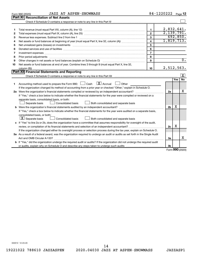|    | <b>JAZZ AT ASPEN-SNOWMASS</b><br>Form 990 (2020)                                                                                |                         | 84-1220222     |            | Page $12$               |
|----|---------------------------------------------------------------------------------------------------------------------------------|-------------------------|----------------|------------|-------------------------|
|    | Part XI<br><b>Reconciliation of Net Assets</b>                                                                                  |                         |                |            |                         |
|    |                                                                                                                                 |                         |                |            |                         |
|    |                                                                                                                                 |                         |                |            |                         |
| 1  |                                                                                                                                 | $\blacksquare$          | 2,832,641.     |            |                         |
| 2  |                                                                                                                                 | $\mathfrak{p}$          | 2,139,791.     |            |                         |
| 3  | Revenue less expenses. Subtract line 2 from line 1                                                                              | $\overline{\mathbf{3}}$ |                |            | 692,850.                |
| 4  |                                                                                                                                 | $\overline{\mathbf{4}}$ | 1,819,713.     |            |                         |
| 5  | Net unrealized gains (losses) on investments [111] www.marting.community.community.community.community.communi                  | 5                       |                |            |                         |
| 6  |                                                                                                                                 | 6                       |                |            |                         |
| 7  | Investment expenses www.communication.com/www.communication.com/www.communication.com/www.com                                   | $\overline{7}$          |                |            |                         |
| 8  | Prior period adjustments www.communication.communication.communication.com/                                                     | 8                       |                |            |                         |
| 9  | Other changes in net assets or fund balances (explain on Schedule O)                                                            | 9                       |                |            | $\overline{0}$ .        |
| 10 | Net assets or fund balances at end of year. Combine lines 3 through 9 (must equal Part X, line 32,                              |                         |                |            |                         |
|    |                                                                                                                                 | 10                      | 2,512,563.     |            |                         |
|    | Part XII Financial Statements and Reporting                                                                                     |                         |                |            |                         |
|    |                                                                                                                                 |                         |                |            | $\overline{\mathbf{X}}$ |
|    |                                                                                                                                 |                         |                | Yes        | <b>No</b>               |
| 1  | $\boxed{\text{X}}$ Accrual<br>Accounting method used to prepare the Form 990: [130] Cash<br>Other                               |                         |                |            |                         |
|    | If the organization changed its method of accounting from a prior year or checked "Other," explain in Schedule O.               |                         |                |            |                         |
|    |                                                                                                                                 |                         | 2a             |            | X                       |
|    | If "Yes," check a box below to indicate whether the financial statements for the year were compiled or reviewed on a            |                         |                |            |                         |
|    | separate basis, consolidated basis, or both:                                                                                    |                         |                |            |                         |
|    | Both consolidated and separate basis<br>Separate basis<br>Consolidated basis                                                    |                         |                |            |                         |
|    | <b>b</b> Were the organization's financial statements audited by an independent accountant?                                     |                         | 2 <sub>b</sub> | х          |                         |
|    | If "Yes," check a box below to indicate whether the financial statements for the year were audited on a separate basis,         |                         |                |            |                         |
|    | consolidated basis, or both:                                                                                                    |                         |                |            |                         |
|    | $ \mathbf{X} $ Separate basis<br>Consolidated basis<br>Both consolidated and separate basis                                     |                         |                |            |                         |
|    | c If "Yes" to line 2a or 2b, does the organization have a committee that assumes responsibility for oversight of the audit,     |                         |                |            |                         |
|    | review, or compilation of its financial statements and selection of an independent accountant?                                  |                         | 2c             | X          |                         |
|    | If the organization changed either its oversight process or selection process during the tax year, explain on Schedule O.       |                         |                |            |                         |
|    | 3a As a result of a federal award, was the organization required to undergo an audit or audits as set forth in the Single Audit |                         |                |            |                         |
|    |                                                                                                                                 |                         | За             |            | x                       |
|    | b If "Yes," did the organization undergo the required audit or audits? If the organization did not undergo the required audit   |                         |                |            |                         |
|    |                                                                                                                                 |                         | 3b             | <b>000</b> |                         |

Form (2020) **990**

032012 12-23-20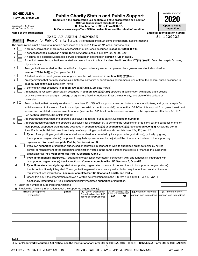**SCHEDULE A**

Department of the Treasury Internal Revenue Service

## Form 990 or 990-EZ) **Public Charity Status and Public Support**<br>
Complete if the organization is a section 501(c)(3) organization or a section<br> **2020**

**4947(a)(1) nonexempt charitable trust. | Attach to Form 990 or Form 990-EZ.** 

**| Go to www.irs.gov/Form990 for instructions and the latest information.**

| <b>Open to Public</b><br>Inspection |
|-------------------------------------|
| r identification numi               |

OMB No. 1545-0047

|                     | Name of the organization                                                                                                                     |                        |                                                        |                                 |    |                                                      |  | <b>Employer identification number</b>              |  |
|---------------------|----------------------------------------------------------------------------------------------------------------------------------------------|------------------------|--------------------------------------------------------|---------------------------------|----|------------------------------------------------------|--|----------------------------------------------------|--|
| Part I              |                                                                                                                                              | JAZZ AT ASPEN-SNOWMASS |                                                        |                                 |    |                                                      |  | 84-1220222                                         |  |
|                     | Reason for Public Charity Status. (All organizations must complete this part.) See instructions.                                             |                        |                                                        |                                 |    |                                                      |  |                                                    |  |
|                     | The organization is not a private foundation because it is: (For lines 1 through 12, check only one box.)                                    |                        |                                                        |                                 |    |                                                      |  |                                                    |  |
| 1.                  | A church, convention of churches, or association of churches described in section 170(b)(1)(A)(i).                                           |                        |                                                        |                                 |    |                                                      |  |                                                    |  |
| 2                   | A school described in section 170(b)(1)(A)(ii). (Attach Schedule E (Form 990 or 990-EZ).)                                                    |                        |                                                        |                                 |    |                                                      |  |                                                    |  |
| з                   | A hospital or a cooperative hospital service organization described in section 170(b)(1)(A)(iii).                                            |                        |                                                        |                                 |    |                                                      |  |                                                    |  |
| 4                   | A medical research organization operated in conjunction with a hospital described in section 170(b)(1)(A)(iii). Enter the hospital's name,   |                        |                                                        |                                 |    |                                                      |  |                                                    |  |
|                     | city, and state:                                                                                                                             |                        |                                                        |                                 |    |                                                      |  |                                                    |  |
| 5.                  | An organization operated for the benefit of a college or university owned or operated by a governmental unit described in                    |                        |                                                        |                                 |    |                                                      |  |                                                    |  |
|                     | section 170(b)(1)(A)(iv). (Complete Part II.)                                                                                                |                        |                                                        |                                 |    |                                                      |  |                                                    |  |
| 6                   | A federal, state, or local government or governmental unit described in section 170(b)(1)(A)(v).                                             |                        |                                                        |                                 |    |                                                      |  |                                                    |  |
| 7                   | An organization that normally receives a substantial part of its support from a governmental unit or from the general public described in    |                        |                                                        |                                 |    |                                                      |  |                                                    |  |
|                     | section 170(b)(1)(A)(vi). (Complete Part II.)                                                                                                |                        |                                                        |                                 |    |                                                      |  |                                                    |  |
| 8                   | A community trust described in section 170(b)(1)(A)(vi). (Complete Part II.)                                                                 |                        |                                                        |                                 |    |                                                      |  |                                                    |  |
| 9                   | An agricultural research organization described in section 170(b)(1)(A)(ix) operated in conjunction with a land-grant college                |                        |                                                        |                                 |    |                                                      |  |                                                    |  |
|                     | or university or a non-land-grant college of agriculture (see instructions). Enter the name, city, and state of the college or               |                        |                                                        |                                 |    |                                                      |  |                                                    |  |
|                     | university:                                                                                                                                  |                        |                                                        |                                 |    |                                                      |  |                                                    |  |
| $10 \quad \text{X}$ | An organization that normally receives (1) more than 33 1/3% of its support from contributions, membership fees, and gross receipts from     |                        |                                                        |                                 |    |                                                      |  |                                                    |  |
|                     | activities related to its exempt functions, subject to certain exceptions; and (2) no more than 33 1/3% of its support from gross investment |                        |                                                        |                                 |    |                                                      |  |                                                    |  |
|                     | income and unrelated business taxable income (less section 511 tax) from businesses acquired by the organization after June 30, 1975.        |                        |                                                        |                                 |    |                                                      |  |                                                    |  |
|                     | See section 509(a)(2). (Complete Part III.)                                                                                                  |                        |                                                        |                                 |    |                                                      |  |                                                    |  |
| 11                  | An organization organized and operated exclusively to test for public safety. See section 509(a)(4).                                         |                        |                                                        |                                 |    |                                                      |  |                                                    |  |
| 12                  | An organization organized and operated exclusively for the benefit of, to perform the functions of, or to carry out the purposes of one or   |                        |                                                        |                                 |    |                                                      |  |                                                    |  |
|                     | more publicly supported organizations described in section 509(a)(1) or section 509(a)(2). See section 509(a)(3). Check the box in           |                        |                                                        |                                 |    |                                                      |  |                                                    |  |
|                     | lines 12a through 12d that describes the type of supporting organization and complete lines 12e, 12f, and 12g.                               |                        |                                                        |                                 |    |                                                      |  |                                                    |  |
| а                   | Type I. A supporting organization operated, supervised, or controlled by its supported organization(s), typically by giving                  |                        |                                                        |                                 |    |                                                      |  |                                                    |  |
|                     | the supported organization(s) the power to regularly appoint or elect a majority of the directors or trustees of the supporting              |                        |                                                        |                                 |    |                                                      |  |                                                    |  |
|                     | organization. You must complete Part IV, Sections A and B.                                                                                   |                        |                                                        |                                 |    |                                                      |  |                                                    |  |
| b                   | Type II. A supporting organization supervised or controlled in connection with its supported organization(s), by having                      |                        |                                                        |                                 |    |                                                      |  |                                                    |  |
|                     | control or management of the supporting organization vested in the same persons that control or manage the supported                         |                        |                                                        |                                 |    |                                                      |  |                                                    |  |
|                     | organization(s). You must complete Part IV, Sections A and C.                                                                                |                        |                                                        |                                 |    |                                                      |  |                                                    |  |
| с                   | Type III functionally integrated. A supporting organization operated in connection with, and functionally integrated with,                   |                        |                                                        |                                 |    |                                                      |  |                                                    |  |
|                     | its supported organization(s) (see instructions). You must complete Part IV, Sections A, D, and E.                                           |                        |                                                        |                                 |    |                                                      |  |                                                    |  |
| d                   | Type III non-functionally integrated. A supporting organization operated in connection with its supported organization(s)                    |                        |                                                        |                                 |    |                                                      |  |                                                    |  |
|                     | that is not functionally integrated. The organization generally must satisfy a distribution requirement and an attentiveness                 |                        |                                                        |                                 |    |                                                      |  |                                                    |  |
|                     | requirement (see instructions). You must complete Part IV, Sections A and D, and Part V.                                                     |                        |                                                        |                                 |    |                                                      |  |                                                    |  |
|                     | Check this box if the organization received a written determination from the IRS that it is a Type I, Type II, Type III                      |                        |                                                        |                                 |    |                                                      |  |                                                    |  |
|                     | functionally integrated, or Type III non-functionally integrated supporting organization.                                                    |                        |                                                        |                                 |    |                                                      |  |                                                    |  |
|                     | f Enter the number of supported organizations                                                                                                |                        |                                                        |                                 |    |                                                      |  |                                                    |  |
|                     | g Provide the following information about the supported organization(s).                                                                     |                        |                                                        | (iv) Is the organization listed |    |                                                      |  |                                                    |  |
|                     | (i) Name of supported<br>organization                                                                                                        | (ii) EIN               | (iii) Type of organization<br>(described on lines 1-10 | in your governing document?     |    | (v) Amount of monetary<br>support (see instructions) |  | (vi) Amount of other<br>support (see instructions) |  |
|                     |                                                                                                                                              |                        | above (see instructions))                              | Yes                             | No |                                                      |  |                                                    |  |
|                     |                                                                                                                                              |                        |                                                        |                                 |    |                                                      |  |                                                    |  |
|                     |                                                                                                                                              |                        |                                                        |                                 |    |                                                      |  |                                                    |  |
|                     |                                                                                                                                              |                        |                                                        |                                 |    |                                                      |  |                                                    |  |
|                     |                                                                                                                                              |                        |                                                        |                                 |    |                                                      |  |                                                    |  |
|                     |                                                                                                                                              |                        |                                                        |                                 |    |                                                      |  |                                                    |  |
|                     |                                                                                                                                              |                        |                                                        |                                 |    |                                                      |  |                                                    |  |
|                     |                                                                                                                                              |                        |                                                        |                                 |    |                                                      |  |                                                    |  |
|                     |                                                                                                                                              |                        |                                                        |                                 |    |                                                      |  |                                                    |  |
|                     |                                                                                                                                              |                        |                                                        |                                 |    |                                                      |  |                                                    |  |
|                     |                                                                                                                                              |                        |                                                        |                                 |    |                                                      |  |                                                    |  |
| Total               |                                                                                                                                              |                        |                                                        |                                 |    |                                                      |  |                                                    |  |

LHA For Paperwork Reduction Act Notice, see the Instructions for Form 990 or 990-EZ. 032021 01-25-21 Schedule A (Form 990 or 990-EZ) 2020 15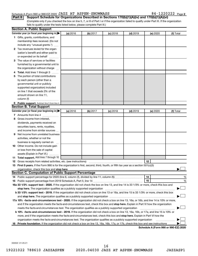#### Schedule A (Form 990 or 990-EZ) 2020  $\rm JAZZ$   $\rm AT$   $\rm ASPEN-SNOWMASS$  84  $-1220222$   $\rm Page$

#### (Complete only if you checked the box on line 5, 7, or 8 of Part I or if the organization failed to qualify under Part III. If the organization fails to qualify under the tests listed below, please complete Part III.) **Part II Support Schedule for Organizations Described in Sections 170(b)(1)(A)(iv) and 170(b)(1)(A)(vi)**

|    | <b>Section A. Public Support</b>                                                                                                                                                                                              |          |          |            |            |                 |           |  |  |
|----|-------------------------------------------------------------------------------------------------------------------------------------------------------------------------------------------------------------------------------|----------|----------|------------|------------|-----------------|-----------|--|--|
|    | Calendar year (or fiscal year beginning in)                                                                                                                                                                                   | (a) 2016 | (b) 2017 | $(c)$ 2018 | $(d)$ 2019 | (e) 2020        | (f) Total |  |  |
|    | 1 Gifts, grants, contributions, and                                                                                                                                                                                           |          |          |            |            |                 |           |  |  |
|    | membership fees received. (Do not                                                                                                                                                                                             |          |          |            |            |                 |           |  |  |
|    | include any "unusual grants.")                                                                                                                                                                                                |          |          |            |            |                 |           |  |  |
|    | 2 Tax revenues levied for the organ-                                                                                                                                                                                          |          |          |            |            |                 |           |  |  |
|    | ization's benefit and either paid to                                                                                                                                                                                          |          |          |            |            |                 |           |  |  |
|    | or expended on its behalf                                                                                                                                                                                                     |          |          |            |            |                 |           |  |  |
| З. | The value of services or facilities                                                                                                                                                                                           |          |          |            |            |                 |           |  |  |
|    | furnished by a governmental unit to                                                                                                                                                                                           |          |          |            |            |                 |           |  |  |
|    | the organization without charge                                                                                                                                                                                               |          |          |            |            |                 |           |  |  |
| 4  | Total. Add lines 1 through 3                                                                                                                                                                                                  |          |          |            |            |                 |           |  |  |
| 5  | The portion of total contributions                                                                                                                                                                                            |          |          |            |            |                 |           |  |  |
|    | by each person (other than a                                                                                                                                                                                                  |          |          |            |            |                 |           |  |  |
|    | governmental unit or publicly                                                                                                                                                                                                 |          |          |            |            |                 |           |  |  |
|    | supported organization) included                                                                                                                                                                                              |          |          |            |            |                 |           |  |  |
|    | on line 1 that exceeds 2% of the                                                                                                                                                                                              |          |          |            |            |                 |           |  |  |
|    | amount shown on line 11,                                                                                                                                                                                                      |          |          |            |            |                 |           |  |  |
|    | column (f)                                                                                                                                                                                                                    |          |          |            |            |                 |           |  |  |
|    | 6 Public support. Subtract line 5 from line 4.                                                                                                                                                                                |          |          |            |            |                 |           |  |  |
|    | <b>Section B. Total Support</b>                                                                                                                                                                                               |          |          |            |            |                 |           |  |  |
|    | Calendar year (or fiscal year beginning in)                                                                                                                                                                                   | (a) 2016 | (b) 2017 | $(c)$ 2018 | $(d)$ 2019 | (e) 2020        | (f) Total |  |  |
|    | 7 Amounts from line 4                                                                                                                                                                                                         |          |          |            |            |                 |           |  |  |
| 8  | Gross income from interest,                                                                                                                                                                                                   |          |          |            |            |                 |           |  |  |
|    | dividends, payments received on                                                                                                                                                                                               |          |          |            |            |                 |           |  |  |
|    | securities loans, rents, royalties,                                                                                                                                                                                           |          |          |            |            |                 |           |  |  |
|    | and income from similar sources                                                                                                                                                                                               |          |          |            |            |                 |           |  |  |
| 9  | Net income from unrelated business                                                                                                                                                                                            |          |          |            |            |                 |           |  |  |
|    | activities, whether or not the                                                                                                                                                                                                |          |          |            |            |                 |           |  |  |
|    | business is regularly carried on                                                                                                                                                                                              |          |          |            |            |                 |           |  |  |
|    | 10 Other income. Do not include gain                                                                                                                                                                                          |          |          |            |            |                 |           |  |  |
|    | or loss from the sale of capital                                                                                                                                                                                              |          |          |            |            |                 |           |  |  |
|    | assets (Explain in Part VI.)                                                                                                                                                                                                  |          |          |            |            |                 |           |  |  |
|    | 11 Total support. Add lines 7 through 10                                                                                                                                                                                      |          |          |            |            |                 |           |  |  |
|    | 12 Gross receipts from related activities, etc. (see instructions)                                                                                                                                                            |          |          |            |            | 12 <sup>2</sup> |           |  |  |
|    | 13 First 5 years. If the Form 990 is for the organization's first, second, third, fourth, or fifth tax year as a section 501(c)(3)                                                                                            |          |          |            |            |                 |           |  |  |
|    |                                                                                                                                                                                                                               |          |          |            |            |                 |           |  |  |
|    | Section C. Computation of Public Support Percentage                                                                                                                                                                           |          |          |            |            |                 |           |  |  |
|    |                                                                                                                                                                                                                               |          |          |            |            | 14              | %         |  |  |
|    |                                                                                                                                                                                                                               |          |          |            |            | 15              | %         |  |  |
|    | 16a 33 1/3% support test - 2020. If the organization did not check the box on line 13, and line 14 is 33 1/3% or more, check this box and                                                                                     |          |          |            |            |                 |           |  |  |
|    | stop here. The organization qualifies as a publicly supported organization manufaction manufacture and the content of the state of the state of the state of the state of the state of the state of the state of the state of |          |          |            |            |                 |           |  |  |
|    | b 33 1/3% support test - 2019. If the organization did not check a box on line 13 or 16a, and line 15 is 33 1/3% or more, check this box                                                                                      |          |          |            |            |                 |           |  |  |
|    |                                                                                                                                                                                                                               |          |          |            |            |                 |           |  |  |
|    | 17a 10% -facts-and-circumstances test - 2020. If the organization did not check a box on line 13, 16a, or 16b, and line 14 is 10% or more,                                                                                    |          |          |            |            |                 |           |  |  |
|    | and if the organization meets the facts-and-circumstances test, check this box and stop here. Explain in Part VI how the organization                                                                                         |          |          |            |            |                 |           |  |  |
|    | meets the facts-and-circumstances test. The organization qualifies as a publicly supported organization                                                                                                                       |          |          |            |            |                 |           |  |  |
|    | b 10% -facts-and-circumstances test - 2019. If the organization did not check a box on line 13, 16a, 16b, or 17a, and line 15 is 10% or                                                                                       |          |          |            |            |                 |           |  |  |
|    | more, and if the organization meets the facts-and-circumstances test, check this box and stop here. Explain in Part VI how the                                                                                                |          |          |            |            |                 |           |  |  |
|    | organization meets the facts-and-circumstances test. The organization qualifies as a publicly supported organization                                                                                                          |          |          |            |            |                 |           |  |  |
| 18 | <b>Private foundation.</b> If the organization did not check a box on line 13, 16a, 16b, 17a, or 17b, check this box and see instructions                                                                                     |          |          |            |            |                 |           |  |  |
|    |                                                                                                                                                                                                                               |          |          |            |            |                 |           |  |  |

**Schedule A (Form 990 or 990-EZ) 2020**

032022 01-25-21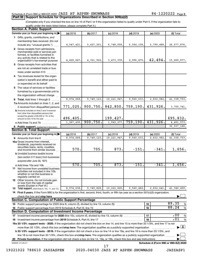#### Schedule A (Form 990 or 990-EZ) 2020  $\rm JAZZ$   $\rm AT$   $\rm ASPEN-SNOWMASS$  84  $-1220222$   $\rm Page$

#### **Part III Support Schedule for Organizations Described in Section 509(a)(2)**

(Complete only if you checked the box on line 10 of Part I or if the organization failed to qualify under Part II. If the organization fails to qualify under the tests listed below, please complete Part II.)

| <b>Section A. Public Support</b>                                                                                                                                                         |                          |                        |                            |                                      |                       |                                    |  |  |
|------------------------------------------------------------------------------------------------------------------------------------------------------------------------------------------|--------------------------|------------------------|----------------------------|--------------------------------------|-----------------------|------------------------------------|--|--|
| Calendar year (or fiscal year beginning in)                                                                                                                                              | (a) 2016                 | (b) 2017               | $(c)$ 2018                 | $(d)$ 2019                           | (e) 2020              | (f) Total                          |  |  |
| 1 Gifts, grants, contributions, and                                                                                                                                                      |                          |                        |                            |                                      |                       |                                    |  |  |
| membership fees received. (Do not                                                                                                                                                        |                          |                        |                            |                                      |                       |                                    |  |  |
| include any "unusual grants.")                                                                                                                                                           | 4, 547, 421.             | 5,427,201.             | 6,748,608.                 | 6,564,158.                           | 2,790,488.            | 26,077,876.                        |  |  |
| 2 Gross receipts from admissions,<br>merchandise sold or services per-<br>formed, or facilities furnished in<br>any activity that is related to the<br>organization's tax-exempt purpose | 4,426,647.               | 4, 321, 922.           | 3, 473, 339.               | 2,996,475.                           | 42,494.               | 15,260,877.                        |  |  |
| 3 Gross receipts from activities that                                                                                                                                                    |                          |                        |                            |                                      |                       |                                    |  |  |
| are not an unrelated trade or bus-                                                                                                                                                       |                          |                        |                            |                                      |                       |                                    |  |  |
| iness under section 513                                                                                                                                                                  |                          |                        |                            |                                      |                       |                                    |  |  |
| 4 Tax revenues levied for the organ-                                                                                                                                                     |                          |                        |                            |                                      |                       |                                    |  |  |
| ization's benefit and either paid to                                                                                                                                                     |                          |                        |                            |                                      |                       |                                    |  |  |
| or expended on its behalf                                                                                                                                                                |                          |                        |                            |                                      |                       |                                    |  |  |
| 5 The value of services or facilities                                                                                                                                                    |                          |                        |                            |                                      |                       |                                    |  |  |
| furnished by a governmental unit to                                                                                                                                                      |                          |                        |                            |                                      |                       |                                    |  |  |
| the organization without charge                                                                                                                                                          |                          |                        |                            |                                      |                       |                                    |  |  |
| 6 Total. Add lines 1 through 5<br>a mada da da d                                                                                                                                         | 8,974,068                | 9,749,123.             | 10, 221, 947               | 9,560,633.                           | 2,832,982.            | 41, 338, 753.                      |  |  |
| 7a Amounts included on lines 1, 2, and                                                                                                                                                   |                          |                        |                            |                                      |                       |                                    |  |  |
| 3 received from disqualified persons                                                                                                                                                     | 771,025.                 | 900, 750.              | 842,850.                   | 759,190.                             | 431,926.              | 3,705,741.                         |  |  |
| <b>b</b> Amounts included on lines 2 and 3 received<br>from other than disqualified persons that<br>exceed the greater of \$5,000 or 1% of the                                           |                          |                        |                            |                                      |                       |                                    |  |  |
| amount on line 13 for the year                                                                                                                                                           | 496,405.<br>1, 267, 430. | 900,750.               | 199,427.                   | 759, 190.                            | 431,926.              | 695,832.                           |  |  |
|                                                                                                                                                                                          |                          |                        | 1,042,277.                 |                                      |                       | 4,401,573.                         |  |  |
| 8 Public support. (Subtract line 7c from line 6.)<br><b>Section B. Total Support</b>                                                                                                     |                          |                        |                            |                                      |                       | 36,937,180.                        |  |  |
| Calendar year (or fiscal year beginning in)                                                                                                                                              |                          |                        |                            |                                      |                       |                                    |  |  |
| 9 Amounts from line 6                                                                                                                                                                    | (a) 2016<br>8,974,068    | (b) 2017<br>9,749,123. | $(c)$ 2018<br>10, 221, 947 | $(d)$ 2019<br>$\overline{9,560,633}$ | (e) 2020<br>2,832,982 | (f) Total<br>41, 338, 753.         |  |  |
| <b>10a</b> Gross income from interest,                                                                                                                                                   |                          |                        |                            |                                      |                       |                                    |  |  |
| dividends, payments received on<br>securities loans, rents, royalties,<br>and income from similar sources                                                                                | 570.                     | 705.                   | 873.                       | $-151.$                              | $-341.$               | 1,656.                             |  |  |
| <b>b</b> Unrelated business taxable income                                                                                                                                               |                          |                        |                            |                                      |                       |                                    |  |  |
| (less section 511 taxes) from businesses<br>acquired after June 30, 1975                                                                                                                 |                          |                        |                            |                                      |                       |                                    |  |  |
| c Add lines 10a and 10b                                                                                                                                                                  | 570.                     | 705.                   | 873.                       | $-151$ .                             | $-341.$               | 1,656.                             |  |  |
| 11 Net income from unrelated business<br>activities not included in line 10b,<br>whether or not the business is<br>regularly carried on                                                  |                          |                        |                            |                                      |                       |                                    |  |  |
| <b>12</b> Other income. Do not include gain<br>or loss from the sale of capital<br>assets (Explain in Part VI.)                                                                          |                          |                        |                            |                                      |                       |                                    |  |  |
| <b>13</b> Total support. (Add lines 9, 10c, 11, and 12.)                                                                                                                                 | 8,974,638.               | 9,749,828.             | 10,222,820.                | 9,560,482.                           | 2,832,641.            | 41,340,409.                        |  |  |
| 14 First 5 years. If the Form 990 is for the organization's first, second, third, fourth, or fifth tax year as a section 501(c)(3) organization,                                         |                          |                        |                            |                                      |                       |                                    |  |  |
| check this box and stop here                                                                                                                                                             |                          |                        |                            |                                      |                       |                                    |  |  |
| <b>Section C. Computation of Public Support Percentage</b>                                                                                                                               |                          |                        |                            |                                      |                       |                                    |  |  |
|                                                                                                                                                                                          |                          |                        |                            |                                      | 15                    | 89.35<br>%                         |  |  |
| 16 Public support percentage from 2019 Schedule A, Part III, line 15                                                                                                                     |                          |                        |                            |                                      | 16                    | 88.24<br>$\%$                      |  |  |
| Section D. Computation of Investment Income Percentage                                                                                                                                   |                          |                        |                            |                                      |                       |                                    |  |  |
| 17 Investment income percentage for 2020 (line 10c, column (f), divided by line 13, column (f))                                                                                          |                          |                        |                            |                                      | 17                    | .00<br>%                           |  |  |
| 18 Investment income percentage from 2019 Schedule A, Part III, line 17                                                                                                                  |                          |                        |                            |                                      | 18                    | .01<br>%                           |  |  |
| 19a 33 1/3% support tests - 2020. If the organization did not check the box on line 14, and line 15 is more than 33 1/3%, and line 17 is not                                             |                          |                        |                            |                                      |                       |                                    |  |  |
| more than 33 1/3%, check this box and stop here. The organization qualifies as a publicly supported organization                                                                         |                          |                        |                            |                                      |                       | $\blacktriangleright$ $\mathbf{X}$ |  |  |
| b 33 1/3% support tests - 2019. If the organization did not check a box on line 14 or line 19a, and line 16 is more than 33 1/3%, and                                                    |                          |                        |                            |                                      |                       |                                    |  |  |
| line 18 is not more than 33 1/3%, check this box and stop here. The organization qualifies as a publicly supported organization                                                          |                          |                        |                            |                                      |                       |                                    |  |  |
|                                                                                                                                                                                          |                          |                        |                            |                                      |                       |                                    |  |  |
| Schedule A (Form 990 or 990-EZ) 2020<br>032023 01-25-21<br>17                                                                                                                            |                          |                        |                            |                                      |                       |                                    |  |  |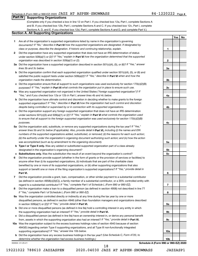**1**

**2**

**3a**

**3b**

**3c**

**4a**

**4b**

**4c**

**5a**

**5b 5c**

**6**

**7**

**8**

**9a**

**9b**

**9c**

**10a**

**10b**

**Yes No**

#### **Part IV Supporting Organizations**

(Complete only if you checked a box in line 12 on Part I. If you checked box 12a, Part I, complete Sections A and B. If you checked box 12b, Part I, complete Sections A and C. If you checked box 12c, Part I, complete Sections A, D, and E. If you checked box 12d, Part I, complete Sections A and D, and complete Part V.)

#### **Section A. All Supporting Organizations**

- **1** Are all of the organization's supported organizations listed by name in the organization's governing documents? If "No," describe in Part VI how the supported organizations are designated. If designated by *class or purpose, describe the designation. If historic and continuing relationship, explain.*
- **2** Did the organization have any supported organization that does not have an IRS determination of status under section 509(a)(1) or (2)? If "Yes," explain in Part **VI** how the organization determined that the supported *organization was described in section 509(a)(1) or (2).*
- **3a** Did the organization have a supported organization described in section 501(c)(4), (5), or (6)? If "Yes," answer *lines 3b and 3c below.*
- **b** Did the organization confirm that each supported organization qualified under section 501(c)(4), (5), or (6) and satisfied the public support tests under section 509(a)(2)? If "Yes," describe in Part VI when and how the *organization made the determination.*
- **c** Did the organization ensure that all support to such organizations was used exclusively for section 170(c)(2)(B) purposes? If "Yes," explain in Part VI what controls the organization put in place to ensure such use.
- **4 a** *If* Was any supported organization not organized in the United States ("foreign supported organization")? *"Yes," and if you checked box 12a or 12b in Part I, answer lines 4b and 4c below.*
- **b** Did the organization have ultimate control and discretion in deciding whether to make grants to the foreign supported organization? If "Yes," describe in Part VI how the organization had such control and discretion *despite being controlled or supervised by or in connection with its supported organizations.*
- **c** Did the organization support any foreign supported organization that does not have an IRS determination under sections 501(c)(3) and 509(a)(1) or (2)? If "Yes," explain in Part VI what controls the organization used *to ensure that all support to the foreign supported organization was used exclusively for section 170(c)(2)(B) purposes.*
- **5a** Did the organization add, substitute, or remove any supported organizations during the tax year? If "Yes," answer lines 5b and 5c below (if applicable). Also, provide detail in **Part VI,** including (i) the names and EIN *numbers of the supported organizations added, substituted, or removed; (ii) the reasons for each such action; (iii) the authority under the organization's organizing document authorizing such action; and (iv) how the action was accomplished (such as by amendment to the organizing document).*
- **b Type I or Type II only.** Was any added or substituted supported organization part of a class already designated in the organization's organizing document?
- **c Substitutions only.**  Was the substitution the result of an event beyond the organization's control?
- **6** Did the organization provide support (whether in the form of grants or the provision of services or facilities) to **Part VI.** support or benefit one or more of the filing organization's supported organizations? If "Yes," provide detail in anyone other than (i) its supported organizations, (ii) individuals that are part of the charitable class benefited by one or more of its supported organizations, or (iii) other supporting organizations that also
- **7** Did the organization provide a grant, loan, compensation, or other similar payment to a substantial contributor regard to a substantial contributor? If "Yes," complete Part I of Schedule L (Form 990 or 990-EZ). (as defined in section 4958(c)(3)(C)), a family member of a substantial contributor, or a 35% controlled entity with
- **8** Did the organization make a loan to a disqualified person (as defined in section 4958) not described in line 7? *If "Yes," complete Part I of Schedule L (Form 990 or 990-EZ).*
- **9 a** Was the organization controlled directly or indirectly at any time during the tax year by one or more in section 509(a)(1) or (2))? If "Yes," provide detail in **Part VI.** disqualified persons, as defined in section 4946 (other than foundation managers and organizations described
- **b** Did one or more disqualified persons (as defined in line 9a) hold a controlling interest in any entity in which the supporting organization had an interest? If "Yes," provide detail in Part VI.
- **c** Did a disqualified person (as defined in line 9a) have an ownership interest in, or derive any personal benefit from, assets in which the supporting organization also had an interest? If "Yes," provide detail in Part VI.
- **10 a** Was the organization subject to the excess business holdings rules of section 4943 because of section supporting organizations)? If "Yes," answer line 10b below. 4943(f) (regarding certain Type II supporting organizations, and all Type III non-functionally integrated
	- **b** Did the organization have any excess business holdings in the tax year? (Use Schedule C, Form 4720, to *determine whether the organization had excess business holdings.)*

032024 01-25-21

**Schedule A (Form 990 or 990-EZ) 2020**

18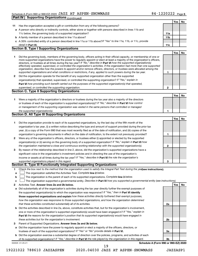|    | <b>Supporting Organizations (continued)</b><br>Part IV                                                                                                                                                                                                    |              |     |    |
|----|-----------------------------------------------------------------------------------------------------------------------------------------------------------------------------------------------------------------------------------------------------------|--------------|-----|----|
|    |                                                                                                                                                                                                                                                           |              | Yes | No |
| 11 | Has the organization accepted a gift or contribution from any of the following persons?                                                                                                                                                                   |              |     |    |
|    | a A person who directly or indirectly controls, either alone or together with persons described in lines 11b and                                                                                                                                          |              |     |    |
|    | 11c below, the governing body of a supported organization?                                                                                                                                                                                                | 11a          |     |    |
|    | <b>b</b> A family member of a person described in line 11a above?                                                                                                                                                                                         | 11b          |     |    |
|    | c A 35% controlled entity of a person described in line 11a or 11b above?If "Yes" to line 11a, 11b, or 11c, provide                                                                                                                                       |              |     |    |
|    | detail in <b>Part VI.</b>                                                                                                                                                                                                                                 | 11c          |     |    |
|    | <b>Section B. Type I Supporting Organizations</b>                                                                                                                                                                                                         |              |     |    |
|    |                                                                                                                                                                                                                                                           |              | Yes | No |
| 1  | Did the governing body, members of the governing body, officers acting in their official capacity, or membership of one or                                                                                                                                |              |     |    |
|    | more supported organizations have the power to regularly appoint or elect at least a majority of the organization's officers,                                                                                                                             |              |     |    |
|    | directors, or trustees at all times during the tax year? If "No," describe in Part VI how the supported organization(s)<br>effectively operated, supervised, or controlled the organization's activities. If the organization had more than one supported |              |     |    |
|    | organization, describe how the powers to appoint and/or remove officers, directors, or trustees were allocated among the                                                                                                                                  |              |     |    |
|    | supported organizations and what conditions or restrictions, if any, applied to such powers during the tax year.                                                                                                                                          | 1            |     |    |
| 2  | Did the organization operate for the benefit of any supported organization other than the supported                                                                                                                                                       |              |     |    |
|    | organization(s) that operated, supervised, or controlled the supporting organization? If "Yes," explain in                                                                                                                                                |              |     |    |
|    | Part VI how providing such benefit carried out the purposes of the supported organization(s) that operated,                                                                                                                                               |              |     |    |
|    | supervised, or controlled the supporting organization.                                                                                                                                                                                                    | $\mathbf{2}$ |     |    |
|    | <b>Section C. Type II Supporting Organizations</b>                                                                                                                                                                                                        |              |     |    |
|    |                                                                                                                                                                                                                                                           |              | Yes | No |
| 1  | Were a majority of the organization's directors or trustees during the tax year also a majority of the directors                                                                                                                                          |              |     |    |
|    | or trustees of each of the organization's supported organization(s)? If "No," describe in Part VI how control                                                                                                                                             |              |     |    |
|    | or management of the supporting organization was vested in the same persons that controlled or managed                                                                                                                                                    |              |     |    |
|    | the supported organization(s).                                                                                                                                                                                                                            | 1            |     |    |
|    | <b>Section D. All Type III Supporting Organizations</b>                                                                                                                                                                                                   |              |     |    |
|    |                                                                                                                                                                                                                                                           |              | Yes | No |
| 1  | Did the organization provide to each of its supported organizations, by the last day of the fifth month of the                                                                                                                                            |              |     |    |
|    | organization's tax year, (i) a written notice describing the type and amount of support provided during the prior tax                                                                                                                                     |              |     |    |
|    | year, (ii) a copy of the Form 990 that was most recently filed as of the date of notification, and (iii) copies of the                                                                                                                                    |              |     |    |
|    | organization's governing documents in effect on the date of notification, to the extent not previously provided?                                                                                                                                          | 1            |     |    |
| 2  | Were any of the organization's officers, directors, or trustees either (i) appointed or elected by the supported                                                                                                                                          |              |     |    |
|    | organization(s) or (ii) serving on the governing body of a supported organization? If "No," explain in Part VI how                                                                                                                                        |              |     |    |
|    | the organization maintained a close and continuous working relationship with the supported organization(s).                                                                                                                                               | 2            |     |    |
| З  | By reason of the relationship described in line 2, above, did the organization's supported organizations have a                                                                                                                                           |              |     |    |
|    | significant voice in the organization's investment policies and in directing the use of the organization's                                                                                                                                                |              |     |    |
|    | income or assets at all times during the tax year? If "Yes," describe in Part VI the role the organization's                                                                                                                                              |              |     |    |
|    | supported organizations played in this regard.                                                                                                                                                                                                            | 3            |     |    |
|    | Section E. Type III Functionally Integrated Supporting Organizations                                                                                                                                                                                      |              |     |    |
| 1  | Check the box next to the method that the organization used to satisfy the Integral Part Test during the yealsee instructions).                                                                                                                           |              |     |    |
| a  | The organization satisfied the Activities Test. Complete line 2 below.                                                                                                                                                                                    |              |     |    |
| b  | The organization is the parent of each of its supported organizations. Complete line 3 below.                                                                                                                                                             |              |     |    |
| c  | The organization supported a governmental entity. Describe in Part VI how you supported a governmental entity (see instructions).                                                                                                                         |              |     |    |
| 2  | Activities Test. Answer lines 2a and 2b below.                                                                                                                                                                                                            |              | Yes | No |
| а  | Did substantially all of the organization's activities during the tax year directly further the exempt purposes of                                                                                                                                        |              |     |    |
|    | the supported organization(s) to which the organization was responsive? If "Yes," then in Part VI identify                                                                                                                                                |              |     |    |
|    | those supported organizations and explain how these activities directly furthered their exempt purposes,                                                                                                                                                  |              |     |    |
|    | how the organization was responsive to those supported organizations, and how the organization determined                                                                                                                                                 |              |     |    |
|    | that these activities constituted substantially all of its activities.                                                                                                                                                                                    | 2a           |     |    |
|    | <b>b</b> Did the activities described in line 2a, above, constitute activities that, but for the organization's involvement,                                                                                                                              |              |     |    |
|    | one or more of the organization's supported organization(s) would have been engaged in? If "Yes," explain in                                                                                                                                              |              |     |    |
|    | Part VI the reasons for the organization's position that its supported organization(s) would have engaged in                                                                                                                                              |              |     |    |
|    | these activities but for the organization's involvement.                                                                                                                                                                                                  | 2b           |     |    |
| з  | Parent of Supported Organizations. Answer lines 3a and 3b below.                                                                                                                                                                                          |              |     |    |
| а  | Did the organization have the power to regularly appoint or elect a majority of the officers, directors, or                                                                                                                                               |              |     |    |
|    | trustees of each of the supported organizations? If "Yes" or "No" provide details in Part VI.                                                                                                                                                             | За           |     |    |
|    | <b>b</b> Did the organization exercise a substantial degree of direction over the policies, programs, and activities of each                                                                                                                              |              |     |    |
|    | of its supported organizations? If "Yes," describe in Part VI the role played by the organization in this regard.                                                                                                                                         | Зb           |     |    |
|    | Schedule A (Form 990 or 990-EZ) 2020<br>032025 01-25-21                                                                                                                                                                                                   |              |     |    |
|    | 19                                                                                                                                                                                                                                                        |              |     |    |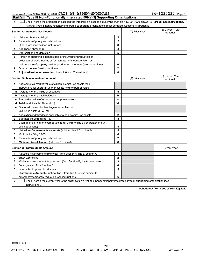#### Schedule A (Form 990 or 990-EZ) 2020  $\rm JAZZ$   $\rm AT$   $\rm ASPEN-SNOWMASS$  84  $-1220222$   $\rm Page$ **Part V Type III Non-Functionally Integrated 509(a)(3) Supporting Organizations**

1 **Letter See instructions.** Check here if the organization satisfied the Integral Part Test as a qualifying trust on Nov. 20, 1970 (*explain in* Part **VI**). See instructions. All other Type III non-functionally integrated supporting organizations must complete Sections A through E.

|    | Section A - Adjusted Net Income                                             |                | (A) Prior Year | (B) Current Year<br>(optional) |
|----|-----------------------------------------------------------------------------|----------------|----------------|--------------------------------|
| 1  | Net short-term capital gain                                                 | 1              |                |                                |
| 2  | Recoveries of prior-year distributions                                      | $\overline{2}$ |                |                                |
| 3  | Other gross income (see instructions)                                       | 3              |                |                                |
| 4  | Add lines 1 through 3.                                                      | 4              |                |                                |
| 5  | Depreciation and depletion                                                  | 5              |                |                                |
| 6  | Portion of operating expenses paid or incurred for production or            |                |                |                                |
|    | collection of gross income or for management, conservation, or              |                |                |                                |
|    | maintenance of property held for production of income (see instructions)    | 6              |                |                                |
| 7  | Other expenses (see instructions)                                           | 7              |                |                                |
| 8  | Adjusted Net Income (subtract lines 5, 6, and 7 from line 4)                | 8              |                |                                |
|    | <b>Section B - Minimum Asset Amount</b>                                     |                | (A) Prior Year | (B) Current Year<br>(optional) |
| 1. | Aggregate fair market value of all non-exempt-use assets (see               |                |                |                                |
|    | instructions for short tax year or assets held for part of year):           |                |                |                                |
|    | a Average monthly value of securities                                       | 1a             |                |                                |
|    | <b>b</b> Average monthly cash balances                                      | 1b             |                |                                |
|    | c Fair market value of other non-exempt-use assets                          | 1c             |                |                                |
|    | d Total (add lines 1a, 1b, and 1c)                                          | 1d             |                |                                |
|    | e Discount claimed for blockage or other factors                            |                |                |                                |
|    | (explain in detail in Part VI):                                             |                |                |                                |
| 2  | Acquisition indebtedness applicable to non-exempt-use assets                | $\overline{2}$ |                |                                |
| З  | Subtract line 2 from line 1d.                                               | 3              |                |                                |
| 4  | Cash deemed held for exempt use. Enter 0.015 of line 3 (for greater amount, |                |                |                                |
|    | see instructions).                                                          | 4              |                |                                |
| 5  | Net value of non-exempt-use assets (subtract line 4 from line 3)            | 5              |                |                                |
| 6  | Multiply line 5 by 0.035.                                                   | 6              |                |                                |
| 7  | Recoveries of prior-year distributions                                      | 7              |                |                                |
| 8  | Minimum Asset Amount (add line 7 to line 6)                                 | 8              |                |                                |
|    | <b>Section C - Distributable Amount</b>                                     |                |                | <b>Current Year</b>            |
| 1  | Adjusted net income for prior year (from Section A, line 8, column A)       | 1              |                |                                |
| 2  | Enter 0.85 of line 1.                                                       | 2              |                |                                |
| З  | Minimum asset amount for prior year (from Section B, line 8, column A)      | 3              |                |                                |
| 4  | Enter greater of line 2 or line 3.                                          | 4              |                |                                |
| 5  | Income tax imposed in prior year                                            | 5              |                |                                |
| 6  | <b>Distributable Amount.</b> Subtract line 5 from line 4, unless subject to |                |                |                                |
|    | emergency temporary reduction (see instructions).                           | 6              |                |                                |
|    |                                                                             |                |                |                                |

**7** Check here if the current year is the organization's first as a non-functionally integrated Type III supporting organization (see † instructions).

**Schedule A (Form 990 or 990-EZ) 2020**

032026 01-25-21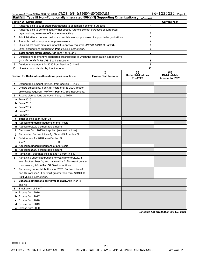#### Schedule A (Form 990 or 990-EZ) 2020 Page JAZZ AT ASPEN-SNOWMASS 84-1220222

| <b>Part V</b> | Type III Non-Functionally Integrated 509(a)(3) Supporting Organizations (continued)        |                                    |                                       |       |                                         |
|---------------|--------------------------------------------------------------------------------------------|------------------------------------|---------------------------------------|-------|-----------------------------------------|
|               | <b>Section D - Distributions</b>                                                           |                                    |                                       |       | <b>Current Year</b>                     |
| 1             | Amounts paid to supported organizations to accomplish exempt purposes                      |                                    | 1                                     |       |                                         |
| 2             | Amounts paid to perform activity that directly furthers exempt purposes of supported       |                                    |                                       |       |                                         |
|               | organizations, in excess of income from activity                                           |                                    | 2                                     |       |                                         |
| 3             | Administrative expenses paid to accomplish exempt purposes of supported organizations      |                                    | 3                                     |       |                                         |
| 4             | Amounts paid to acquire exempt-use assets                                                  |                                    | 4                                     |       |                                         |
| 5             | Qualified set-aside amounts (prior IRS approval required - provide details in Part VI)     |                                    | 5                                     |       |                                         |
| 6             | Other distributions ( <i>describe in Part VI</i> ). See instructions.                      |                                    | 6                                     |       |                                         |
| 7             | Total annual distributions. Add lines 1 through 6.                                         |                                    | 7                                     |       |                                         |
| 8             | Distributions to attentive supported organizations to which the organization is responsive |                                    |                                       |       |                                         |
|               | ( <i>provide details in Part VI</i> ). See instructions.                                   |                                    | 8                                     |       |                                         |
| 9             | Distributable amount for 2020 from Section C, line 6                                       |                                    | 9                                     |       |                                         |
| 10            | Line 8 amount divided by line 9 amount                                                     |                                    | 10                                    |       |                                         |
|               |                                                                                            | (ii)                               |                                       | (iii) |                                         |
|               | <b>Section E - Distribution Allocations (see instructions)</b>                             | (i)<br><b>Excess Distributions</b> | <b>Underdistributions</b><br>Pre-2020 |       | <b>Distributable</b><br>Amount for 2020 |
| 1.            | Distributable amount for 2020 from Section C, line 6                                       |                                    |                                       |       |                                         |
| 2             | Underdistributions, if any, for years prior to 2020 (reason-                               |                                    |                                       |       |                                         |
|               | able cause required - explain in Part VI). See instructions.                               |                                    |                                       |       |                                         |
| 3             | Excess distributions carryover, if any, to 2020                                            |                                    |                                       |       |                                         |
|               | a From 2015                                                                                |                                    |                                       |       |                                         |
|               | $b$ From 2016                                                                              |                                    |                                       |       |                                         |
|               | c From 2017                                                                                |                                    |                                       |       |                                         |
|               | d From 2018                                                                                |                                    |                                       |       |                                         |
|               | e From 2019                                                                                |                                    |                                       |       |                                         |
|               | f Total of lines 3a through 3e                                                             |                                    |                                       |       |                                         |
|               | g Applied to underdistributions of prior years                                             |                                    |                                       |       |                                         |
|               | <b>h</b> Applied to 2020 distributable amount                                              |                                    |                                       |       |                                         |
| Ť.            | Carryover from 2015 not applied (see instructions)                                         |                                    |                                       |       |                                         |
|               | Remainder. Subtract lines 3g, 3h, and 3i from line 3f.                                     |                                    |                                       |       |                                         |
| 4             | Distributions for 2020 from Section D,                                                     |                                    |                                       |       |                                         |
|               | line $7:$                                                                                  |                                    |                                       |       |                                         |
|               | a Applied to underdistributions of prior years                                             |                                    |                                       |       |                                         |
|               | <b>b</b> Applied to 2020 distributable amount                                              |                                    |                                       |       |                                         |
| с             | Remainder. Subtract lines 4a and 4b from line 4.                                           |                                    |                                       |       |                                         |
| 5             | Remaining underdistributions for years prior to 2020, if                                   |                                    |                                       |       |                                         |
|               | any. Subtract lines 3g and 4a from line 2. For result greater                              |                                    |                                       |       |                                         |
|               | than zero, explain in Part VI. See instructions.                                           |                                    |                                       |       |                                         |
| 6             | Remaining underdistributions for 2020. Subtract lines 3h                                   |                                    |                                       |       |                                         |
|               | and 4b from line 1. For result greater than zero, explain in                               |                                    |                                       |       |                                         |
|               | <b>Part VI.</b> See instructions.                                                          |                                    |                                       |       |                                         |
| 7             | Excess distributions carryover to 2021. Add lines 3j                                       |                                    |                                       |       |                                         |
|               | and 4c.                                                                                    |                                    |                                       |       |                                         |
|               | Breakdown of line 7:                                                                       |                                    |                                       |       |                                         |
| 8             |                                                                                            |                                    |                                       |       |                                         |
|               | a Excess from 2016                                                                         |                                    |                                       |       |                                         |
|               | <b>b</b> Excess from 2017                                                                  |                                    |                                       |       |                                         |
|               | c Excess from 2018                                                                         |                                    |                                       |       |                                         |
|               | d Excess from 2019                                                                         |                                    |                                       |       |                                         |
|               | e Excess from 2020                                                                         |                                    |                                       |       |                                         |

**Schedule A (Form 990 or 990-EZ) 2020**

032027 01-25-21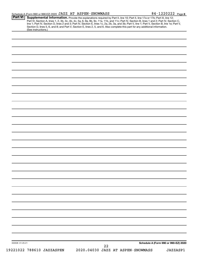| Schedule A (Form 990 or 990-EZ) 2020 JAZZ AT ASPEN-SNOWMASS | $84 - 1220222$ Page 8 |
|-------------------------------------------------------------|-----------------------|
|-------------------------------------------------------------|-----------------------|

| 032028 01-25-21 |                     |  | 22 | Schedule A (Form 990 or 990-EZ) 2020 |
|-----------------|---------------------|--|----|--------------------------------------|
|                 |                     |  |    |                                      |
|                 |                     |  |    |                                      |
|                 |                     |  |    |                                      |
|                 |                     |  |    |                                      |
|                 |                     |  |    |                                      |
|                 |                     |  |    |                                      |
|                 |                     |  |    |                                      |
|                 |                     |  |    |                                      |
|                 |                     |  |    |                                      |
|                 |                     |  |    |                                      |
|                 |                     |  |    |                                      |
|                 |                     |  |    |                                      |
|                 |                     |  |    |                                      |
|                 |                     |  |    |                                      |
|                 |                     |  |    |                                      |
|                 |                     |  |    |                                      |
|                 |                     |  |    |                                      |
|                 |                     |  |    |                                      |
|                 |                     |  |    |                                      |
|                 |                     |  |    |                                      |
|                 |                     |  |    |                                      |
|                 |                     |  |    |                                      |
|                 |                     |  |    |                                      |
|                 |                     |  |    |                                      |
|                 |                     |  |    |                                      |
|                 |                     |  |    |                                      |
|                 |                     |  |    |                                      |
|                 |                     |  |    |                                      |
|                 |                     |  |    |                                      |
|                 | (See instructions.) |  |    |                                      |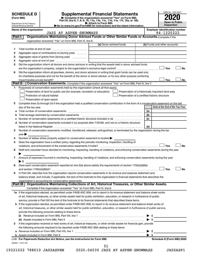| <b>SCHEDULE D</b><br>(Form 990)<br>Department of the Treasury<br>Internal Revenue Service |                                                           | <b>Supplemental Financial Statements</b><br>Complete if the organization answered "Yes" on Form 990,<br>Part IV, line 6, 7, 8, 9, 10, 11a, 11b, 11c, 11d, 11e, 11f, 12a, or 12b.<br>Attach to Form 990.<br>Go to www.irs.gov/Form990 for instructions and the latest information. | OMB No. 1545-0047<br><b>Open to Public</b><br><b>Inspection</b> |                                                     |           |
|-------------------------------------------------------------------------------------------|-----------------------------------------------------------|-----------------------------------------------------------------------------------------------------------------------------------------------------------------------------------------------------------------------------------------------------------------------------------|-----------------------------------------------------------------|-----------------------------------------------------|-----------|
| Name of the organization                                                                  | JAZZ AT ASPEN-SNOWMASS                                    |                                                                                                                                                                                                                                                                                   |                                                                 | <b>Employer identification number</b><br>84-1220222 |           |
| Part                                                                                      |                                                           | Organizations Maintaining Donor Advised Funds or Other Similar Funds or Accounts. Complete if the                                                                                                                                                                                 |                                                                 |                                                     |           |
|                                                                                           | organization answered "Yes" on Form 990, Part IV, line 6. |                                                                                                                                                                                                                                                                                   |                                                                 |                                                     |           |
|                                                                                           |                                                           | (a) Donor advised funds                                                                                                                                                                                                                                                           |                                                                 | (b) Funds and other accounts                        |           |
| 1                                                                                         |                                                           |                                                                                                                                                                                                                                                                                   |                                                                 |                                                     |           |
|                                                                                           | Aggregate value of contributions to (during year)         |                                                                                                                                                                                                                                                                                   |                                                                 |                                                     |           |
| 2                                                                                         |                                                           |                                                                                                                                                                                                                                                                                   |                                                                 |                                                     |           |
| з                                                                                         |                                                           |                                                                                                                                                                                                                                                                                   |                                                                 |                                                     |           |
| 4                                                                                         | Aggregate value of grants from (during year)              |                                                                                                                                                                                                                                                                                   |                                                                 |                                                     |           |
| 5                                                                                         |                                                           | Did the organization inform all donors and donor advisors in writing that the assets held in donor advised funds                                                                                                                                                                  |                                                                 |                                                     |           |
|                                                                                           |                                                           |                                                                                                                                                                                                                                                                                   |                                                                 | Yes                                                 |           |
| 6                                                                                         |                                                           | Did the organization inform all grantees, donors, and donor advisors in writing that grant funds can be used only                                                                                                                                                                 |                                                                 |                                                     | <b>No</b> |
| impermissible private benefit?                                                            |                                                           | for charitable purposes and not for the benefit of the donor or donor advisor, or for any other purpose conferring                                                                                                                                                                |                                                                 | Yes                                                 | <b>No</b> |

| Purpose(s) of conservation easements held by the organization (check all that apply).                                                          |    |                                 |
|------------------------------------------------------------------------------------------------------------------------------------------------|----|---------------------------------|
| Preservation of land for public use (for example, recreation or education)<br>Preservation of a historically important land area               |    |                                 |
| Protection of natural habitat<br>Preservation of a certified historic structure                                                                |    |                                 |
| Preservation of open space                                                                                                                     |    |                                 |
| Complete lines 2a through 2d if the organization held a qualified conservation contribution in the form of a conservation easement on the last |    |                                 |
| day of the tax year.                                                                                                                           |    | Held at the End of the Tax Year |
|                                                                                                                                                | 2a |                                 |
|                                                                                                                                                | 2b |                                 |
| Number of conservation easements on a certified historic structure included in (a) manufacture included in (a)                                 | 2c |                                 |
| Number of conservation easements included in (c) acquired after 7/25/06, and not on a historic structure                                       |    |                                 |
| listed in the National Register [111] increases: the National Process of the National Register [11] increases                                  | 2d |                                 |
| Number of conservation easements modified, transferred, released, extinguished, or terminated by the organization during the tax               |    |                                 |
| $\mathsf{year}$                                                                                                                                |    |                                 |
| Number of states where property subject to conservation easement is located $\blacktriangleright$                                              |    |                                 |

|   | 5 Does the organization have a written policy regarding the periodic monitoring, inspection, handling of                                  |  |
|---|-------------------------------------------------------------------------------------------------------------------------------------------|--|
|   | $\Box$ Yes $\Box$ No<br>violations, and enforcement of the conservation easements it holds?                                               |  |
| 6 | Staff and volunteer hours devoted to monitoring, inspecting, handling of violations, and enforcing conservation easements during the year |  |
|   |                                                                                                                                           |  |

| 7 Amount of expenses incurred in monitoring, inspecting, handling of violations, and enforcing conservation easements during the year |
|---------------------------------------------------------------------------------------------------------------------------------------|
|                                                                                                                                       |

| 8 Does each conservation easement reported on line 2(d) above satisfy the requirements of section 170(h)(4)(B)(i) |           |
|-------------------------------------------------------------------------------------------------------------------|-----------|
| and section 170(h)(4)(B)(ii)?                                                                                     | <b>No</b> |
|                                                                                                                   |           |

| .<br>.                                                                                                                            |
|-----------------------------------------------------------------------------------------------------------------------------------|
| organization's accounting for conservation easements.                                                                             |
| balance sheet, and include, if applicable, the text of the footnote to the organization's financial statements that describes the |
| 9 In Part XIII, describe how the organization reports conservation easements in its revenue and expense statement and             |

| Part III   Organizations Maintaining Collections of Art, Historical Treasures, or Other Similar Assets. |  |
|---------------------------------------------------------------------------------------------------------|--|
| Complete if the organization answered "Yes" on Form 990, Part IV, line 8.                               |  |

| 1a If the organization elected, as permitted under FASB ASC 958, not to report in its revenue statement and balance sheet works   |
|-----------------------------------------------------------------------------------------------------------------------------------|
| of art, historical treasures, or other similar assets held for public exhibition, education, or research in furtherance of public |
| service, provide in Part XIII the text of the footnote to its financial statements that describes these items.                    |

| <b>b</b> If the organization elected, as permitted under FASB ASC 958, to report in its revenue statement and balance sheet works of    |  |  |  |  |  |
|-----------------------------------------------------------------------------------------------------------------------------------------|--|--|--|--|--|
| art, historical treasures, or other similar assets held for public exhibition, education, or research in furtherance of public service, |  |  |  |  |  |
| provide the following amounts relating to these items:                                                                                  |  |  |  |  |  |
| Revenue included on Form 990, Part VIII, line 1<br>(i)<br>$\blacktriangleright$ s                                                       |  |  |  |  |  |

|   | LHA For Paperwork Reduction Act Notice, see the Instructions for Form 990.                                                   |                         | Schedule D (Form 990) 2020 |
|---|------------------------------------------------------------------------------------------------------------------------------|-------------------------|----------------------------|
|   |                                                                                                                              |                         |                            |
|   | a Revenue included on Form 990, Part VIII, line 1                                                                            | $\blacktriangleright$ s |                            |
|   | the following amounts required to be reported under FASB ASC 958 relating to these items:                                    |                         |                            |
| 2 | If the organization received or held works of art, historical treasures, or other similar assets for financial gain, provide |                         |                            |
|   | (ii) Assets included in Form 990, Part X [11] Marten and Martin Martin Marten and Martin Martin Marten and Mar               |                         |                            |
|   | <br><b>The vehacle included on Form 000; Fare VIII, 1110</b> Factor Communication Communication Communication Communicatio   |                         | $\downarrow$               |

| 032051 12-01-20 |  |  |
|-----------------|--|--|
|                 |  |  |

 $\exists$  No

51

**2**

**a b c d**

**3**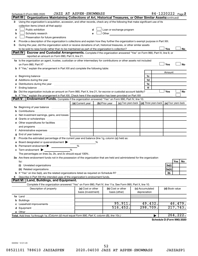|   | Schedule D (Form 990) 2020                                                                                                                                                                                                          | JAZZ AT ASPEN-SNOWMASS                  |                |                                                                                                                                                                                                                                |  |                                 | 84-1220222 Page 2                                                           |  |
|---|-------------------------------------------------------------------------------------------------------------------------------------------------------------------------------------------------------------------------------------|-----------------------------------------|----------------|--------------------------------------------------------------------------------------------------------------------------------------------------------------------------------------------------------------------------------|--|---------------------------------|-----------------------------------------------------------------------------|--|
|   | Part III  <br>Organizations Maintaining Collections of Art, Historical Treasures, or Other Similar Assets (continued)                                                                                                               |                                         |                |                                                                                                                                                                                                                                |  |                                 |                                                                             |  |
| 3 | Using the organization's acquisition, accession, and other records, check any of the following that make significant use of its                                                                                                     |                                         |                |                                                                                                                                                                                                                                |  |                                 |                                                                             |  |
|   | collection items (check all that apply):                                                                                                                                                                                            |                                         |                |                                                                                                                                                                                                                                |  |                                 |                                                                             |  |
| a | Public exhibition                                                                                                                                                                                                                   |                                         |                | Loan or exchange program                                                                                                                                                                                                       |  |                                 |                                                                             |  |
| b | Scholarly research                                                                                                                                                                                                                  |                                         |                | Other and the control of the control of the control of the control of the control of the control of the control of the control of the control of the control of the control of the control of the control of the control of th |  |                                 |                                                                             |  |
| с | Preservation for future generations                                                                                                                                                                                                 |                                         |                |                                                                                                                                                                                                                                |  |                                 |                                                                             |  |
| 4 | Provide a description of the organization's collections and explain how they further the organization's exempt purpose in Part XIII.                                                                                                |                                         |                |                                                                                                                                                                                                                                |  |                                 |                                                                             |  |
| 5 | During the year, did the organization solicit or receive donations of art, historical treasures, or other similar assets                                                                                                            |                                         |                |                                                                                                                                                                                                                                |  |                                 |                                                                             |  |
|   |                                                                                                                                                                                                                                     |                                         |                |                                                                                                                                                                                                                                |  |                                 | Yes<br>No                                                                   |  |
|   | Part IV<br><b>Escrow and Custodial Arrangements.</b> Complete if the organization answered "Yes" on Form 990, Part IV, line 9, or                                                                                                   |                                         |                |                                                                                                                                                                                                                                |  |                                 |                                                                             |  |
|   | reported an amount on Form 990, Part X, line 21.                                                                                                                                                                                    |                                         |                |                                                                                                                                                                                                                                |  |                                 |                                                                             |  |
|   | 1a Is the organization an agent, trustee, custodian or other intermediary for contributions or other assets not included                                                                                                            |                                         |                |                                                                                                                                                                                                                                |  |                                 |                                                                             |  |
|   | on Form 990, Part X? [11] matter contracts and contracts and contracts are contracted and contracts are contracted and contract of the set of the set of the set of the set of the set of the set of the set of the set of the      |                                         |                |                                                                                                                                                                                                                                |  |                                 | Yes<br>No                                                                   |  |
|   | b If "Yes," explain the arrangement in Part XIII and complete the following table:                                                                                                                                                  |                                         |                |                                                                                                                                                                                                                                |  |                                 |                                                                             |  |
|   |                                                                                                                                                                                                                                     |                                         |                |                                                                                                                                                                                                                                |  |                                 | Amount                                                                      |  |
|   | c Beginning balance <b>communications</b> and the contract of the contract of the contract of the contract of the contract of the contract of the contract of the contract of the contract of the contract of the contract of the c |                                         |                |                                                                                                                                                                                                                                |  | 1c                              |                                                                             |  |
|   | d Additions during the year manufactured and an account of a state of the state of an account of the state of                                                                                                                       |                                         |                |                                                                                                                                                                                                                                |  | 1d                              |                                                                             |  |
|   | e Distributions during the year measurement contained and all the control of the set of the set of the set of the set of the set of the set of the set of the set of the set of the set of the set of the set of the set of th      |                                         |                |                                                                                                                                                                                                                                |  | 1e                              |                                                                             |  |
|   |                                                                                                                                                                                                                                     |                                         |                |                                                                                                                                                                                                                                |  | 1f                              |                                                                             |  |
|   | 2a Did the organization include an amount on Form 990, Part X, line 21, for escrow or custodial account liability?                                                                                                                  |                                         |                |                                                                                                                                                                                                                                |  |                                 | Yes<br>No                                                                   |  |
|   | Endowment Funds. Complete if the organization answered "Yes" on Form 990, Part IV, line 10.<br><b>Part V</b>                                                                                                                        |                                         |                |                                                                                                                                                                                                                                |  |                                 |                                                                             |  |
|   |                                                                                                                                                                                                                                     |                                         |                |                                                                                                                                                                                                                                |  |                                 |                                                                             |  |
|   |                                                                                                                                                                                                                                     | (a) Current year                        | (b) Prior year |                                                                                                                                                                                                                                |  |                                 | (c) Two years back $\vert$ (d) Three years back $\vert$ (e) Four years back |  |
|   | 1a Beginning of year balance                                                                                                                                                                                                        |                                         |                |                                                                                                                                                                                                                                |  |                                 |                                                                             |  |
| b |                                                                                                                                                                                                                                     |                                         |                |                                                                                                                                                                                                                                |  |                                 |                                                                             |  |
|   | Net investment earnings, gains, and losses                                                                                                                                                                                          |                                         |                |                                                                                                                                                                                                                                |  |                                 |                                                                             |  |
|   | e Other expenditures for facilities                                                                                                                                                                                                 |                                         |                |                                                                                                                                                                                                                                |  |                                 |                                                                             |  |
|   |                                                                                                                                                                                                                                     |                                         |                |                                                                                                                                                                                                                                |  |                                 |                                                                             |  |
|   | f Administrative expenses                                                                                                                                                                                                           |                                         |                |                                                                                                                                                                                                                                |  |                                 |                                                                             |  |
| g |                                                                                                                                                                                                                                     |                                         |                |                                                                                                                                                                                                                                |  |                                 |                                                                             |  |
| 2 | Provide the estimated percentage of the current year end balance (line 1g, column (a)) held as:                                                                                                                                     |                                         |                |                                                                                                                                                                                                                                |  |                                 |                                                                             |  |
| а | Board designated or quasi-endowment                                                                                                                                                                                                 |                                         | %              |                                                                                                                                                                                                                                |  |                                 |                                                                             |  |
|   | <b>b</b> Permanent endowment $\blacktriangleright$                                                                                                                                                                                  | %                                       |                |                                                                                                                                                                                                                                |  |                                 |                                                                             |  |
|   | $\mathbf c$ Term endowment $\blacktriangleright$                                                                                                                                                                                    | %                                       |                |                                                                                                                                                                                                                                |  |                                 |                                                                             |  |
|   | The percentages on lines 2a, 2b, and 2c should equal 100%.                                                                                                                                                                          |                                         |                |                                                                                                                                                                                                                                |  |                                 |                                                                             |  |
|   | 3a Are there endowment funds not in the possession of the organization that are held and administered for the organization                                                                                                          |                                         |                |                                                                                                                                                                                                                                |  |                                 |                                                                             |  |
|   | by:                                                                                                                                                                                                                                 |                                         |                |                                                                                                                                                                                                                                |  |                                 | Yes<br>No                                                                   |  |
|   | (i)                                                                                                                                                                                                                                 |                                         |                |                                                                                                                                                                                                                                |  |                                 | 3a(i)                                                                       |  |
|   |                                                                                                                                                                                                                                     |                                         |                |                                                                                                                                                                                                                                |  |                                 | 3a(ii)                                                                      |  |
|   |                                                                                                                                                                                                                                     |                                         |                |                                                                                                                                                                                                                                |  |                                 | 3b                                                                          |  |
| 4 | Describe in Part XIII the intended uses of the organization's endowment funds.                                                                                                                                                      |                                         |                |                                                                                                                                                                                                                                |  |                                 |                                                                             |  |
|   | Land, Buildings, and Equipment.<br><b>Part VI</b>                                                                                                                                                                                   |                                         |                |                                                                                                                                                                                                                                |  |                                 |                                                                             |  |
|   | Complete if the organization answered "Yes" on Form 990, Part IV, line 11a. See Form 990, Part X, line 10.                                                                                                                          |                                         |                |                                                                                                                                                                                                                                |  |                                 |                                                                             |  |
|   | Description of property                                                                                                                                                                                                             | (a) Cost or other<br>basis (investment) |                | (b) Cost or other<br>basis (other)                                                                                                                                                                                             |  | (c) Accumulated<br>depreciation | (d) Book value                                                              |  |
|   |                                                                                                                                                                                                                                     |                                         |                |                                                                                                                                                                                                                                |  |                                 |                                                                             |  |
|   |                                                                                                                                                                                                                                     |                                         |                |                                                                                                                                                                                                                                |  |                                 |                                                                             |  |
|   |                                                                                                                                                                                                                                     |                                         |                | 95,911.                                                                                                                                                                                                                        |  | 49,432.                         | 46,479.                                                                     |  |
|   |                                                                                                                                                                                                                                     |                                         |                | 516,452.                                                                                                                                                                                                                       |  | 298,709.                        | 217,743.                                                                    |  |
|   |                                                                                                                                                                                                                                     |                                         |                |                                                                                                                                                                                                                                |  |                                 |                                                                             |  |
|   | Total. Add lines 1a through 1e. (Column (d) must equal Form 990, Part X, column (B), line 10c.)                                                                                                                                     |                                         |                |                                                                                                                                                                                                                                |  | ▶                               | 264, 222.                                                                   |  |
|   |                                                                                                                                                                                                                                     |                                         |                |                                                                                                                                                                                                                                |  |                                 |                                                                             |  |

**Schedule D (Form 990) 2020**

032052 12-01-20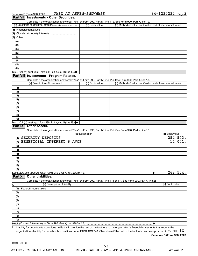| .                                                                                                          |                |                                                           |
|------------------------------------------------------------------------------------------------------------|----------------|-----------------------------------------------------------|
| Complete if the organization answered "Yes" on Form 990, Part IV, line 11b. See Form 990, Part X, line 12. |                |                                                           |
| (a) Description of security or category (including name of security)                                       | (b) Book value | (c) Method of valuation: Cost or end-of-year market value |
| (1) Financial derivatives                                                                                  |                |                                                           |
| (2) Closely held equity interests                                                                          |                |                                                           |
| (3) Other                                                                                                  |                |                                                           |
| (A)                                                                                                        |                |                                                           |
| (B)                                                                                                        |                |                                                           |
| (C)                                                                                                        |                |                                                           |
| (D)                                                                                                        |                |                                                           |
| (E)                                                                                                        |                |                                                           |
| (F)                                                                                                        |                |                                                           |
| (G)                                                                                                        |                |                                                           |
| (H)                                                                                                        |                |                                                           |
| <b>Total.</b> (Col. (b) must equal Form 990, Part X, col. (B) line 12.) $\blacktriangleright$              |                |                                                           |

#### **Part VIII Investments - Program Related.**

Complete if the organization answered "Yes" on Form 990, Part IV, line 11c. See Form 990, Part X, line 13.

| (a) Description of investment                                                           | (b) Book value | (c) Method of valuation: Cost or end-of-year market value |
|-----------------------------------------------------------------------------------------|----------------|-----------------------------------------------------------|
| (1)                                                                                     |                |                                                           |
| (2)                                                                                     |                |                                                           |
| (3)                                                                                     |                |                                                           |
| (4)                                                                                     |                |                                                           |
| (5)                                                                                     |                |                                                           |
| (6)                                                                                     |                |                                                           |
| (7)                                                                                     |                |                                                           |
| (8)                                                                                     |                |                                                           |
| (9)                                                                                     |                |                                                           |
| Total. (Col. (b) must equal Form 990, Part X, col. (B) line $13.$ $\blacktriangleright$ |                |                                                           |

#### **Part IX Other Assets.**

Complete if the organization answered "Yes" on Form 990, Part IV, line 11d. See Form 990, Part X, line 15.

| (a) Description                                                                                                   | (b) Book value         |
|-------------------------------------------------------------------------------------------------------------------|------------------------|
| SECURITY DEPOSITS<br>(1)                                                                                          | 254,503.               |
| BENEFICIAL INTEREST<br>e<br>AVCF<br>(2)                                                                           | 14,001.                |
| (3)                                                                                                               |                        |
| (4)                                                                                                               |                        |
| (5)                                                                                                               |                        |
| (6)                                                                                                               |                        |
| (7)                                                                                                               |                        |
| (8)                                                                                                               |                        |
| (9)                                                                                                               |                        |
|                                                                                                                   | $\overline{268,504}$ . |
| <b>Part X</b><br><b>Other Liabilities.</b>                                                                        |                        |
| Complete if the organization answered "Yes" on Form 990, Part IV, line 11e or 11f. See Form 990, Part X, line 25. |                        |

| 1.  | (a) Description of liability | (b) Book value |
|-----|------------------------------|----------------|
| (1, | Federal income taxes         |                |
| (2) |                              |                |
| (3) |                              |                |
| (4) |                              |                |
| (5) |                              |                |
| (6) |                              |                |
| (7) |                              |                |
| (8) |                              |                |
| (9) |                              |                |
|     |                              |                |

**2.** Liability for uncertain tax positions. In Part XIII, provide the text of the footnote to the organization's financial statements that reports the organization's liability for uncertain tax positions under FASB ASC 740. Check here if the text of the footnote has been provided in Part XIII ...  $\fbox{\bf X}$ 

**Schedule D (Form 990) 2020**

032053 12-01-20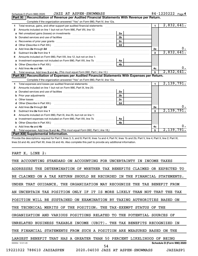|   | JAZZ AT ASPEN-SNOWMASS<br>Schedule D (Form 990) 2020                                                                                                                                                                                 |                |                | 84-1220222 Page 4 |
|---|--------------------------------------------------------------------------------------------------------------------------------------------------------------------------------------------------------------------------------------|----------------|----------------|-------------------|
|   | Reconciliation of Revenue per Audited Financial Statements With Revenue per Return.<br>Part $XI$                                                                                                                                     |                |                |                   |
|   | Complete if the organization answered "Yes" on Form 990, Part IV, line 12a.                                                                                                                                                          |                |                |                   |
| 1 | Total revenue, gains, and other support per audited financial statements [[[[[[[[[[[[[[[[[[[[[[[[[]]]]]]]]]]]                                                                                                                        |                | $\mathbf 1$    | 2,832,641.        |
| 2 | Amounts included on line 1 but not on Form 990, Part VIII, line 12:                                                                                                                                                                  |                |                |                   |
| a |                                                                                                                                                                                                                                      | 2a             |                |                   |
| b |                                                                                                                                                                                                                                      | 2 <sub>b</sub> |                |                   |
| с |                                                                                                                                                                                                                                      | 2 <sub>c</sub> |                |                   |
|   |                                                                                                                                                                                                                                      | 2d             |                |                   |
| е | Add lines 2a through 2d <b>Martin Martin Martin Martin Martin Martin Martin Martin Martin Martin Martin Martin Martin Martin Martin Martin Martin Martin Martin Martin Martin Martin Martin Martin Martin Martin Martin Martin M</b> |                | 2e             | υ.                |
| з |                                                                                                                                                                                                                                      |                | 3              | 2,832,641.        |
|   | Amounts included on Form 990, Part VIII, line 12, but not on line 1:                                                                                                                                                                 |                |                |                   |
| a |                                                                                                                                                                                                                                      | 4a             |                |                   |
| b |                                                                                                                                                                                                                                      | 4 <sub>b</sub> |                |                   |
|   | Add lines 4a and 4b                                                                                                                                                                                                                  |                | 4с             | 0.                |
| 5 |                                                                                                                                                                                                                                      |                | 5              | 2,832,641.        |
|   | Part XII Reconciliation of Expenses per Audited Financial Statements With Expenses per Return.                                                                                                                                       |                |                |                   |
|   | Complete if the organization answered "Yes" on Form 990, Part IV, line 12a.                                                                                                                                                          |                |                |                   |
| 1 |                                                                                                                                                                                                                                      |                | $\blacksquare$ | 2,139,791.        |
| 2 | Amounts included on line 1 but not on Form 990, Part IX, line 25:                                                                                                                                                                    |                |                |                   |
| a |                                                                                                                                                                                                                                      | 2a             |                |                   |
| b |                                                                                                                                                                                                                                      | 2 <sub>b</sub> |                |                   |
|   |                                                                                                                                                                                                                                      | 2c             |                |                   |
|   |                                                                                                                                                                                                                                      | 2d             |                |                   |
| e | Add lines 2a through 2d <b>contained a contained a contained a contained a</b> contained a contained a contained a contained a contained a contained a contained a contained a contained a contained a contained a contained a cont  |                | 2е             |                   |
| 3 |                                                                                                                                                                                                                                      |                | 3              | 2,139,791.        |
| 4 | Amounts included on Form 990, Part IX, line 25, but not on line 1:                                                                                                                                                                   |                |                |                   |
| a | Investment expenses not included on Form 990, Part VIII, line 7b [                                                                                                                                                                   | 4a             |                |                   |
| b |                                                                                                                                                                                                                                      | 4 <sub>h</sub> |                |                   |
|   | Add lines 4a and 4b                                                                                                                                                                                                                  |                | 4c             |                   |
|   |                                                                                                                                                                                                                                      |                | 5              | 2,139,791.        |
|   | Part XIII Supplemental Information.                                                                                                                                                                                                  |                |                |                   |

Provide the descriptions required for Part II, lines 3, 5, and 9; Part III, lines 1a and 4; Part IV, lines 1b and 2b; Part V, line 4; Part X, line 2; Part XI, lines 2d and 4b; and Part XII, lines 2d and 4b. Also complete this part to provide any additional information.

#### PART X, LINE 2:

| ON ACCOUNTING FOR UNCERTAINTY<br>THE ACCOUNTING<br>STANDARD<br>INCOME<br>ΤN<br>TAXES             |
|--------------------------------------------------------------------------------------------------|
| DETERMINATION OF<br>WHETHER TAX BENEFITS CLAIMED<br>ADDRESSES<br>THE<br>OR EXPECTED<br>TО        |
| ON A TAX RETURN SHOULD BE RECORDED IN THE FINANCIAL STATEMENTS.<br>BE CLAIMED                    |
| UNDER THAT GUIDANCE, THE ORGANIZATION MAY RECOGNIZE<br>THE<br>TAX<br>BENEFIT<br>FROM             |
| AN UNCERTAIN TAX POSITION ONLY IF IT IS MORE LIKELY THAN NOT<br>THAT<br>THE<br>TAX               |
| POSITION WILL BE SUSTAINED ON EXAMINATION BY TAXING AUTHORITIES BASED<br>ON                      |
| TECHNICAL MERITS OF THE POSITION. THE TAX-EXEMPT STATUS<br>OF THE<br>THE                         |
| ORGANIZATION AND VARIOUS POSITIONS RELATED TO THE POTENTIAL SOURCES OF                           |
| UNRELATED BUSINESS TAXABLE INCOME (UBIT). THE TAX BENEFITS RECOGNIZED<br>ΙN                      |
| THE FINANCIAL<br>STATEMENTS FROM SUCH A POSITION ARE MEASURED BASED<br>ON THE                    |
| THAT HAS A GREATER THAN 50 PERCENT LIKELIHOOD<br><b>LARGEST</b><br>BENEFIT<br><b>BEING</b><br>OF |
| Schedule D (Form 990) 2020<br>032054 12-01-20<br>54                                              |
| 19221022<br>2020.04030 JAZZ AT ASPEN-SNOWMASS<br>788610 JAZZASPEN<br>JAZZASP1                    |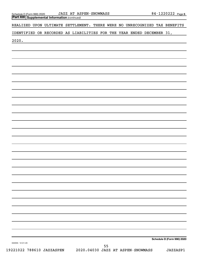*(continued)* **Part XIII Supplemental Information** 

REALIZED UPON ULTIMATE SETTLEMENT. THERE WERE NO UNRECOGNIZED TAX BENEFITS

IDENTIFIED OR RECORDED AS LIABILITIES FOR THE YEAR ENDED DECEMBER 31,

2020.

**Schedule D (Form 990) 2020**

032055 12-01-20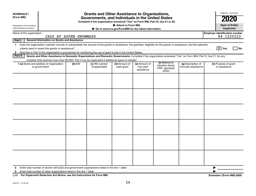| <b>SCHEDULE I</b><br>(Form 990)                                                                                                                                                                                                                                                                            |                                                     | <b>Grants and Other Assistance to Organizations,</b><br>Governments, and Individuals in the United States<br>Complete if the organization answered "Yes" on Form 990, Part IV, line 21 or 22. |                             |                                         |                                                                |                                          | OMB No. 1545-0047<br><b>Open to Public</b>          |
|------------------------------------------------------------------------------------------------------------------------------------------------------------------------------------------------------------------------------------------------------------------------------------------------------------|-----------------------------------------------------|-----------------------------------------------------------------------------------------------------------------------------------------------------------------------------------------------|-----------------------------|-----------------------------------------|----------------------------------------------------------------|------------------------------------------|-----------------------------------------------------|
| Attach to Form 990.<br>Department of the Treasury<br>Internal Revenue Service<br>Go to www.irs.gov/Form990 for the latest information.                                                                                                                                                                     |                                                     |                                                                                                                                                                                               |                             |                                         |                                                                |                                          |                                                     |
| Name of the organization                                                                                                                                                                                                                                                                                   | JAZZ AT ASPEN-SNOWMASS                              |                                                                                                                                                                                               |                             |                                         |                                                                |                                          | <b>Employer identification number</b><br>84-1220222 |
| Part I                                                                                                                                                                                                                                                                                                     | <b>General Information on Grants and Assistance</b> |                                                                                                                                                                                               |                             |                                         |                                                                |                                          |                                                     |
| Does the organization maintain records to substantiate the amount of the grants or assistance, the grantees' eligibility for the grants or assistance, and the selection<br>$\mathbf 1$<br>2 Describe in Part IV the organization's procedures for monitoring the use of grant funds in the United States. |                                                     |                                                                                                                                                                                               |                             |                                         |                                                                |                                          | $\boxed{\text{X}}$ Yes<br>l No                      |
| Part II<br>Grants and Other Assistance to Domestic Organizations and Domestic Governments. Complete if the organization answered "Yes" on Form 990, Part IV, line 21, for any                                                                                                                              |                                                     |                                                                                                                                                                                               |                             |                                         |                                                                |                                          |                                                     |
| recipient that received more than \$5,000. Part II can be duplicated if additional space is needed.<br>1 (a) Name and address of organization<br>or government                                                                                                                                             | $(b)$ EIN                                           | (c) IRC section<br>(if applicable)                                                                                                                                                            | (d) Amount of<br>cash grant | (e) Amount of<br>non-cash<br>assistance | (f) Method of<br>valuation (book,<br>FMV, appraisal,<br>other) | (g) Description of<br>noncash assistance | (h) Purpose of grant<br>or assistance               |
|                                                                                                                                                                                                                                                                                                            |                                                     |                                                                                                                                                                                               |                             |                                         |                                                                |                                          |                                                     |
| Enter total number of section 501(c)(3) and government organizations listed in the line 1 table<br>$\mathbf{2}$<br>3                                                                                                                                                                                       |                                                     |                                                                                                                                                                                               |                             |                                         |                                                                |                                          | ▶                                                   |

**For Paperwork Reduction Act Notice, see the Instructions for Form 990. Schedule I (Form 990) 2020** LHA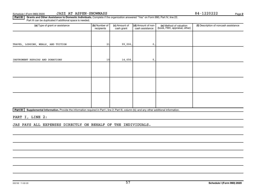57

Part III | Grants and Other Assistance to Domestic Individuals. Complete if the organization answered "Yes" on Form 990, Part IV, line 22. Part III can be duplicated if additional space is needed.

| (a) Type of grant or assistance     | (b) Number of<br>recipients | (c) Amount of<br>cash grant | (d) Amount of non-<br>cash assistance | (e) Method of valuation<br>(book, FMV, appraisal, other) | (f) Description of noncash assistance |
|-------------------------------------|-----------------------------|-----------------------------|---------------------------------------|----------------------------------------------------------|---------------------------------------|
|                                     |                             |                             |                                       |                                                          |                                       |
| TRAVEL, LODGING, MEALS, AND TUITION | 21                          | 99,006.                     | $\mathbf{0}$ .                        |                                                          |                                       |
|                                     |                             |                             |                                       |                                                          |                                       |
| INSTRUMENT REPAIRS AND DONATIONS    | 10                          | 14,656.                     | $\mathsf{0}$ .                        |                                                          |                                       |
|                                     |                             |                             |                                       |                                                          |                                       |
|                                     |                             |                             |                                       |                                                          |                                       |
|                                     |                             |                             |                                       |                                                          |                                       |
|                                     |                             |                             |                                       |                                                          |                                       |
|                                     |                             |                             |                                       |                                                          |                                       |
|                                     |                             |                             |                                       |                                                          |                                       |
| - - - - -                           |                             |                             |                                       |                                                          |                                       |

Part IV | Supplemental Information. Provide the information required in Part I, line 2; Part III, column (b); and any other additional information.

PART I, LINE 2:

JAS PAYS ALL EXPENSES DIRECTLY ON BEHALF OF THE INDIVIDUALS.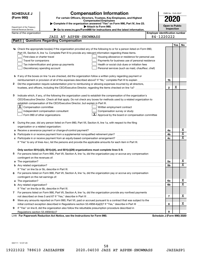| <b>Compensation Information</b><br><b>SCHEDULE J</b><br>(Form 990)<br>For certain Officers, Directors, Trustees, Key Employees, and Highest<br>2020<br><b>Compensated Employees</b><br>Complete if the organization answered "Yes" on Form 990, Part IV, line 23.<br><b>Open to Public</b><br>Attach to Form 990.<br>Department of the Treasury<br>Inspection<br>Go to www.irs.gov/Form990 for instructions and the latest information.<br>Internal Revenue Service<br><b>Employer identification number</b><br>Name of the organization<br>84-1220222<br><b>JAZZ AT ASPEN-SNOWMASS</b><br><b>Questions Regarding Compensation</b><br>Part I<br><b>Yes</b><br>No<br>Check the appropriate box(es) if the organization provided any of the following to or for a person listed on Form 990,<br>Part VII, Section A, line 1a. Complete Part III to provide any relevant information regarding these items.<br>First-class or charter travel<br>Housing allowance or residence for personal use<br>Travel for companions<br>Payments for business use of personal residence<br>Health or social club dues or initiation fees<br>Tax indemnification and gross-up payments<br>Discretionary spending account<br>Personal services (such as maid, chauffeur, chef)<br><b>b</b> If any of the boxes on line 1a are checked, did the organization follow a written policy regarding payment or<br>1b<br>Did the organization require substantiation prior to reimbursing or allowing expenses incurred by all directors,<br>2<br>х<br>$\mathbf{2}$<br>Indicate which, if any, of the following the organization used to establish the compensation of the organization's<br>з<br>CEO/Executive Director. Check all that apply. Do not check any boxes for methods used by a related organization to<br>establish compensation of the CEO/Executive Director, but explain in Part III.<br>$ \mathbf{X} $ Compensation committee<br>Written employment contract<br>Compensation survey or study<br>Independent compensation consultant |  |
|-------------------------------------------------------------------------------------------------------------------------------------------------------------------------------------------------------------------------------------------------------------------------------------------------------------------------------------------------------------------------------------------------------------------------------------------------------------------------------------------------------------------------------------------------------------------------------------------------------------------------------------------------------------------------------------------------------------------------------------------------------------------------------------------------------------------------------------------------------------------------------------------------------------------------------------------------------------------------------------------------------------------------------------------------------------------------------------------------------------------------------------------------------------------------------------------------------------------------------------------------------------------------------------------------------------------------------------------------------------------------------------------------------------------------------------------------------------------------------------------------------------------------------------------------------------------------------------------------------------------------------------------------------------------------------------------------------------------------------------------------------------------------------------------------------------------------------------------------------------------------------------------------------------------------------------------------------------------------------------------------------------------------------|--|
|                                                                                                                                                                                                                                                                                                                                                                                                                                                                                                                                                                                                                                                                                                                                                                                                                                                                                                                                                                                                                                                                                                                                                                                                                                                                                                                                                                                                                                                                                                                                                                                                                                                                                                                                                                                                                                                                                                                                                                                                                               |  |
|                                                                                                                                                                                                                                                                                                                                                                                                                                                                                                                                                                                                                                                                                                                                                                                                                                                                                                                                                                                                                                                                                                                                                                                                                                                                                                                                                                                                                                                                                                                                                                                                                                                                                                                                                                                                                                                                                                                                                                                                                               |  |
|                                                                                                                                                                                                                                                                                                                                                                                                                                                                                                                                                                                                                                                                                                                                                                                                                                                                                                                                                                                                                                                                                                                                                                                                                                                                                                                                                                                                                                                                                                                                                                                                                                                                                                                                                                                                                                                                                                                                                                                                                               |  |
|                                                                                                                                                                                                                                                                                                                                                                                                                                                                                                                                                                                                                                                                                                                                                                                                                                                                                                                                                                                                                                                                                                                                                                                                                                                                                                                                                                                                                                                                                                                                                                                                                                                                                                                                                                                                                                                                                                                                                                                                                               |  |
|                                                                                                                                                                                                                                                                                                                                                                                                                                                                                                                                                                                                                                                                                                                                                                                                                                                                                                                                                                                                                                                                                                                                                                                                                                                                                                                                                                                                                                                                                                                                                                                                                                                                                                                                                                                                                                                                                                                                                                                                                               |  |
|                                                                                                                                                                                                                                                                                                                                                                                                                                                                                                                                                                                                                                                                                                                                                                                                                                                                                                                                                                                                                                                                                                                                                                                                                                                                                                                                                                                                                                                                                                                                                                                                                                                                                                                                                                                                                                                                                                                                                                                                                               |  |
|                                                                                                                                                                                                                                                                                                                                                                                                                                                                                                                                                                                                                                                                                                                                                                                                                                                                                                                                                                                                                                                                                                                                                                                                                                                                                                                                                                                                                                                                                                                                                                                                                                                                                                                                                                                                                                                                                                                                                                                                                               |  |
|                                                                                                                                                                                                                                                                                                                                                                                                                                                                                                                                                                                                                                                                                                                                                                                                                                                                                                                                                                                                                                                                                                                                                                                                                                                                                                                                                                                                                                                                                                                                                                                                                                                                                                                                                                                                                                                                                                                                                                                                                               |  |
|                                                                                                                                                                                                                                                                                                                                                                                                                                                                                                                                                                                                                                                                                                                                                                                                                                                                                                                                                                                                                                                                                                                                                                                                                                                                                                                                                                                                                                                                                                                                                                                                                                                                                                                                                                                                                                                                                                                                                                                                                               |  |
|                                                                                                                                                                                                                                                                                                                                                                                                                                                                                                                                                                                                                                                                                                                                                                                                                                                                                                                                                                                                                                                                                                                                                                                                                                                                                                                                                                                                                                                                                                                                                                                                                                                                                                                                                                                                                                                                                                                                                                                                                               |  |
|                                                                                                                                                                                                                                                                                                                                                                                                                                                                                                                                                                                                                                                                                                                                                                                                                                                                                                                                                                                                                                                                                                                                                                                                                                                                                                                                                                                                                                                                                                                                                                                                                                                                                                                                                                                                                                                                                                                                                                                                                               |  |
|                                                                                                                                                                                                                                                                                                                                                                                                                                                                                                                                                                                                                                                                                                                                                                                                                                                                                                                                                                                                                                                                                                                                                                                                                                                                                                                                                                                                                                                                                                                                                                                                                                                                                                                                                                                                                                                                                                                                                                                                                               |  |
|                                                                                                                                                                                                                                                                                                                                                                                                                                                                                                                                                                                                                                                                                                                                                                                                                                                                                                                                                                                                                                                                                                                                                                                                                                                                                                                                                                                                                                                                                                                                                                                                                                                                                                                                                                                                                                                                                                                                                                                                                               |  |
|                                                                                                                                                                                                                                                                                                                                                                                                                                                                                                                                                                                                                                                                                                                                                                                                                                                                                                                                                                                                                                                                                                                                                                                                                                                                                                                                                                                                                                                                                                                                                                                                                                                                                                                                                                                                                                                                                                                                                                                                                               |  |
|                                                                                                                                                                                                                                                                                                                                                                                                                                                                                                                                                                                                                                                                                                                                                                                                                                                                                                                                                                                                                                                                                                                                                                                                                                                                                                                                                                                                                                                                                                                                                                                                                                                                                                                                                                                                                                                                                                                                                                                                                               |  |
|                                                                                                                                                                                                                                                                                                                                                                                                                                                                                                                                                                                                                                                                                                                                                                                                                                                                                                                                                                                                                                                                                                                                                                                                                                                                                                                                                                                                                                                                                                                                                                                                                                                                                                                                                                                                                                                                                                                                                                                                                               |  |
|                                                                                                                                                                                                                                                                                                                                                                                                                                                                                                                                                                                                                                                                                                                                                                                                                                                                                                                                                                                                                                                                                                                                                                                                                                                                                                                                                                                                                                                                                                                                                                                                                                                                                                                                                                                                                                                                                                                                                                                                                               |  |
|                                                                                                                                                                                                                                                                                                                                                                                                                                                                                                                                                                                                                                                                                                                                                                                                                                                                                                                                                                                                                                                                                                                                                                                                                                                                                                                                                                                                                                                                                                                                                                                                                                                                                                                                                                                                                                                                                                                                                                                                                               |  |
|                                                                                                                                                                                                                                                                                                                                                                                                                                                                                                                                                                                                                                                                                                                                                                                                                                                                                                                                                                                                                                                                                                                                                                                                                                                                                                                                                                                                                                                                                                                                                                                                                                                                                                                                                                                                                                                                                                                                                                                                                               |  |
|                                                                                                                                                                                                                                                                                                                                                                                                                                                                                                                                                                                                                                                                                                                                                                                                                                                                                                                                                                                                                                                                                                                                                                                                                                                                                                                                                                                                                                                                                                                                                                                                                                                                                                                                                                                                                                                                                                                                                                                                                               |  |
|                                                                                                                                                                                                                                                                                                                                                                                                                                                                                                                                                                                                                                                                                                                                                                                                                                                                                                                                                                                                                                                                                                                                                                                                                                                                                                                                                                                                                                                                                                                                                                                                                                                                                                                                                                                                                                                                                                                                                                                                                               |  |
|                                                                                                                                                                                                                                                                                                                                                                                                                                                                                                                                                                                                                                                                                                                                                                                                                                                                                                                                                                                                                                                                                                                                                                                                                                                                                                                                                                                                                                                                                                                                                                                                                                                                                                                                                                                                                                                                                                                                                                                                                               |  |
|                                                                                                                                                                                                                                                                                                                                                                                                                                                                                                                                                                                                                                                                                                                                                                                                                                                                                                                                                                                                                                                                                                                                                                                                                                                                                                                                                                                                                                                                                                                                                                                                                                                                                                                                                                                                                                                                                                                                                                                                                               |  |
|                                                                                                                                                                                                                                                                                                                                                                                                                                                                                                                                                                                                                                                                                                                                                                                                                                                                                                                                                                                                                                                                                                                                                                                                                                                                                                                                                                                                                                                                                                                                                                                                                                                                                                                                                                                                                                                                                                                                                                                                                               |  |
|                                                                                                                                                                                                                                                                                                                                                                                                                                                                                                                                                                                                                                                                                                                                                                                                                                                                                                                                                                                                                                                                                                                                                                                                                                                                                                                                                                                                                                                                                                                                                                                                                                                                                                                                                                                                                                                                                                                                                                                                                               |  |
| $\mathbf{X}$ Approval by the board or compensation committee<br>Form 990 of other organizations                                                                                                                                                                                                                                                                                                                                                                                                                                                                                                                                                                                                                                                                                                                                                                                                                                                                                                                                                                                                                                                                                                                                                                                                                                                                                                                                                                                                                                                                                                                                                                                                                                                                                                                                                                                                                                                                                                                               |  |
|                                                                                                                                                                                                                                                                                                                                                                                                                                                                                                                                                                                                                                                                                                                                                                                                                                                                                                                                                                                                                                                                                                                                                                                                                                                                                                                                                                                                                                                                                                                                                                                                                                                                                                                                                                                                                                                                                                                                                                                                                               |  |
| During the year, did any person listed on Form 990, Part VII, Section A, line 1a, with respect to the filing<br>4                                                                                                                                                                                                                                                                                                                                                                                                                                                                                                                                                                                                                                                                                                                                                                                                                                                                                                                                                                                                                                                                                                                                                                                                                                                                                                                                                                                                                                                                                                                                                                                                                                                                                                                                                                                                                                                                                                             |  |
| organization or a related organization:                                                                                                                                                                                                                                                                                                                                                                                                                                                                                                                                                                                                                                                                                                                                                                                                                                                                                                                                                                                                                                                                                                                                                                                                                                                                                                                                                                                                                                                                                                                                                                                                                                                                                                                                                                                                                                                                                                                                                                                       |  |
| х<br>Receive a severance payment or change-of-control payment?<br>4a<br>а                                                                                                                                                                                                                                                                                                                                                                                                                                                                                                                                                                                                                                                                                                                                                                                                                                                                                                                                                                                                                                                                                                                                                                                                                                                                                                                                                                                                                                                                                                                                                                                                                                                                                                                                                                                                                                                                                                                                                     |  |
| $\overline{\mathbf{X}}$<br>4b<br>b                                                                                                                                                                                                                                                                                                                                                                                                                                                                                                                                                                                                                                                                                                                                                                                                                                                                                                                                                                                                                                                                                                                                                                                                                                                                                                                                                                                                                                                                                                                                                                                                                                                                                                                                                                                                                                                                                                                                                                                            |  |
| X<br>4c<br>c                                                                                                                                                                                                                                                                                                                                                                                                                                                                                                                                                                                                                                                                                                                                                                                                                                                                                                                                                                                                                                                                                                                                                                                                                                                                                                                                                                                                                                                                                                                                                                                                                                                                                                                                                                                                                                                                                                                                                                                                                  |  |
| If "Yes" to any of lines 4a-c, list the persons and provide the applicable amounts for each item in Part III.                                                                                                                                                                                                                                                                                                                                                                                                                                                                                                                                                                                                                                                                                                                                                                                                                                                                                                                                                                                                                                                                                                                                                                                                                                                                                                                                                                                                                                                                                                                                                                                                                                                                                                                                                                                                                                                                                                                 |  |
|                                                                                                                                                                                                                                                                                                                                                                                                                                                                                                                                                                                                                                                                                                                                                                                                                                                                                                                                                                                                                                                                                                                                                                                                                                                                                                                                                                                                                                                                                                                                                                                                                                                                                                                                                                                                                                                                                                                                                                                                                               |  |
| Only section 501(c)(3), 501(c)(4), and 501(c)(29) organizations must complete lines 5-9.                                                                                                                                                                                                                                                                                                                                                                                                                                                                                                                                                                                                                                                                                                                                                                                                                                                                                                                                                                                                                                                                                                                                                                                                                                                                                                                                                                                                                                                                                                                                                                                                                                                                                                                                                                                                                                                                                                                                      |  |
| For persons listed on Form 990, Part VII, Section A, line 1a, did the organization pay or accrue any compensation<br>5                                                                                                                                                                                                                                                                                                                                                                                                                                                                                                                                                                                                                                                                                                                                                                                                                                                                                                                                                                                                                                                                                                                                                                                                                                                                                                                                                                                                                                                                                                                                                                                                                                                                                                                                                                                                                                                                                                        |  |
| contingent on the revenues of:                                                                                                                                                                                                                                                                                                                                                                                                                                                                                                                                                                                                                                                                                                                                                                                                                                                                                                                                                                                                                                                                                                                                                                                                                                                                                                                                                                                                                                                                                                                                                                                                                                                                                                                                                                                                                                                                                                                                                                                                |  |
| x<br>5a<br>a<br>X                                                                                                                                                                                                                                                                                                                                                                                                                                                                                                                                                                                                                                                                                                                                                                                                                                                                                                                                                                                                                                                                                                                                                                                                                                                                                                                                                                                                                                                                                                                                                                                                                                                                                                                                                                                                                                                                                                                                                                                                             |  |
| 5b                                                                                                                                                                                                                                                                                                                                                                                                                                                                                                                                                                                                                                                                                                                                                                                                                                                                                                                                                                                                                                                                                                                                                                                                                                                                                                                                                                                                                                                                                                                                                                                                                                                                                                                                                                                                                                                                                                                                                                                                                            |  |
| If "Yes" on line 5a or 5b, describe in Part III.                                                                                                                                                                                                                                                                                                                                                                                                                                                                                                                                                                                                                                                                                                                                                                                                                                                                                                                                                                                                                                                                                                                                                                                                                                                                                                                                                                                                                                                                                                                                                                                                                                                                                                                                                                                                                                                                                                                                                                              |  |
| 6 For persons listed on Form 990, Part VII, Section A, line 1a, did the organization pay or accrue any compensation                                                                                                                                                                                                                                                                                                                                                                                                                                                                                                                                                                                                                                                                                                                                                                                                                                                                                                                                                                                                                                                                                                                                                                                                                                                                                                                                                                                                                                                                                                                                                                                                                                                                                                                                                                                                                                                                                                           |  |
| contingent on the net earnings of:                                                                                                                                                                                                                                                                                                                                                                                                                                                                                                                                                                                                                                                                                                                                                                                                                                                                                                                                                                                                                                                                                                                                                                                                                                                                                                                                                                                                                                                                                                                                                                                                                                                                                                                                                                                                                                                                                                                                                                                            |  |
| x<br>6a<br>a<br>X                                                                                                                                                                                                                                                                                                                                                                                                                                                                                                                                                                                                                                                                                                                                                                                                                                                                                                                                                                                                                                                                                                                                                                                                                                                                                                                                                                                                                                                                                                                                                                                                                                                                                                                                                                                                                                                                                                                                                                                                             |  |
| 6b                                                                                                                                                                                                                                                                                                                                                                                                                                                                                                                                                                                                                                                                                                                                                                                                                                                                                                                                                                                                                                                                                                                                                                                                                                                                                                                                                                                                                                                                                                                                                                                                                                                                                                                                                                                                                                                                                                                                                                                                                            |  |
| If "Yes" on line 6a or 6b, describe in Part III.                                                                                                                                                                                                                                                                                                                                                                                                                                                                                                                                                                                                                                                                                                                                                                                                                                                                                                                                                                                                                                                                                                                                                                                                                                                                                                                                                                                                                                                                                                                                                                                                                                                                                                                                                                                                                                                                                                                                                                              |  |
| 7 For persons listed on Form 990, Part VII, Section A, line 1a, did the organization provide any nonfixed payments<br>x                                                                                                                                                                                                                                                                                                                                                                                                                                                                                                                                                                                                                                                                                                                                                                                                                                                                                                                                                                                                                                                                                                                                                                                                                                                                                                                                                                                                                                                                                                                                                                                                                                                                                                                                                                                                                                                                                                       |  |
| 7                                                                                                                                                                                                                                                                                                                                                                                                                                                                                                                                                                                                                                                                                                                                                                                                                                                                                                                                                                                                                                                                                                                                                                                                                                                                                                                                                                                                                                                                                                                                                                                                                                                                                                                                                                                                                                                                                                                                                                                                                             |  |
| Were any amounts reported on Form 990, Part VII, paid or accrued pursuant to a contract that was subject to the<br>8<br>x                                                                                                                                                                                                                                                                                                                                                                                                                                                                                                                                                                                                                                                                                                                                                                                                                                                                                                                                                                                                                                                                                                                                                                                                                                                                                                                                                                                                                                                                                                                                                                                                                                                                                                                                                                                                                                                                                                     |  |
| 8                                                                                                                                                                                                                                                                                                                                                                                                                                                                                                                                                                                                                                                                                                                                                                                                                                                                                                                                                                                                                                                                                                                                                                                                                                                                                                                                                                                                                                                                                                                                                                                                                                                                                                                                                                                                                                                                                                                                                                                                                             |  |
| If "Yes" on line 8, did the organization also follow the rebuttable presumption procedure described in<br>9<br>9                                                                                                                                                                                                                                                                                                                                                                                                                                                                                                                                                                                                                                                                                                                                                                                                                                                                                                                                                                                                                                                                                                                                                                                                                                                                                                                                                                                                                                                                                                                                                                                                                                                                                                                                                                                                                                                                                                              |  |
| LHA For Paperwork Reduction Act Notice, see the Instructions for Form 990.<br>Schedule J (Form 990) 2020                                                                                                                                                                                                                                                                                                                                                                                                                                                                                                                                                                                                                                                                                                                                                                                                                                                                                                                                                                                                                                                                                                                                                                                                                                                                                                                                                                                                                                                                                                                                                                                                                                                                                                                                                                                                                                                                                                                      |  |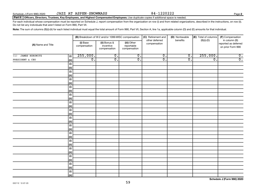Do not list any individuals that aren't listed on Form 990, Part VII.

| (A) Name and Title           |             |                          | (B) Breakdown of W-2 and/or 1099-MISC compensation |                                           | (C) Retirement and<br>other deferred | (D) Nontaxable<br>benefits | (E) Total of columns<br>$(B)(i)-(D)$ | (F) Compensation<br>in column (B)         |
|------------------------------|-------------|--------------------------|----------------------------------------------------|-------------------------------------------|--------------------------------------|----------------------------|--------------------------------------|-------------------------------------------|
|                              |             | (i) Base<br>compensation | (ii) Bonus &<br>incentive<br>compensation          | (iii) Other<br>reportable<br>compensation | compensation                         |                            |                                      | reported as deferred<br>on prior Form 990 |
| <b>JAMES HOROWITZ</b><br>(1) | (i)         | 255,000.                 | $\overline{0}$ .                                   | $\overline{0}$ .                          | $\overline{0}$ .                     | $\overline{0}$ .           | 255,000.                             | $\overline{\mathbf{0}}$ .                 |
| PRESIDENT & CEO              | (ii)        | $\overline{0}$ .         | $\overline{0}$ .                                   | $\overline{0}$ .                          | $\overline{0}$ .                     | $\overline{0}$ .           | $\overline{0}$ .                     | $\overline{0}$ .                          |
|                              | (i)         |                          |                                                    |                                           |                                      |                            |                                      |                                           |
|                              | (ii)        |                          |                                                    |                                           |                                      |                            |                                      |                                           |
|                              | (i)         |                          |                                                    |                                           |                                      |                            |                                      |                                           |
|                              | (ii)        |                          |                                                    |                                           |                                      |                            |                                      |                                           |
|                              | (i)         |                          |                                                    |                                           |                                      |                            |                                      |                                           |
|                              | (ii)        |                          |                                                    |                                           |                                      |                            |                                      |                                           |
|                              | $(\sf{i})$  |                          |                                                    |                                           |                                      |                            |                                      |                                           |
|                              | (ii)        |                          |                                                    |                                           |                                      |                            |                                      |                                           |
|                              | $(\sf{i})$  |                          |                                                    |                                           |                                      |                            |                                      |                                           |
|                              | (ii)        |                          |                                                    |                                           |                                      |                            |                                      |                                           |
|                              | (i)         |                          |                                                    |                                           |                                      |                            |                                      |                                           |
|                              | (ii)        |                          |                                                    |                                           |                                      |                            |                                      |                                           |
|                              | $(\sf{i})$  |                          |                                                    |                                           |                                      |                            |                                      |                                           |
|                              | (ii)        |                          |                                                    |                                           |                                      |                            |                                      |                                           |
|                              | (i)         |                          |                                                    |                                           |                                      |                            |                                      |                                           |
|                              | (ii)        |                          |                                                    |                                           |                                      |                            |                                      |                                           |
|                              | (i)         |                          |                                                    |                                           |                                      |                            |                                      |                                           |
|                              | (ii)        |                          |                                                    |                                           |                                      |                            |                                      |                                           |
|                              | (i)         |                          |                                                    |                                           |                                      |                            |                                      |                                           |
|                              | (ii)        |                          |                                                    |                                           |                                      |                            |                                      |                                           |
|                              | (i)         |                          |                                                    |                                           |                                      |                            |                                      |                                           |
|                              | (ii)        |                          |                                                    |                                           |                                      |                            |                                      |                                           |
|                              | (i)         |                          |                                                    |                                           |                                      |                            |                                      |                                           |
|                              | <u>(ii)</u> |                          |                                                    |                                           |                                      |                            |                                      |                                           |
|                              | (i)         |                          |                                                    |                                           |                                      |                            |                                      |                                           |
|                              | (ii)        |                          |                                                    |                                           |                                      |                            |                                      |                                           |
|                              | (i)         |                          |                                                    |                                           |                                      |                            |                                      |                                           |
|                              | (ii)        |                          |                                                    |                                           |                                      |                            |                                      |                                           |
|                              | (i)         |                          |                                                    |                                           |                                      |                            |                                      |                                           |
|                              | (ii)        |                          |                                                    |                                           |                                      |                            |                                      |                                           |

Part II | Officers, Directors, Trustees, Key Employees, and Highest Compensated Employees. Use duplicate copies if additional space is needed.

Note: The sum of columns (B)(i)-(iii) for each listed individual must equal the total amount of Form 990, Part VII, Section A, line 1a, applicable column (D) and (E) amounts for that individual.

For each individual whose compensation must be reported on Schedule J, report compensation from the organization on row (i) and from related organizations, described in the instructions, on row (ii).

**Schedule J (Form 990) 2020**

Schedule J (Form 990) 2020 Page JAZZ AT ASPEN-SNOWMASS 84-1220222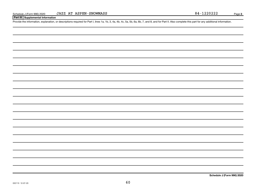#### **Part III Supplemental Information**

Provide the information, explanation, or descriptions required for Part I, lines 1a, 1b, 3, 4a, 4b, 4c, 5a, 5b, 6a, 6b, 7, and 8, and for Part II. Also complete this part for any additional information.

**Schedule J (Form 990) 2020**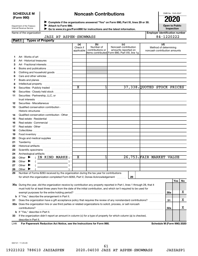#### **SCHEDULE M (Form 990)**

### **Noncash Contributions**

OMB No. 1545-0047

**Open to Public**

| Department of the Treasury |  |
|----------------------------|--|
| Internal Revenue Service   |  |

◆ Complete if the organizations answered "Yes" on Form 990, Part IV, lines 29 or 30.<br>● Complete if the organizations answered "Yes" on Form 990, Part IV, lines 29 or 30. **Attach to Form 990.**  $\blacktriangleright$ 

 **Go to www.irs.gov/Form990 for instructions and the latest information.** J

**Inspection Employer identification number**

| Name of the organization |  |                         |
|--------------------------|--|-------------------------|
|                          |  | <b>JAZZ AT ASPEN-SN</b> |

 $\overline{34-1220222}$ 

| Part I | <b>Types of Property</b>                                                                                                       |                               |                                      |                                                                                                      |                                                              |            |     |    |
|--------|--------------------------------------------------------------------------------------------------------------------------------|-------------------------------|--------------------------------------|------------------------------------------------------------------------------------------------------|--------------------------------------------------------------|------------|-----|----|
|        |                                                                                                                                | (a)<br>Check if<br>applicable | (b)<br>Number of<br>contributions or | (c)<br>Noncash contribution<br>amounts reported on<br>items contributed Form 990, Part VIII, line 1g | (d)<br>Method of determining<br>noncash contribution amounts |            |     |    |
|        |                                                                                                                                |                               |                                      |                                                                                                      |                                                              |            |     |    |
| 1      |                                                                                                                                |                               |                                      |                                                                                                      |                                                              |            |     |    |
| 2<br>3 |                                                                                                                                |                               |                                      |                                                                                                      |                                                              |            |     |    |
|        | Art - Fractional interests                                                                                                     |                               |                                      |                                                                                                      |                                                              |            |     |    |
| 4      | Books and publications                                                                                                         |                               |                                      |                                                                                                      |                                                              |            |     |    |
| 5      | Clothing and household goods                                                                                                   |                               |                                      |                                                                                                      |                                                              |            |     |    |
| 6      |                                                                                                                                |                               |                                      |                                                                                                      |                                                              |            |     |    |
| 7      |                                                                                                                                |                               |                                      |                                                                                                      |                                                              |            |     |    |
| 8      |                                                                                                                                | $\overline{\text{x}}$         | 1                                    |                                                                                                      | 37,338. QUOTED STOCK PRICES                                  |            |     |    |
| 9      | Securities - Publicly traded                                                                                                   |                               |                                      |                                                                                                      |                                                              |            |     |    |
| 10     | Securities - Closely held stock                                                                                                |                               |                                      |                                                                                                      |                                                              |            |     |    |
| 11     | Securities - Partnership, LLC, or<br>trust interests                                                                           |                               |                                      |                                                                                                      |                                                              |            |     |    |
| 12     | Securities - Miscellaneous                                                                                                     |                               |                                      |                                                                                                      |                                                              |            |     |    |
| 13     | Qualified conservation contribution -                                                                                          |                               |                                      |                                                                                                      |                                                              |            |     |    |
|        |                                                                                                                                |                               |                                      |                                                                                                      |                                                              |            |     |    |
| 14     | Qualified conservation contribution - Other                                                                                    |                               |                                      |                                                                                                      |                                                              |            |     |    |
| 15     | Real estate - Residential                                                                                                      |                               |                                      |                                                                                                      |                                                              |            |     |    |
| 16     | Real estate - Commercial                                                                                                       |                               |                                      |                                                                                                      |                                                              |            |     |    |
| 17     |                                                                                                                                |                               |                                      |                                                                                                      |                                                              |            |     |    |
| 18     |                                                                                                                                |                               |                                      |                                                                                                      |                                                              |            |     |    |
| 19     |                                                                                                                                |                               |                                      |                                                                                                      |                                                              |            |     |    |
| 20     | Drugs and medical supplies                                                                                                     |                               |                                      |                                                                                                      |                                                              |            |     |    |
| 21     |                                                                                                                                |                               |                                      |                                                                                                      |                                                              |            |     |    |
| 22     |                                                                                                                                |                               |                                      |                                                                                                      |                                                              |            |     |    |
| 23     |                                                                                                                                |                               |                                      |                                                                                                      |                                                              |            |     |    |
| 24     |                                                                                                                                |                               |                                      |                                                                                                      |                                                              |            |     |    |
| 25     | $($ IN KIND MARKE)<br>Other $\blacktriangleright$                                                                              | х                             | 1                                    |                                                                                                      | 26,753.FAIR MARKET VALUE                                     |            |     |    |
| 26     | Other<br>▸                                                                                                                     |                               |                                      |                                                                                                      |                                                              |            |     |    |
| 27     | Other<br>▶                                                                                                                     |                               |                                      |                                                                                                      |                                                              |            |     |    |
| 28     | Other                                                                                                                          |                               |                                      |                                                                                                      |                                                              |            |     |    |
| 29     | Number of Forms 8283 received by the organization during the tax year for contributions                                        |                               |                                      |                                                                                                      |                                                              |            |     |    |
|        | for which the organization completed Form 8283, Part V, Donee Acknowledgement                                                  |                               |                                      | 29                                                                                                   |                                                              |            |     |    |
|        |                                                                                                                                |                               |                                      |                                                                                                      |                                                              |            | Yes | No |
|        | 30a During the year, did the organization receive by contribution any property reported in Part I, lines 1 through 28, that it |                               |                                      |                                                                                                      |                                                              |            |     |    |
|        | must hold for at least three years from the date of the initial contribution, and which isn't required to be used for          |                               |                                      |                                                                                                      |                                                              |            |     |    |
|        |                                                                                                                                |                               |                                      |                                                                                                      |                                                              | <b>30a</b> |     | х  |
|        | <b>b</b> If "Yes," describe the arrangement in Part II.                                                                        |                               |                                      |                                                                                                      |                                                              |            |     |    |
| 31     | Does the organization have a gift acceptance policy that requires the review of any nonstandard contributions?                 |                               |                                      |                                                                                                      |                                                              | 31         |     | x  |
|        | 32a Does the organization hire or use third parties or related organizations to solicit, process, or sell noncash              |                               |                                      |                                                                                                      |                                                              |            |     |    |
|        | contributions?                                                                                                                 |                               |                                      |                                                                                                      |                                                              | 32a        |     | х  |
|        | <b>b</b> If "Yes," describe in Part II.                                                                                        |                               |                                      |                                                                                                      |                                                              |            |     |    |
| 33     | If the organization didn't report an amount in column (c) for a type of property for which column (a) is checked,              |                               |                                      |                                                                                                      |                                                              |            |     |    |
|        | describe in Part II.                                                                                                           |                               |                                      |                                                                                                      |                                                              |            |     |    |
| LHA    | For Paperwork Reduction Act Notice, see the Instructions for Form 990.                                                         |                               |                                      |                                                                                                      | Schedule M (Form 990) 2020                                   |            |     |    |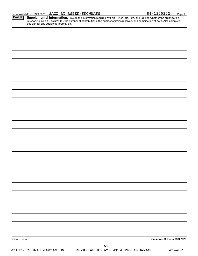Provide the information required by Part I, lines 30b, 32b, and 33, and whether the organization is reporting in Part I, column (b), the number of contributions, the number of items received, or a combination of both. Also complete this part for any additional information. **Part II Supplemental Information.** 

| 032142 11-23-20 |                                                                            | Schedule M (Form 990) 2020 |
|-----------------|----------------------------------------------------------------------------|----------------------------|
|                 |                                                                            |                            |
|                 | 62<br>19221022 788610 JAZZASPEN 2020.04030 JAZZ AT ASPEN-SNOWMASS JAZZASP1 |                            |
|                 |                                                                            |                            |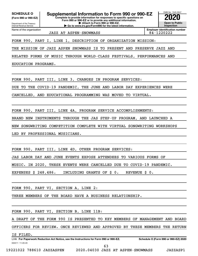**(Form 990 or 990-EZ)**

Department of the Treasury Internal Revenue Service Name of the organization

**Complete to provide information for responses to specific questions on Form 990 or 990-EZ or to provide any additional information. | Attach to Form 990 or 990-EZ. | Go to www.irs.gov/Form990 for the latest information. SCHEDULE O Supplemental Information to Form 990 or 990-EZ 2020**<br>(Form 990 or 990-EZ) Complete to provide information for responses to specific questions on



JAZZ AT ASPEN-SNOWMASS 84-1220222

**Employer identification number**

FORM 990, PART I, LINE 1, DESCRIPTION OF ORGANIZATION MISSION:

THE MISSION OF JAZZ ASPEN SNOWMASS IS TO PRESENT AND PRESERVE JAZZ AND

RELATED FORMS OF MUSIC THROUGH WORLD-CLASS FESTIVALS, PERFORMANCES AND

EDUCATION PROGRAMS.

FORM 990, PART III, LINE 3, CHANGES IN PROGRAM SERVICES:

DUE TO THE COVID-19 PANDEMIC, THE JUNE AND LABOR DAY EXPERIENCES WERE

CANCELLED, AND EDUCATIONAL PROGRAMMING WAS MOVED TO VIRTUAL.

FORM 990, PART III, LINE 4A, PROGRAM SERVICE ACCOMPLISHMENTS:

BRAND NEW INSTRUMENTS THROUGH THE JAS STEP-UP PROGRAM, AND LAUNCHED A

NEW SONGWRITING COMPETITION COMPLETE WITH VIRTUAL SONGWRITING WORKSHOPS

LED BY PROFESSIONAL MUSICIANS.

FORM 990, PART III, LINE 4D, OTHER PROGRAM SERVICES:

JAS LABOR DAY AND JUNE EVENTS EXPOSE ATTENDEES TO VARIOUS FORMS OF

MUSIC. IN 2020, THESE EVENTS WERE CANCELLED DUE TO COVID-19 PANDEMIC.

EXPENSES \$ 248,486. INCLUDING GRANTS OF \$ 0. REVENUE \$ 0.

FORM 990, PART VI, SECTION A, LINE 2:

THREE MEMBERS OF THE BOARD HAVE A BUSINESS RELATIONSHIP.

FORM 990, PART VI, SECTION B, LINE 11B:

A DRAFT OF THE FORM 990 IS PRESENTED TO KEY MEMBERS OF MANAGEMENT AND BOARD

OFFICERS FOR REVIEW. ONCE REVIEWED AND APPROVED BY THESE MEMBERS THE RETURN

IS FILED.